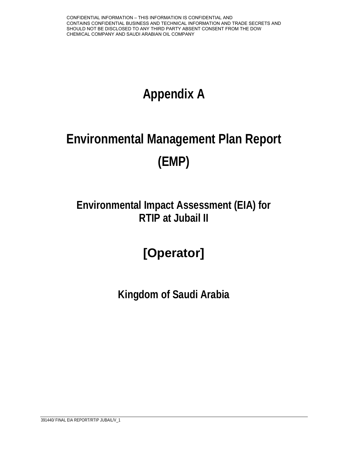# **Appendix A**

# **Environmental Management Plan Report (EMP)**

## **Environmental Impact Assessment (EIA) for RTIP at Jubail II**

## **[Operator]**

**Kingdom of Saudi Arabia**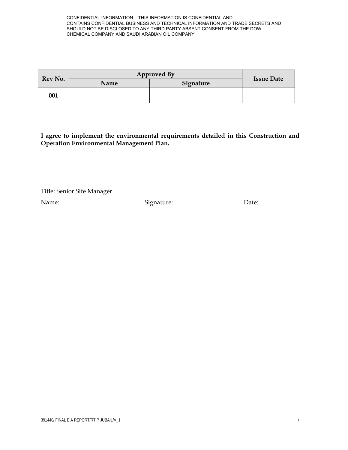| Rev No. | <b>Approved By</b> |           |                   |
|---------|--------------------|-----------|-------------------|
|         | Name               | Signature | <b>Issue Date</b> |
| 001     |                    |           |                   |

**I agree to implement the environmental requirements detailed in this Construction and Operation Environmental Management Plan.** 

Title: Senior Site Manager

Name: Signature: Signature: Date: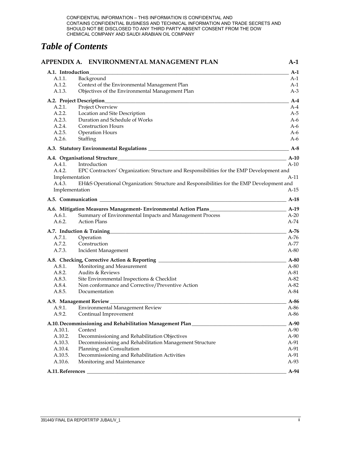## *Table of Contents*

|                   | APPENDIX A. ENVIRONMENTAL MANAGEMENT PLAN                                                 | A-1    |
|-------------------|-------------------------------------------------------------------------------------------|--------|
| A.1. Introduction |                                                                                           | $A-1$  |
| A.1.1.            | Background                                                                                | A-1    |
| A.1.2.            | Context of the Environmental Management Plan                                              | A-1    |
| A.1.3.            | Objectives of the Environmental Management Plan                                           | $A-3$  |
|                   | A.2. Project Description                                                                  | $A-4$  |
| A.2.1.            | Project Overview                                                                          | A-4    |
| A.2.2.            | Location and Site Description                                                             | $A-5$  |
| A.2.3.            | Duration and Schedule of Works                                                            | $A-6$  |
| A.2.4.            | <b>Construction Hours</b>                                                                 | $A-6$  |
| A.2.5.            | Operation Hours                                                                           | A-6    |
| A.2.6.            | Staffing                                                                                  | $A-6$  |
|                   |                                                                                           | $A-8$  |
|                   |                                                                                           | $A-10$ |
| A.4.1.            | Introduction                                                                              | $A-10$ |
| A.4.2.            | EPC Contractors' Organization: Structure and Responsibilities for the EMP Development and |        |
| Implementation    |                                                                                           | $A-11$ |
| A.4.3.            | EH&S Operational Organization: Structure and Responsibilities for the EMP Development and |        |
| Implementation    |                                                                                           | A-15   |
|                   | A.5. Communication                                                                        | $A-18$ |
|                   | A.6. Mitigation Measures Management- Environmental Action Plans _________________         | $A-19$ |
| A.6.1.            | Summary of Environmental Impacts and Management Process                                   | $A-20$ |
| A.6.2.            | <b>Action Plans</b>                                                                       | $A-74$ |
|                   | A.7. Induction & Training                                                                 | $A-76$ |
| A.7.1.            | Operation                                                                                 | A-76   |
| A.7.2.            | Construction                                                                              | A-77   |
| A.7.3.            | <b>Incident Management</b>                                                                | $A-80$ |
|                   | A.8. Checking, Corrective Action & Reporting ___________________________________          | $A-80$ |
| A.8.1.            | Monitoring and Measurement                                                                | $A-80$ |
| A.8.2.            | Audits & Reviews                                                                          | $A-81$ |
| A.8.3.            | Site Environmental Inspections & Checklist                                                | A-82   |
| A.8.4.            | Non conformance and Corrective/Preventive Action                                          | $A-82$ |
| A.8.5.            | Documentation                                                                             | A-84   |
|                   | A.9. Management Review                                                                    | $A-86$ |
| A.9.1.            | <b>Environmental Management Review</b>                                                    | $A-86$ |
| A.9.2.            | Continual Improvement                                                                     | A-86   |
|                   | A.10. Decommissioning and Rehabilitation Management Plan_                                 | $A-90$ |
| A.10.1.           | Context                                                                                   | $A-90$ |
| A.10.2.           | Decommissioning and Rehabilitation Objectives                                             | $A-90$ |
| A.10.3.           | Decommissioning and Rehabilitation Management Structure                                   | A-91   |
| A.10.4.           | Planning and Consultation                                                                 | A-91   |
| A.10.5.           | Decommissioning and Rehabilitation Activities                                             | A-91   |
| A.10.6.           | Monitoring and Maintenance                                                                | A-93   |
| A.11. References  |                                                                                           | A-94   |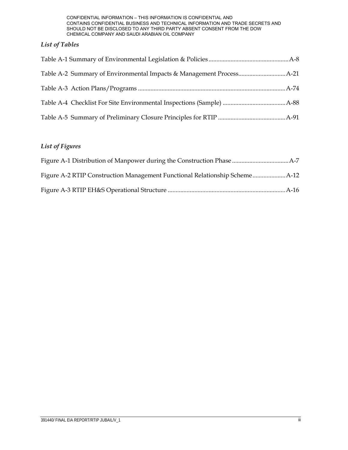## *List of Tables*

## *List of Figures*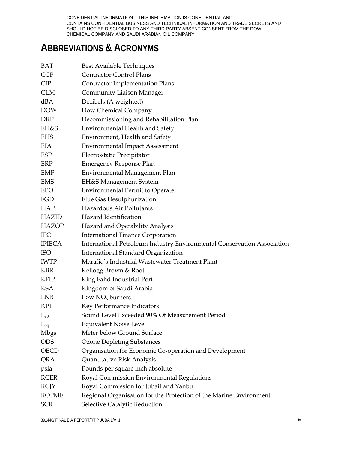## **ABBREVIATIONS & ACRONYMS**

| <b>BAT</b>                                               | Best Available Techniques                                                                                                                                                                  |
|----------------------------------------------------------|--------------------------------------------------------------------------------------------------------------------------------------------------------------------------------------------|
| <b>CCP</b>                                               | <b>Contractor Control Plans</b>                                                                                                                                                            |
| <b>CIP</b>                                               | <b>Contractor Implementation Plans</b>                                                                                                                                                     |
| CLM                                                      | <b>Community Liaison Manager</b>                                                                                                                                                           |
| dBA                                                      | Decibels (A weighted)                                                                                                                                                                      |
| <b>DOW</b>                                               | Dow Chemical Company                                                                                                                                                                       |
| DRP                                                      | Decommissioning and Rehabilitation Plan                                                                                                                                                    |
| EH&S                                                     | <b>Environmental Health and Safety</b>                                                                                                                                                     |
| <b>EHS</b>                                               | Environment, Health and Safety                                                                                                                                                             |
| EIA                                                      | <b>Environmental Impact Assessment</b>                                                                                                                                                     |
| ESP                                                      | Electrostatic Precipitator                                                                                                                                                                 |
| ERP                                                      | <b>Emergency Response Plan</b>                                                                                                                                                             |
| EMP                                                      | Environmental Management Plan                                                                                                                                                              |
| <b>EMS</b>                                               | EH&S Management System                                                                                                                                                                     |
| <b>EPO</b>                                               | <b>Environmental Permit to Operate</b>                                                                                                                                                     |
| FGD                                                      | Flue Gas Desulphurization                                                                                                                                                                  |
| <b>HAP</b>                                               | Hazardous Air Pollutants                                                                                                                                                                   |
| <b>HAZID</b>                                             | Hazard Identification                                                                                                                                                                      |
| <b>HAZOP</b>                                             | Hazard and Operability Analysis                                                                                                                                                            |
| <b>IFC</b>                                               | <b>International Finance Corporation</b>                                                                                                                                                   |
| <b>IPIECA</b>                                            | International Petroleum Industry Environmental Conservation Association                                                                                                                    |
| <b>ISO</b>                                               | International Standard Organization                                                                                                                                                        |
| <b>IWTP</b>                                              | Marafiq's Industrial Wastewater Treatment Plant                                                                                                                                            |
| <b>KBR</b>                                               | Kellogg Brown & Root                                                                                                                                                                       |
| <b>KFIP</b>                                              | King Fahd Industrial Port                                                                                                                                                                  |
| KSA                                                      | Kingdom of Saudi Arabia                                                                                                                                                                    |
| <b>LNB</b>                                               | Low $NOx$ burners                                                                                                                                                                          |
| KPI                                                      | Key Performance Indicators                                                                                                                                                                 |
| $L_{90}$                                                 | Sound Level Exceeded 90% Of Measurement Period                                                                                                                                             |
| $L_{eq}$                                                 | <b>Equivalent Noise Level</b>                                                                                                                                                              |
| <b>Mbgs</b>                                              | Meter below Ground Surface                                                                                                                                                                 |
| <b>ODS</b>                                               | <b>Ozone Depleting Substances</b>                                                                                                                                                          |
| <b>OECD</b>                                              | Organisation for Economic Co-operation and Development                                                                                                                                     |
| QRA                                                      | Quantitative Risk Analysis                                                                                                                                                                 |
| psia                                                     | Pounds per square inch absolute                                                                                                                                                            |
|                                                          |                                                                                                                                                                                            |
|                                                          |                                                                                                                                                                                            |
|                                                          |                                                                                                                                                                                            |
|                                                          |                                                                                                                                                                                            |
| <b>RCER</b><br><b>RCJY</b><br><b>ROPME</b><br><b>SCR</b> | Royal Commission Environmental Regulations<br>Royal Commission for Jubail and Yanbu<br>Regional Organisation for the Protection of the Marine Environment<br>Selective Catalytic Reduction |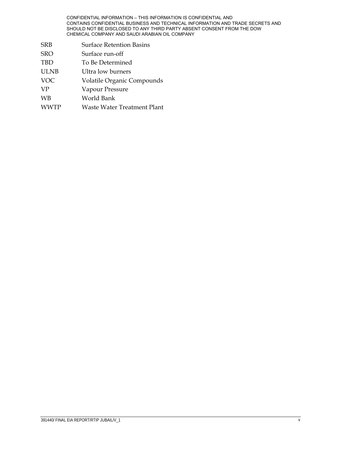- SRB Surface Retention Basins
- SRO Surface run-off TBD To Be Determined ULNB Ultra low burners VOC Volatile Organic Compounds VP Vapour Pressure WB World Bank WWTP Waste Water Treatment Plant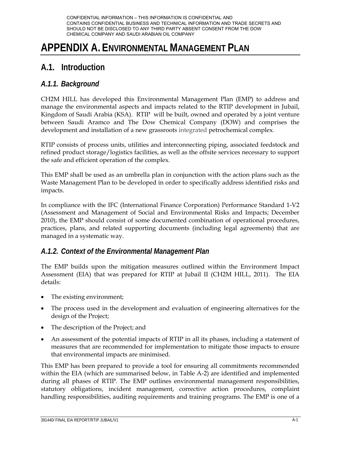## **APPENDIX A. ENVIRONMENTAL MANAGEMENT PLAN**

## **A.1. Introduction**

## *A.1.1. Background*

CH2M HILL has developed this Environmental Management Plan (EMP) to address and manage the environmental aspects and impacts related to the RTIP development in Jubail, Kingdom of Saudi Arabia (KSA). RTIP will be built, owned and operated by a joint venture between Saudi Aramco and The Dow Chemical Company (DOW) and comprises the development and installation of a new grassroots integrated petrochemical complex.

RTIP consists of process units, utilities and interconnecting piping, associated feedstock and refined product storage/logistics facilities, as well as the offsite services necessary to support the safe and efficient operation of the complex.

This EMP shall be used as an umbrella plan in conjunction with the action plans such as the Waste Management Plan to be developed in order to specifically address identified risks and impacts.

In compliance with the IFC (International Finance Corporation) Performance Standard 1-V2 (Assessment and Management of Social and Environmental Risks and Impacts; December 2010), the EMP should consist of some documented combination of operational procedures, practices, plans, and related supporting documents (including legal agreements) that are managed in a systematic way.

## *A.1.2. Context of the Environmental Management Plan*

The EMP builds upon the mitigation measures outlined within the Environment Impact Assessment (EIA) that was prepared for RTIP at Jubail II (CH2M HILL, 2011). The EIA details:

- The existing environment;
- The process used in the development and evaluation of engineering alternatives for the design of the Project;
- The description of the Project; and
- An assessment of the potential impacts of RTIP in all its phases, including a statement of measures that are recommended for implementation to mitigate those impacts to ensure that environmental impacts are minimised.

This EMP has been prepared to provide a tool for ensuring all commitments recommended within the EIA (which are summarised below, in Table A-2) are identified and implemented during all phases of RTIP. The EMP outlines environmental management responsibilities, statutory obligations, incident management, corrective action procedures, complaint handling responsibilities, auditing requirements and training programs. The EMP is one of a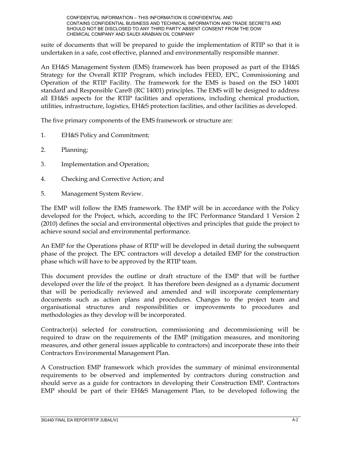suite of documents that will be prepared to guide the implementation of RTIP so that it is undertaken in a safe, cost effective, planned and environmentally responsible manner.

An EH&S Management System (EMS) framework has been proposed as part of the EH&S Strategy for the Overall RTIP Program, which includes FEED, EPC, Commissioning and Operation of the RTIP Facility. The framework for the EMS is based on the ISO 14001 standard and Responsible Care® (RC 14001) principles. The EMS will be designed to address all EH&S aspects for the RTIP facilities and operations, including chemical production, utilities, infrastructure, logistics, EH&S protection facilities, and other facilities as developed.

The five primary components of the EMS framework or structure are:

- 1. EH&S Policy and Commitment;
- 2. Planning;
- 3. Implementation and Operation;
- 4. Checking and Corrective Action; and
- 5. Management System Review.

The EMP will follow the EMS framework. The EMP will be in accordance with the Policy developed for the Project, which, according to the IFC Performance Standard 1 Version 2 (2010) defines the social and environmental objectives and principles that guide the project to achieve sound social and environmental performance.

An EMP for the Operations phase of RTIP will be developed in detail during the subsequent phase of the project. The EPC contractors will develop a detailed EMP for the construction phase which will have to be approved by the RTIP team.

This document provides the outline or draft structure of the EMP that will be further developed over the life of the project. It has therefore been designed as a dynamic document that will be periodically reviewed and amended and will incorporate complementary documents such as action plans and procedures. Changes to the project team and organisational structures and responsibilities or improvements to procedures and methodologies as they develop will be incorporated.

Contractor(s) selected for construction, commissioning and decommissioning will be required to draw on the requirements of the EMP (mitigation measures, and monitoring measures, and other general issues applicable to contractors) and incorporate these into their Contractors Environmental Management Plan.

A Construction EMP framework which provides the summary of minimal environmental requirements to be observed and implemented by contractors during construction and should serve as a guide for contractors in developing their Construction EMP. Contractors EMP should be part of their EH&S Management Plan, to be developed following the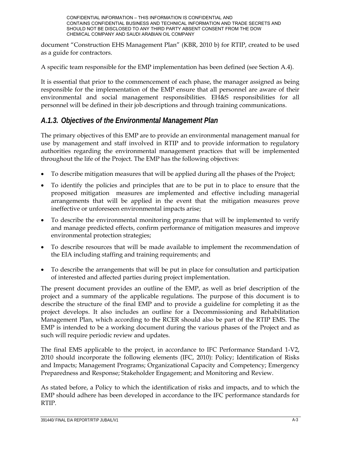document "Construction EHS Management Plan" (KBR, 2010 b) for RTIP, created to be used as a guide for contractors.

A specific team responsible for the EMP implementation has been defined (see Section A.4).

It is essential that prior to the commencement of each phase, the manager assigned as being responsible for the implementation of the EMP ensure that all personnel are aware of their environmental and social management responsibilities. EH&S responsibilities for all personnel will be defined in their job descriptions and through training communications.

## *A.1.3. Objectives of the Environmental Management Plan*

The primary objectives of this EMP are to provide an environmental management manual for use by management and staff involved in RTIP and to provide information to regulatory authorities regarding the environmental management practices that will be implemented throughout the life of the Project. The EMP has the following objectives:

- To describe mitigation measures that will be applied during all the phases of the Project;
- To identify the policies and principles that are to be put in to place to ensure that the proposed mitigation measures are implemented and effective including managerial arrangements that will be applied in the event that the mitigation measures prove ineffective or unforeseen environmental impacts arise;
- To describe the environmental monitoring programs that will be implemented to verify and manage predicted effects, confirm performance of mitigation measures and improve environmental protection strategies;
- To describe resources that will be made available to implement the recommendation of the EIA including staffing and training requirements; and
- To describe the arrangements that will be put in place for consultation and participation of interested and affected parties during project implementation.

The present document provides an outline of the EMP, as well as brief description of the project and a summary of the applicable regulations. The purpose of this document is to describe the structure of the final EMP and to provide a guideline for completing it as the project develops. It also includes an outline for a Decommissioning and Rehabilitation Management Plan, which according to the RCER should also be part of the RTIP EMS. The EMP is intended to be a working document during the various phases of the Project and as such will require periodic review and updates.

The final EMS applicable to the project, in accordance to IFC Performance Standard 1-V2, 2010 should incorporate the following elements (IFC, 2010): Policy; Identification of Risks and Impacts; Management Programs; Organizational Capacity and Competency; Emergency Preparedness and Response; Stakeholder Engagement; and Monitoring and Review.

As stated before, a Policy to which the identification of risks and impacts, and to which the EMP should adhere has been developed in accordance to the IFC performance standards for RTIP.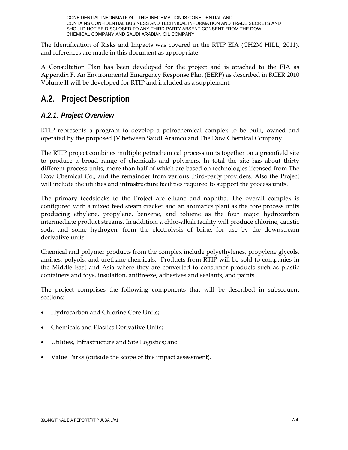The Identification of Risks and Impacts was covered in the RTIP EIA (CH2M HILL, 2011), and references are made in this document as appropriate.

A Consultation Plan has been developed for the project and is attached to the EIA as Appendix F. An Environmental Emergency Response Plan (EERP) as described in RCER 2010 Volume II will be developed for RTIP and included as a supplement.

## **A.2. Project Description**

## *A.2.1. Project Overview*

RTIP represents a program to develop a petrochemical complex to be built, owned and operated by the proposed JV between Saudi Aramco and The Dow Chemical Company.

The RTIP project combines multiple petrochemical process units together on a greenfield site to produce a broad range of chemicals and polymers. In total the site has about thirty different process units, more than half of which are based on technologies licensed from The Dow Chemical Co., and the remainder from various third-party providers. Also the Project will include the utilities and infrastructure facilities required to support the process units.

The primary feedstocks to the Project are ethane and naphtha. The overall complex is configured with a mixed feed steam cracker and an aromatics plant as the core process units producing ethylene, propylene, benzene, and toluene as the four major hydrocarbon intermediate product streams. In addition, a chlor-alkali facility will produce chlorine, caustic soda and some hydrogen, from the electrolysis of brine, for use by the downstream derivative units.

Chemical and polymer products from the complex include polyethylenes, propylene glycols, amines, polyols, and urethane chemicals. Products from RTIP will be sold to companies in the Middle East and Asia where they are converted to consumer products such as plastic containers and toys, insulation, antifreeze, adhesives and sealants, and paints.

The project comprises the following components that will be described in subsequent sections:

- Hydrocarbon and Chlorine Core Units;
- Chemicals and Plastics Derivative Units;
- Utilities, Infrastructure and Site Logistics; and
- Value Parks (outside the scope of this impact assessment).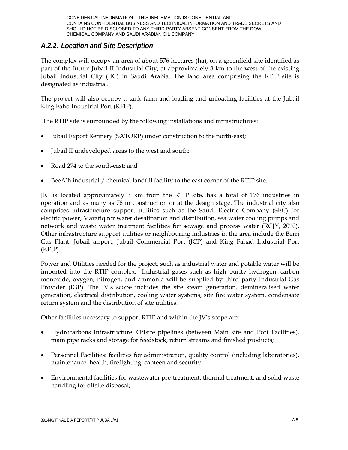## *A.2.2. Location and Site Description*

The complex will occupy an area of about 576 hectares (ha), on a greenfield site identified as part of the future Jubail II Industrial City, at approximately 3 km to the west of the existing Jubail Industrial City (JIC) in Saudi Arabia. The land area comprising the RTIP site is designated as industrial.

The project will also occupy a tank farm and loading and unloading facilities at the Jubail King Fahd Industrial Port (KFIP).

The RTIP site is surrounded by the following installations and infrastructures:

- Jubail Export Refinery (SATORP) under construction to the north-east;
- Jubail II undeveloped areas to the west and south;
- Road 274 to the south-east; and
- BeeA'h industrial / chemical landfill facility to the east corner of the RTIP site.

JIC is located approximately 3 km from the RTIP site, has a total of 176 industries in operation and as many as 76 in construction or at the design stage. The industrial city also comprises infrastructure support utilities such as the Saudi Electric Company (SEC) for electric power, Marafiq for water desalination and distribution, sea water cooling pumps and network and waste water treatment facilities for sewage and process water (RCJY, 2010). Other infrastructure support utilities or neighbouring industries in the area include the Berri Gas Plant, Jubail airport, Jubail Commercial Port (JCP) and King Fahad Industrial Port (KFIP).

Power and Utilities needed for the project, such as industrial water and potable water will be imported into the RTIP complex. Industrial gases such as high purity hydrogen, carbon monoxide, oxygen, nitrogen, and ammonia will be supplied by third party Industrial Gas Provider (IGP). The JV's scope includes the site steam generation, demineralised water generation, electrical distribution, cooling water systems, site fire water system, condensate return system and the distribution of site utilities.

Other facilities necessary to support RTIP and within the JV's scope are:

- Hydrocarbons Infrastructure: Offsite pipelines (between Main site and Port Facilities), main pipe racks and storage for feedstock, return streams and finished products;
- Personnel Facilities: facilities for administration, quality control (including laboratories), maintenance, health, firefighting, canteen and security;
- Environmental facilities for wastewater pre-treatment, thermal treatment, and solid waste handling for offsite disposal;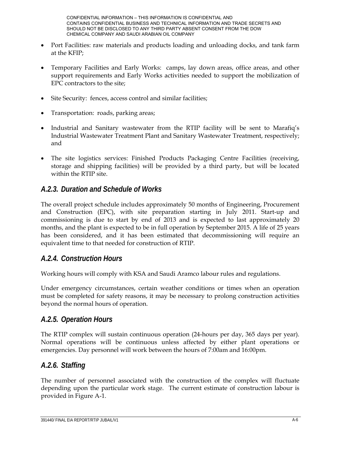- Port Facilities: raw materials and products loading and unloading docks, and tank farm at the KFIP;
- Temporary Facilities and Early Works: camps, lay down areas, office areas, and other support requirements and Early Works activities needed to support the mobilization of EPC contractors to the site;
- Site Security: fences, access control and similar facilities;
- Transportation: roads, parking areas;
- Industrial and Sanitary wastewater from the RTIP facility will be sent to Marafiq's Industrial Wastewater Treatment Plant and Sanitary Wastewater Treatment, respectively; and
- The site logistics services: Finished Products Packaging Centre Facilities (receiving, storage and shipping facilities) will be provided by a third party, but will be located within the RTIP site.

## *A.2.3. Duration and Schedule of Works*

The overall project schedule includes approximately 50 months of Engineering, Procurement and Construction (EPC), with site preparation starting in July 2011. Start-up and commissioning is due to start by end of 2013 and is expected to last approximately 20 months, and the plant is expected to be in full operation by September 2015. A life of 25 years has been considered, and it has been estimated that decommissioning will require an equivalent time to that needed for construction of RTIP.

## *A.2.4. Construction Hours*

Working hours will comply with KSA and Saudi Aramco labour rules and regulations.

Under emergency circumstances, certain weather conditions or times when an operation must be completed for safety reasons, it may be necessary to prolong construction activities beyond the normal hours of operation.

## *A.2.5. Operation Hours*

The RTIP complex will sustain continuous operation (24-hours per day, 365 days per year). Normal operations will be continuous unless affected by either plant operations or emergencies. Day personnel will work between the hours of 7:00am and 16:00pm.

## *A.2.6. Staffing*

The number of personnel associated with the construction of the complex will fluctuate depending upon the particular work stage. The current estimate of construction labour is provided in Figure A-1.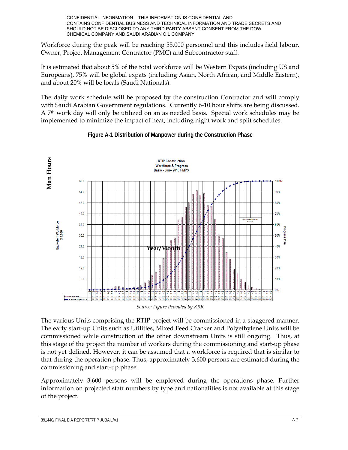Workforce during the peak will be reaching 55,000 personnel and this includes field labour, Owner, Project Management Contractor (PMC) and Subcontractor staff.

It is estimated that about 5% of the total workforce will be Western Expats (including US and Europeans), 75% will be global expats (including Asian, North African, and Middle Eastern), and about 20% will be locals (Saudi Nationals).

The daily work schedule will be proposed by the construction Contractor and will comply with Saudi Arabian Government regulations. Currently 6-10 hour shifts are being discussed. A 7th work day will only be utilized on an as needed basis. Special work schedules may be implemented to minimize the impact of heat, including night work and split schedules.



## **Figure A-1 Distribution of Manpower during the Construction Phase**

*Source: Figure Provided by KBR*

The various Units comprising the RTIP project will be commissioned in a staggered manner. The early start-up Units such as Utilities, Mixed Feed Cracker and Polyethylene Units will be commissioned while construction of the other downstream Units is still ongoing. Thus, at this stage of the project the number of workers during the commissioning and start-up phase is not yet defined. However, it can be assumed that a workforce is required that is similar to that during the operation phase. Thus, approximately 3,600 persons are estimated during the commissioning and start-up phase.

Approximately 3,600 persons will be employed during the operations phase. Further information on projected staff numbers by type and nationalities is not available at this stage of the project.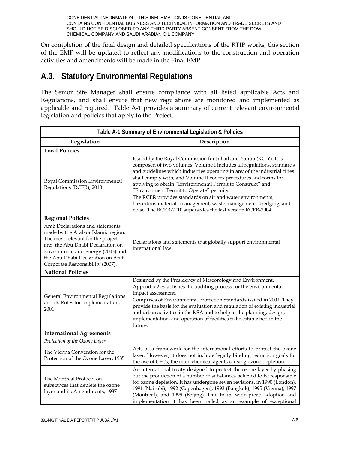On completion of the final design and detailed specifications of the RTIP works, this section of the EMP will be updated to reflect any modifications to the construction and operation activities and amendments will be made in the Final EMP.

## **A.3. Statutory Environmental Regulations**

The Senior Site Manager shall ensure compliance with all listed applicable Acts and Regulations, and shall ensure that new regulations are monitored and implemented as applicable and required. Table A-1 provides a summary of current relevant environmental legislation and policies that apply to the Project.

| Table A-1 Summary of Environmental Legislation & Policies                                                                                                                                                                                                       |                                                                                                                                                                                                                                                                                                                                                                                                                                                                                                                                                                                                       |  |  |
|-----------------------------------------------------------------------------------------------------------------------------------------------------------------------------------------------------------------------------------------------------------------|-------------------------------------------------------------------------------------------------------------------------------------------------------------------------------------------------------------------------------------------------------------------------------------------------------------------------------------------------------------------------------------------------------------------------------------------------------------------------------------------------------------------------------------------------------------------------------------------------------|--|--|
| Legislation                                                                                                                                                                                                                                                     | Description                                                                                                                                                                                                                                                                                                                                                                                                                                                                                                                                                                                           |  |  |
| <b>Local Policies</b>                                                                                                                                                                                                                                           |                                                                                                                                                                                                                                                                                                                                                                                                                                                                                                                                                                                                       |  |  |
| Royal Commission Environmental<br>Regulations (RCER), 2010                                                                                                                                                                                                      | Issued by the Royal Commission for Jubail and Yanbu (RCJY). It is<br>composed of two volumes: Volume I includes all regulations, standards<br>and guidelines which industries operating in any of the industrial cities<br>shall comply with, and Volume II covers procedures and forms for<br>applying to obtain "Environmental Permit to Construct" and<br>"Environment Permit to Operate" permits.<br>The RCER provides standards on air and water environments,<br>hazardous materials management, waste management, dredging, and<br>noise. The RCER-2010 supersedes the last version RCER-2004. |  |  |
| <b>Regional Policies</b>                                                                                                                                                                                                                                        |                                                                                                                                                                                                                                                                                                                                                                                                                                                                                                                                                                                                       |  |  |
| Arab Declarations and statements<br>made by the Arab or Islamic region.<br>The most relevant for the project<br>are: the Abu Dhabi Declaration on<br>Environment and Energy (2003) and<br>the Abu Dhabi Declaration on Arab<br>Corporate Responsibility (2007). | Declarations and statements that globally support environmental<br>international law.                                                                                                                                                                                                                                                                                                                                                                                                                                                                                                                 |  |  |
| <b>National Policies</b>                                                                                                                                                                                                                                        |                                                                                                                                                                                                                                                                                                                                                                                                                                                                                                                                                                                                       |  |  |
| General Environmental Regulations<br>and its Rules for Implementation,<br>2001                                                                                                                                                                                  | Designed by the Presidency of Meteorology and Environment.<br>Appendix 2 establishes the auditing process for the environmental<br>impact assessment.<br>Comprises of Environmental Protection Standards issued in 2001. They<br>provide the basis for the evaluation and regulation of existing industrial<br>and urban activities in the KSA and to help in the planning, design,<br>implementation, and operation of facilities to be established in the<br>future.                                                                                                                                |  |  |
| <b>International Agreements</b>                                                                                                                                                                                                                                 |                                                                                                                                                                                                                                                                                                                                                                                                                                                                                                                                                                                                       |  |  |
| Protection of the Ozone Layer                                                                                                                                                                                                                                   |                                                                                                                                                                                                                                                                                                                                                                                                                                                                                                                                                                                                       |  |  |
| The Vienna Convention for the<br>Protection of the Ozone Layer, 1985                                                                                                                                                                                            | Acts as a framework for the international efforts to protect the ozone<br>layer. However, it does not include legally binding reduction goals for<br>the use of CFCs, the main chemical agents causing ozone depletion.                                                                                                                                                                                                                                                                                                                                                                               |  |  |
| The Montreal Protocol on<br>substances that deplete the ozone<br>layer and its Amendments, 1987                                                                                                                                                                 | An international treaty designed to protect the ozone layer by phasing<br>out the production of a number of substances believed to be responsible<br>for ozone depletion. It has undergone seven revisions, in 1990 (London),<br>1991 (Nairobi), 1992 (Copenhagen), 1993 (Bangkok), 1995 (Vienna), 1997<br>(Montreal), and 1999 (Beijing). Due to its widespread adoption and<br>implementation it has been hailed as an example of exceptional                                                                                                                                                       |  |  |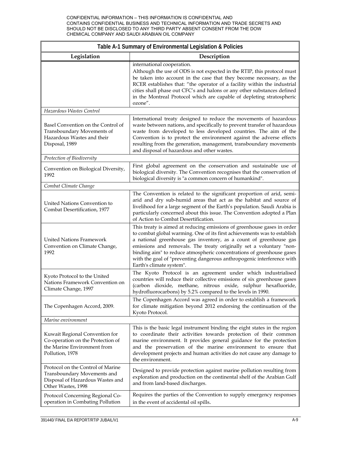| Table A-1 Summary of Environmental Legislation & Policies                                                                  |                                                                                                                                                                                                                                                                                                                                                                                                                                                                                |  |  |  |
|----------------------------------------------------------------------------------------------------------------------------|--------------------------------------------------------------------------------------------------------------------------------------------------------------------------------------------------------------------------------------------------------------------------------------------------------------------------------------------------------------------------------------------------------------------------------------------------------------------------------|--|--|--|
| Legislation                                                                                                                | Description                                                                                                                                                                                                                                                                                                                                                                                                                                                                    |  |  |  |
|                                                                                                                            | international cooperation.<br>Although the use of ODS is not expected in the RTIP, this protocol must<br>be taken into account in the case that they become necessary, as the<br>RCER establishes that: "the operator of a facility within the industrial<br>cities shall phase out CFC's and halons or any other substances defined<br>in the Montreal Protocol which are capable of depleting stratospheric<br>ozone".                                                       |  |  |  |
| Hazardous Wastes Control                                                                                                   |                                                                                                                                                                                                                                                                                                                                                                                                                                                                                |  |  |  |
| Basel Convention on the Control of<br>Transboundary Movements of<br>Hazardous Wastes and their<br>Disposal, 1989           | International treaty designed to reduce the movements of hazardous<br>waste between nations, and specifically to prevent transfer of hazardous<br>waste from developed to less developed countries. The aim of the<br>Convention is to protect the environment against the adverse effects<br>resulting from the generation, management, transboundary movements<br>and disposal of hazardous and other wastes.                                                                |  |  |  |
| Protection of Biodiversity                                                                                                 |                                                                                                                                                                                                                                                                                                                                                                                                                                                                                |  |  |  |
| Convention on Biological Diversity,<br>1992                                                                                | First global agreement on the conservation and sustainable use of<br>biological diversity. The Convention recognises that the conservation of<br>biological diversity is "a common concern of humankind".                                                                                                                                                                                                                                                                      |  |  |  |
| Combat Climate Change                                                                                                      |                                                                                                                                                                                                                                                                                                                                                                                                                                                                                |  |  |  |
| United Nations Convention to<br>Combat Desertification, 1977                                                               | The Convention is related to the significant proportion of arid, semi-<br>arid and dry sub-humid areas that act as the habitat and source of<br>livelihood for a large segment of the Earth's population. Saudi Arabia is<br>particularly concerned about this issue. The Convention adopted a Plan<br>of Action to Combat Desertification.                                                                                                                                    |  |  |  |
| <b>United Nations Framework</b><br>Convention on Climate Change,<br>1992                                                   | This treaty is aimed at reducing emissions of greenhouse gases in order<br>to combat global warming. One of its first achievements was to establish<br>a national greenhouse gas inventory, as a count of greenhouse gas<br>emissions and removals. The treaty originally set a voluntary "non-<br>binding aim" to reduce atmospheric concentrations of greenhouse gases<br>with the goal of "preventing dangerous anthropogenic interference with<br>Earth's climate system". |  |  |  |
| Kyoto Protocol to the United<br>Nations Framework Convention on<br>Climate Change, 1997                                    | The Kyoto Protocol is an agreement under which industrialised<br>countries will reduce their collective emissions of six greenhouse gases<br>(carbon dioxide, methane, nitrous oxide, sulphur hexafluoride,<br>hydrofluorocarbons) by 5.2% compared to the levels in 1990.                                                                                                                                                                                                     |  |  |  |
| The Copenhagen Accord, 2009.                                                                                               | The Copenhagen Accord was agreed in order to establish a framework<br>for climate mitigation beyond 2012 endorsing the continuation of the<br>Kyoto Protocol.                                                                                                                                                                                                                                                                                                                  |  |  |  |
| Marine environment                                                                                                         |                                                                                                                                                                                                                                                                                                                                                                                                                                                                                |  |  |  |
| Kuwait Regional Convention for<br>Co-operation on the Protection of<br>the Marine Environment from<br>Pollution, 1978      | This is the basic legal instrument binding the eight states in the region<br>to coordinate their activities towards protection of their common<br>marine environment. It provides general guidance for the protection<br>and the preservation of the marine environment to ensure that<br>development projects and human activities do not cause any damage to<br>the environment.                                                                                             |  |  |  |
| Protocol on the Control of Marine<br>Transboundary Movements and<br>Disposal of Hazardous Wastes and<br>Other Wastes, 1998 | Designed to provide protection against marine pollution resulting from<br>exploration and production on the continental shelf of the Arabian Gulf<br>and from land-based discharges.                                                                                                                                                                                                                                                                                           |  |  |  |
| Protocol Concerning Regional Co-<br>operation in Combating Pollution                                                       | Requires the parties of the Convention to supply emergency responses<br>in the event of accidental oil spills.                                                                                                                                                                                                                                                                                                                                                                 |  |  |  |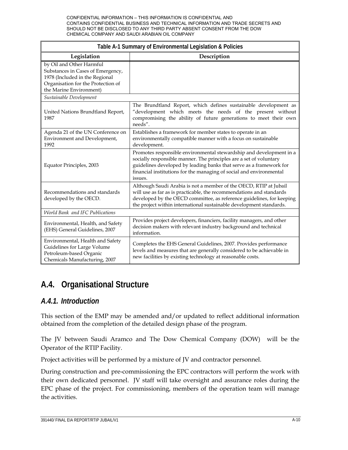| Table A-1 Summary of Environmental Legislation & Policies                                                                                                        |                                                                                                                                                                                                                                                                                                    |  |  |  |
|------------------------------------------------------------------------------------------------------------------------------------------------------------------|----------------------------------------------------------------------------------------------------------------------------------------------------------------------------------------------------------------------------------------------------------------------------------------------------|--|--|--|
| Legislation                                                                                                                                                      | Description                                                                                                                                                                                                                                                                                        |  |  |  |
| by Oil and Other Harmful<br>Substances in Cases of Emergency,<br>1978 (Included in the Regional<br>Organisation for the Protection of<br>the Marine Environment) |                                                                                                                                                                                                                                                                                                    |  |  |  |
| Sustainable Development                                                                                                                                          |                                                                                                                                                                                                                                                                                                    |  |  |  |
| United Nations Brundtland Report,<br>1987                                                                                                                        | The Brundtland Report, which defines sustainable development as<br>"development which meets the needs of the present without<br>compromising the ability of future generations to meet their own<br>needs".                                                                                        |  |  |  |
| Agenda 21 of the UN Conference on<br>Environment and Development,<br>1992                                                                                        | Establishes a framework for member states to operate in an<br>environmentally compatible manner with a focus on sustainable<br>development.                                                                                                                                                        |  |  |  |
| Equator Principles, 2003                                                                                                                                         | Promotes responsible environmental stewardship and development in a<br>socially responsible manner. The principles are a set of voluntary<br>guidelines developed by leading banks that serve as a framework for<br>financial institutions for the managing of social and environmental<br>issues. |  |  |  |
| Recommendations and standards<br>developed by the OECD.                                                                                                          | Although Saudi Arabia is not a member of the OECD, RTIP at Jubail<br>will use as far as is practicable, the recommendations and standards<br>developed by the OECD committee, as reference guidelines, for keeping<br>the project within international sustainable development standards.          |  |  |  |
| <b>World Bank and IFC Publications</b>                                                                                                                           |                                                                                                                                                                                                                                                                                                    |  |  |  |
| Environmental, Health, and Safety<br>(EHS) General Guidelines, 2007                                                                                              | Provides project developers, financiers, facility managers, and other<br>decision makers with relevant industry background and technical<br>information.                                                                                                                                           |  |  |  |
| Environmental, Health and Safety<br>Guidelines for Large Volume<br>Petroleum-based Organic<br>Chemicals Manufacturing, 2007                                      | Completes the EHS General Guidelines, 2007. Provides performance<br>levels and measures that are generally considered to be achievable in<br>new facilities by existing technology at reasonable costs.                                                                                            |  |  |  |

## **A.4. Organisational Structure**

## *A.4.1. Introduction*

This section of the EMP may be amended and/or updated to reflect additional information obtained from the completion of the detailed design phase of the program.

The JV between Saudi Aramco and The Dow Chemical Company (DOW) will be the Operator of the RTIP Facility.

Project activities will be performed by a mixture of JV and contractor personnel.

During construction and pre-commissioning the EPC contractors will perform the work with their own dedicated personnel. JV staff will take oversight and assurance roles during the EPC phase of the project. For commissioning, members of the operation team will manage the activities.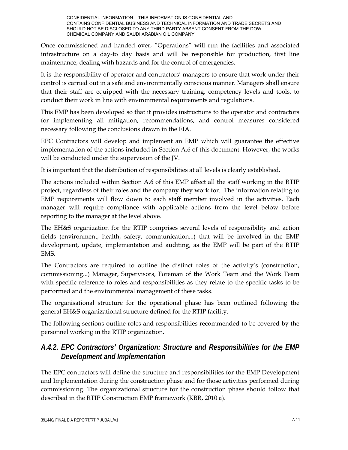Once commissioned and handed over, "Operations" will run the facilities and associated infrastructure on a day-to day basis and will be responsible for production, first line maintenance, dealing with hazards and for the control of emergencies.

It is the responsibility of operator and contractors' managers to ensure that work under their control is carried out in a safe and environmentally conscious manner. Managers shall ensure that their staff are equipped with the necessary training, competency levels and tools, to conduct their work in line with environmental requirements and regulations.

This EMP has been developed so that it provides instructions to the operator and contractors for implementing all mitigation, recommendations, and control measures considered necessary following the conclusions drawn in the EIA.

EPC Contractors will develop and implement an EMP which will guarantee the effective implementation of the actions included in Section A.6 of this document. However, the works will be conducted under the supervision of the JV.

It is important that the distribution of responsibilities at all levels is clearly established.

The actions included within Section A.6 of this EMP affect all the staff working in the RTIP project, regardless of their roles and the company they work for. The information relating to EMP requirements will flow down to each staff member involved in the activities. Each manager will require compliance with applicable actions from the level below before reporting to the manager at the level above.

The EH&S organization for the RTIP comprises several levels of responsibility and action fields (environment, health, safety, communication...) that will be involved in the EMP development, update, implementation and auditing, as the EMP will be part of the RTIP EMS.

The Contractors are required to outline the distinct roles of the activity's (construction, commissioning...) Manager, Supervisors, Foreman of the Work Team and the Work Team with specific reference to roles and responsibilities as they relate to the specific tasks to be performed and the environmental management of these tasks.

The organisational structure for the operational phase has been outlined following the general EH&S organizational structure defined for the RTIP facility.

The following sections outline roles and responsibilities recommended to be covered by the personnel working in the RTIP organization.

## *A.4.2. EPC Contractors' Organization: Structure and Responsibilities for the EMP Development and Implementation*

The EPC contractors will define the structure and responsibilities for the EMP Development and Implementation during the construction phase and for those activities performed during commissioning. The organizational structure for the construction phase should follow that described in the RTIP Construction EMP framework (KBR, 2010 a).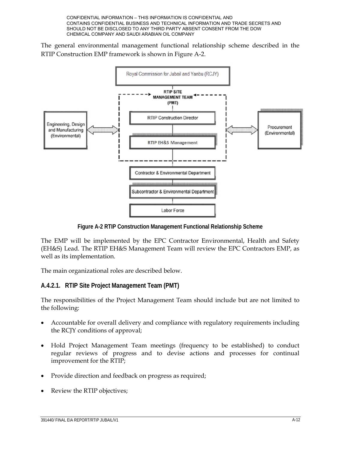The general environmental management functional relationship scheme described in the RTIP Construction EMP framework is shown in Figure A-2.



**Figure A-2 RTIP Construction Management Functional Relationship Scheme** 

The EMP will be implemented by the EPC Contractor Environmental, Health and Safety (EH&S) Lead. The RTIP EH&S Management Team will review the EPC Contractors EMP, as well as its implementation.

The main organizational roles are described below.

## **A.4.2.1. RTIP Site Project Management Team (PMT)**

The responsibilities of the Project Management Team should include but are not limited to the following:

- Accountable for overall delivery and compliance with regulatory requirements including the RCJY conditions of approval;
- Hold Project Management Team meetings (frequency to be established) to conduct regular reviews of progress and to devise actions and processes for continual improvement for the RTIP;
- Provide direction and feedback on progress as required;
- Review the RTIP objectives;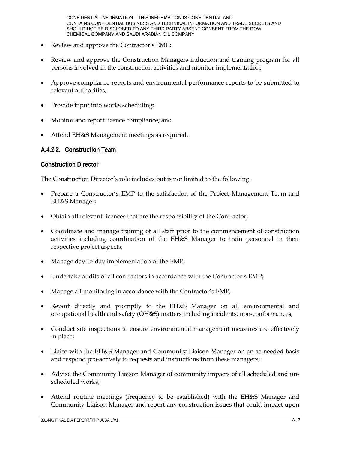- Review and approve the Contractor's EMP;
- Review and approve the Construction Managers induction and training program for all persons involved in the construction activities and monitor implementation;
- Approve compliance reports and environmental performance reports to be submitted to relevant authorities;
- Provide input into works scheduling;
- Monitor and report licence compliance; and
- Attend EH&S Management meetings as required.

#### **A.4.2.2. Construction Team**

#### **Construction Director**

The Construction Director's role includes but is not limited to the following:

- Prepare a Constructor's EMP to the satisfaction of the Project Management Team and EH&S Manager;
- Obtain all relevant licences that are the responsibility of the Contractor;
- Coordinate and manage training of all staff prior to the commencement of construction activities including coordination of the EH&S Manager to train personnel in their respective project aspects;
- Manage day-to-day implementation of the EMP;
- Undertake audits of all contractors in accordance with the Contractor's EMP;
- Manage all monitoring in accordance with the Contractor's EMP;
- Report directly and promptly to the EH&S Manager on all environmental and occupational health and safety (OH&S) matters including incidents, non-conformances;
- Conduct site inspections to ensure environmental management measures are effectively in place;
- Liaise with the EH&S Manager and Community Liaison Manager on an as-needed basis and respond pro-actively to requests and instructions from these managers;
- Advise the Community Liaison Manager of community impacts of all scheduled and unscheduled works;
- Attend routine meetings (frequency to be established) with the EH&S Manager and Community Liaison Manager and report any construction issues that could impact upon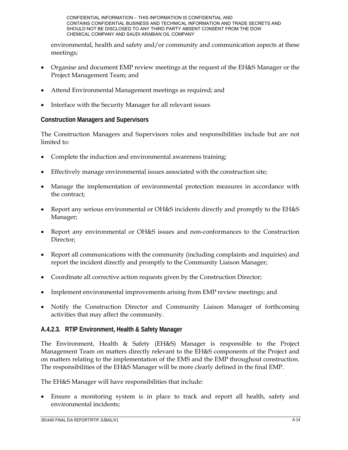environmental, health and safety and/or community and communication aspects at these meetings;

- Organise and document EMP review meetings at the request of the EH&S Manager or the Project Management Team; and
- Attend Environmental Management meetings as required; and
- Interface with the Security Manager for all relevant issues

## **Construction Managers and Supervisors**

The Construction Managers and Supervisors roles and responsibilities include but are not limited to:

- Complete the induction and environmental awareness training;
- Effectively manage environmental issues associated with the construction site;
- Manage the implementation of environmental protection measures in accordance with the contract;
- Report any serious environmental or OH&S incidents directly and promptly to the EH&S Manager;
- Report any environmental or OH&S issues and non-conformances to the Construction Director;
- Report all communications with the community (including complaints and inquiries) and report the incident directly and promptly to the Community Liaison Manager;
- Coordinate all corrective action requests given by the Construction Director;
- Implement environmental improvements arising from EMP review meetings; and
- Notify the Construction Director and Community Liaison Manager of forthcoming activities that may affect the community.

## **A.4.2.3. RTIP Environment, Health & Safety Manager**

The Environment, Health & Safety (EH&S) Manager is responsible to the Project Management Team on matters directly relevant to the EH&S components of the Project and on matters relating to the implementation of the EMS and the EMP throughout construction. The responsibilities of the EH&S Manager will be more clearly defined in the final EMP.

The EH&S Manager will have responsibilities that include:

 Ensure a monitoring system is in place to track and report all health, safety and environmental incidents;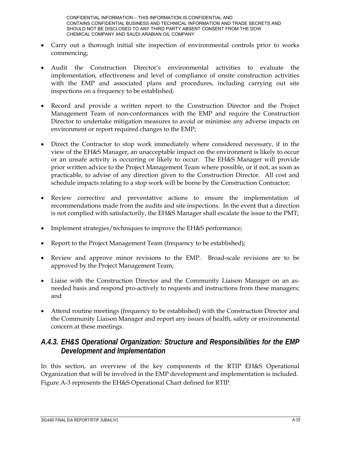- Carry out a thorough initial site inspection of environmental controls prior to works commencing;
- Audit the Construction Director's environmental activities to evaluate the implementation, effectiveness and level of compliance of onsite construction activities with the EMP and associated plans and procedures, including carrying out site inspections on a frequency to be established;
- Record and provide a written report to the Construction Director and the Project Management Team of non-conformances with the EMP and require the Construction Director to undertake mitigation measures to avoid or minimise any adverse impacts on environment or report required changes to the EMP;
- Direct the Contractor to stop work immediately where considered necessary, if in the view of the EH&S Manager, an unacceptable impact on the environment is likely to occur or an unsafe activity is occurring or likely to occur. The EH&S Manager will provide prior written advice to the Project Management Team where possible, or if not, as soon as practicable, to advise of any direction given to the Construction Director. All cost and schedule impacts relating to a stop work will be borne by the Construction Contractor;
- Review corrective and preventative actions to ensure the implementation of recommendations made from the audits and site inspections. In the event that a direction is not complied with satisfactorily, the EH&S Manager shall escalate the issue to the PMT;
- Implement strategies/techniques to improve the EH&S performance;
- Report to the Project Management Team (frequency to be established);
- Review and approve minor revisions to the EMP. Broad-scale revisions are to be approved by the Project Management Team;
- Liaise with the Construction Director and the Community Liaison Manager on an asneeded basis and respond pro-actively to requests and instructions from these managers; and
- Attend routine meetings (frequency to be established) with the Construction Director and the Community Liaison Manager and report any issues of health, safety or environmental concern at these meetings.

## *A.4.3. EH&S Operational Organization: Structure and Responsibilities for the EMP Development and Implementation*

In this section, an overview of the key components of the RTIP EH&S Operational Organization that will be involved in the EMP development and implementation is included. Figure A-3 represents the EH&S Operational Chart defined for RTIP.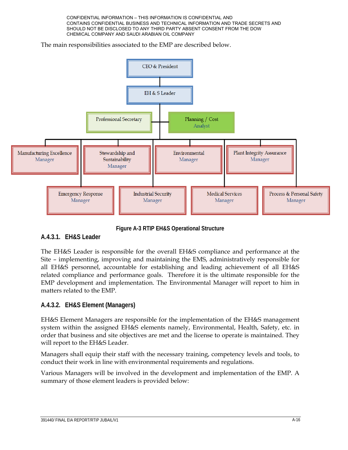The main responsibilities associated to the EMP are described below.



**Figure A-3 RTIP EH&S Operational Structure** 

## **A.4.3.1. EH&S Leader**

The EH&S Leader is responsible for the overall EH&S compliance and performance at the Site – implementing, improving and maintaining the EMS, administratively responsible for all EH&S personnel, accountable for establishing and leading achievement of all EH&S related compliance and performance goals. Therefore it is the ultimate responsible for the EMP development and implementation. The Environmental Manager will report to him in matters related to the EMP.

## **A.4.3.2. EH&S Element (Managers)**

EH&S Element Managers are responsible for the implementation of the EH&S management system within the assigned EH&S elements namely, Environmental, Health, Safety, etc. in order that business and site objectives are met and the license to operate is maintained. They will report to the EH&S Leader.

Managers shall equip their staff with the necessary training, competency levels and tools, to conduct their work in line with environmental requirements and regulations.

Various Managers will be involved in the development and implementation of the EMP. A summary of those element leaders is provided below: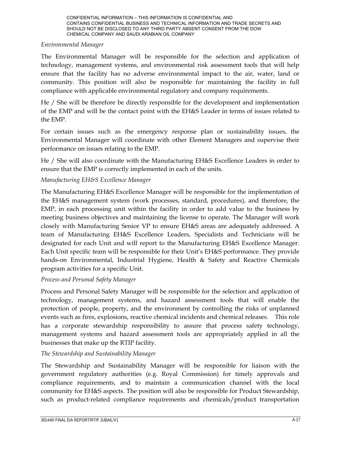### *Environmental Manager*

The Environmental Manager will be responsible for the selection and application of technology, management systems, and environmental risk assessment tools that will help ensure that the facility has no adverse environmental impact to the air, water, land or community. This position will also be responsible for maintaining the facility in full compliance with applicable environmental regulatory and company requirements.

He / She will be therefore be directly responsible for the development and implementation of the EMP and will be the contact point with the EH&S Leader in terms of issues related to the EMP.

For certain issues such as the emergency response plan or sustainability issues, the Environmental Manager will coordinate with other Element Managers and supervise their performance on issues relating to the EMP.

He / She will also coordinate with the Manufacturing EH&S Excellence Leaders in order to ensure that the EMP is correctly implemented in each of the units.

## *Manufacturing EH&S Excellence Manager*

The Manufacturing EH&S Excellence Manager will be responsible for the implementation of the EH&S management system (work processes, standard, procedures), and therefore, the EMP, in each processing unit within the facility in order to add value to the business by meeting business objectives and maintaining the license to operate. The Manager will work closely with Manufacturing Senior VP to ensure EH&S areas are adequately addressed. A team of Manufacturing EH&S Excellence Leaders, Specialists and Technicians will be designated for each Unit and will report to the Manufacturing EH&S Excellence Manager. Each Unit specific team will be responsible for their Unit's EH&S performance. They provide hands-on Environmental, Industrial Hygiene, Health & Safety and Reactive Chemicals program activities for a specific Unit.

## *Process and Personal Safety Manager*

Process and Personal Safety Manager will be responsible for the selection and application of technology, management systems, and hazard assessment tools that will enable the protection of people, property, and the environment by controlling the risks of unplanned events such as fires, explosions, reactive chemical incidents and chemical releases. This role has a corporate stewardship responsibility to assure that process safety technology, management systems and hazard assessment tools are appropriately applied in all the businesses that make up the RTIP facility.

## *The Stewardship and Sustainability Manager*

The Stewardship and Sustainability Manager will be responsible for liaison with the government regulatory authorities (e.g. Royal Commission) for timely approvals and compliance requirements, and to maintain a communication channel with the local community for EH&S aspects. The position will also be responsible for Product Stewardship, such as product-related compliance requirements and chemicals/product transportation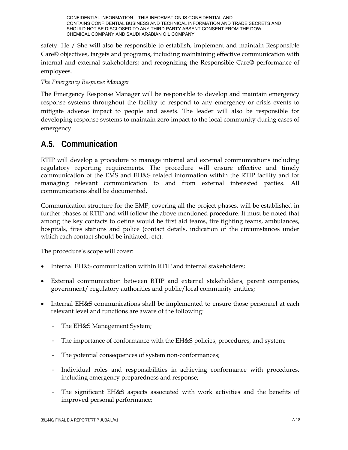safety. He / She will also be responsible to establish, implement and maintain Responsible Care® objectives, targets and programs, including maintaining effective communication with internal and external stakeholders; and recognizing the Responsible Care® performance of employees.

## *The Emergency Response Manager*

The Emergency Response Manager will be responsible to develop and maintain emergency response systems throughout the facility to respond to any emergency or crisis events to mitigate adverse impact to people and assets. The leader will also be responsible for developing response systems to maintain zero impact to the local community during cases of emergency.

## **A.5. Communication**

RTIP will develop a procedure to manage internal and external communications including regulatory reporting requirements. The procedure will ensure effective and timely communication of the EMS and EH&S related information within the RTIP facility and for managing relevant communication to and from external interested parties. All communications shall be documented.

Communication structure for the EMP, covering all the project phases, will be established in further phases of RTIP and will follow the above mentioned procedure. It must be noted that among the key contacts to define would be first aid teams, fire fighting teams, ambulances, hospitals, fires stations and police (contact details, indication of the circumstances under which each contact should be initiated., etc).

The procedure's scope will cover:

- Internal EH&S communication within RTIP and internal stakeholders;
- External communication between RTIP and external stakeholders, parent companies, government/ regulatory authorities and public/local community entities;
- Internal EH&S communications shall be implemented to ensure those personnel at each relevant level and functions are aware of the following:
	- The EH&S Management System;
	- The importance of conformance with the EH&S policies, procedures, and system;
	- The potential consequences of system non-conformances;
	- Individual roles and responsibilities in achieving conformance with procedures, including emergency preparedness and response;
	- The significant EH&S aspects associated with work activities and the benefits of improved personal performance;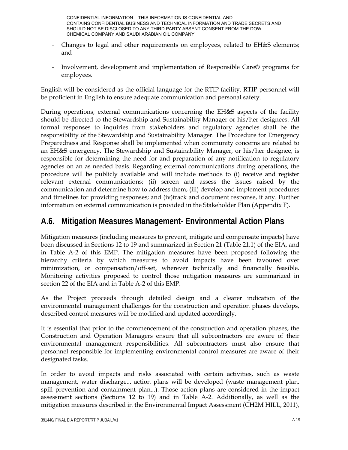- Changes to legal and other requirements on employees, related to EH&S elements; and
- Involvement, development and implementation of Responsible Care® programs for employees.

English will be considered as the official language for the RTIP facility. RTIP personnel will be proficient in English to ensure adequate communication and personal safety.

During operations, external communications concerning the EH&S aspects of the facility should be directed to the Stewardship and Sustainability Manager or his/her designees. All formal responses to inquiries from stakeholders and regulatory agencies shall be the responsibility of the Stewardship and Sustainability Manager. The Procedure for Emergency Preparedness and Response shall be implemented when community concerns are related to an EH&S emergency. The Stewardship and Sustainability Manager, or his/her designee, is responsible for determining the need for and preparation of any notification to regulatory agencies on an as needed basis. Regarding external communications during operations, the procedure will be publicly available and will include methods to (i) receive and register relevant external communications; (ii) screen and assess the issues raised by the communication and determine how to address them; (iii) develop and implement procedures and timelines for providing responses; and (iv)track and document response, if any. Further information on external communication is provided in the Stakeholder Plan (Appendix F).

## **A.6. Mitigation Measures Management- Environmental Action Plans**

Mitigation measures (including measures to prevent, mitigate and compensate impacts) have been discussed in Sections 12 to 19 and summarized in Section 21 (Table 21.1) of the EIA, and in Table A-2 of this EMP. The mitigation measures have been proposed following the hierarchy criteria by which measures to avoid impacts have been favoured over minimization, or compensation/off-set, wherever technically and financially feasible. Monitoring activities proposed to control those mitigation measures are summarized in section 22 of the EIA and in Table A-2 of this EMP.

As the Project proceeds through detailed design and a clearer indication of the environmental management challenges for the construction and operation phases develops, described control measures will be modified and updated accordingly.

It is essential that prior to the commencement of the construction and operation phases, the Construction and Operation Managers ensure that all subcontractors are aware of their environmental management responsibilities. All subcontractors must also ensure that personnel responsible for implementing environmental control measures are aware of their designated tasks.

In order to avoid impacts and risks associated with certain activities, such as waste management, water discharge... action plans will be developed (waste management plan, spill prevention and containment plan...). Those action plans are considered in the impact assessment sections (Sections 12 to 19) and in Table A-2. Additionally, as well as the mitigation measures described in the Environmental Impact Assessment (CH2M HILL, 2011),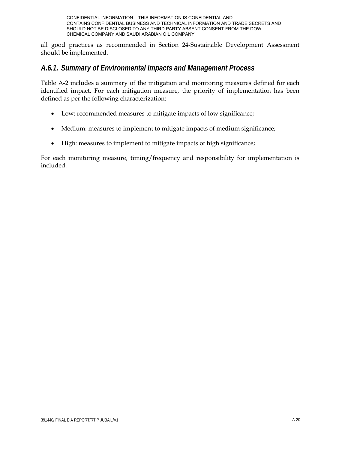all good practices as recommended in Section 24-Sustainable Development Assessment should be implemented.

## *A.6.1. Summary of Environmental Impacts and Management Process*

Table A-2 includes a summary of the mitigation and monitoring measures defined for each identified impact. For each mitigation measure, the priority of implementation has been defined as per the following characterization:

- Low: recommended measures to mitigate impacts of low significance;
- Medium: measures to implement to mitigate impacts of medium significance;
- High: measures to implement to mitigate impacts of high significance;

For each monitoring measure, timing/frequency and responsibility for implementation is included.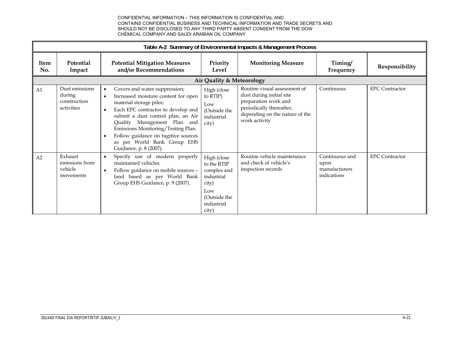|             | Table A-2 Summary of Environmental Impacts & Management Process |                                                                                                                                                                                                                                                                                                                                                                                         |                                                                                                                |                                                                                                                                                                 |                                                        |                       |  |  |
|-------------|-----------------------------------------------------------------|-----------------------------------------------------------------------------------------------------------------------------------------------------------------------------------------------------------------------------------------------------------------------------------------------------------------------------------------------------------------------------------------|----------------------------------------------------------------------------------------------------------------|-----------------------------------------------------------------------------------------------------------------------------------------------------------------|--------------------------------------------------------|-----------------------|--|--|
| Item<br>No. | Potential<br>Impact                                             | <b>Potential Mitigation Measures</b><br>and/or Recommendations                                                                                                                                                                                                                                                                                                                          | Priority<br>Level                                                                                              | <b>Monitoring Measure</b>                                                                                                                                       | Timing/<br>Frequency                                   | Responsibility        |  |  |
|             |                                                                 |                                                                                                                                                                                                                                                                                                                                                                                         | <b>Air Quality &amp; Meteorology</b>                                                                           |                                                                                                                                                                 |                                                        |                       |  |  |
| A1          | Dust emissions<br>during<br>construction<br>activities          | Covers and water suppression;<br>$\bullet$<br>Increased moisture content for open<br>material storage piles;<br>Each EPC contractor to develop and<br>$\bullet$<br>submit a dust control plan, an Air<br>Quality Management Plan and<br>Emissions Monitoring/Testing Plan.<br>Follow guidance on fugitive sources<br>$\bullet$<br>as per World Bank Group EHS<br>Guidance, p. 8 (2007). | High (close<br>to RTIP)<br>Low<br>(Outside the<br>industrial<br>city)                                          | Routine visual assessment of<br>dust during initial site<br>preparation work and<br>periodically thereafter,<br>depending on the nature of the<br>work activity | Continuous                                             | <b>EPC</b> Contractor |  |  |
| A2          | Exhaust<br>emissions from<br>vehicle<br>movements               | Specify use of modern properly<br>$\bullet$<br>maintained vehicles.<br>Follow guidance on mobile sources -<br>$\bullet$<br>land based as per World Bank<br>Group EHS Guidance, p. 9 (2007).                                                                                                                                                                                             | High (close<br>to the RTIP<br>complex and<br>industrial<br>city)<br>Low<br>(Outside the<br>industrial<br>city) | Routine vehicle maintenance<br>and check of vehicle's<br>inspection records                                                                                     | Continuous and<br>upon<br>manufacturers<br>indications | <b>EPC</b> Contractor |  |  |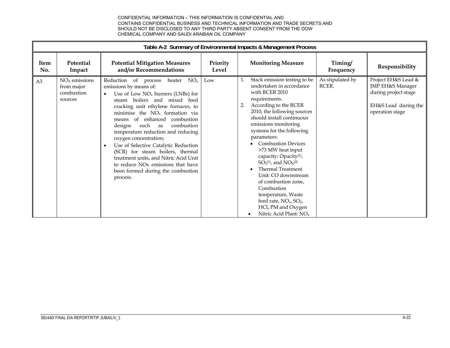|                | Table A-2 Summary of Environmental Impacts & Management Process |                                                                                                                                                                                                                                                                                                                                                                                                                                                                                                                                                                                                                  |                   |                                                                                                                                                                                                                                                                                                                                                                                                                                                                                                                                                                                                             |                           |                                                                                                            |  |
|----------------|-----------------------------------------------------------------|------------------------------------------------------------------------------------------------------------------------------------------------------------------------------------------------------------------------------------------------------------------------------------------------------------------------------------------------------------------------------------------------------------------------------------------------------------------------------------------------------------------------------------------------------------------------------------------------------------------|-------------------|-------------------------------------------------------------------------------------------------------------------------------------------------------------------------------------------------------------------------------------------------------------------------------------------------------------------------------------------------------------------------------------------------------------------------------------------------------------------------------------------------------------------------------------------------------------------------------------------------------------|---------------------------|------------------------------------------------------------------------------------------------------------|--|
| Item<br>No.    | Potential<br>Impact                                             | <b>Potential Mitigation Measures</b><br>and/or Recommendations                                                                                                                                                                                                                                                                                                                                                                                                                                                                                                                                                   | Priority<br>Level | <b>Monitoring Measure</b>                                                                                                                                                                                                                                                                                                                                                                                                                                                                                                                                                                                   | Timing/<br>Frequency      | Responsibility                                                                                             |  |
| A <sub>3</sub> | $NOX$ emissions<br>from major<br>combustion<br>sources          | Reduction of process<br>heater<br>$NO_{x}$<br>emissions by means of:<br>Use of Low $NOx$ burners (LNBs) for<br>$\bullet$<br>steam boilers and mixed feed<br>cracking unit ethylene furnaces, to<br>minimise the $NOx$ formation via<br>of enhanced combustion<br>means<br>combustion<br>such<br>designs<br>as<br>temperature reduction and reducing<br>oxygen concentration;<br>Use of Selective Catalytic Reduction<br>$\bullet$<br>(SCR) for steam boilers, thermal<br>treatment units, and Nitric Acid Unit<br>to reduce NO <sub>x</sub> emissions that have<br>been formed during the combustion<br>process. | Low               | Stack emission testing to be<br>undertaken in accordance<br>with RCER 2010<br>requirements.<br>According to the RCER<br>2.<br>2010, the following sources<br>should install continuous<br>emissions monitoring<br>systems for the following<br>parameters:<br><b>Combustion Devices</b><br>>73 MW heat input<br>capacity: Opacity <sup>(1)</sup> ,<br>$SO_2(1)$ , and $NO_X(2)$<br><b>Thermal Treatment</b><br>Unit: CO downstream<br>of combustion zone,<br>Combustion<br>temperature, Waste<br>feed rate, NO <sub>x</sub> , SO <sub>2</sub> ,<br>HCl, PM and Oxygen<br>Nitric Acid Plant: NO <sub>x</sub> | As stipulated by<br>RCER. | Project EH&S Lead &<br>JMP EH&S Manager<br>during project stage<br>EH&S Lead during the<br>operation stage |  |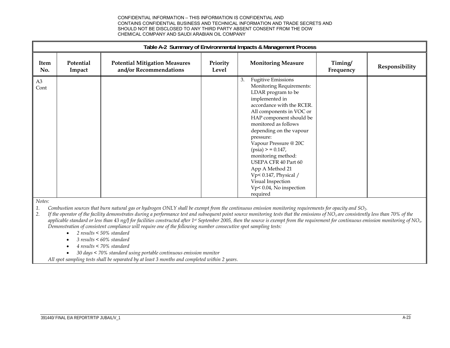|                        | Table A-2 Summary of Environmental Impacts & Management Process |                                                                |                   |                                                                                                                                                                                                                                                                                                                                                                                                                                                              |                      |                |
|------------------------|-----------------------------------------------------------------|----------------------------------------------------------------|-------------------|--------------------------------------------------------------------------------------------------------------------------------------------------------------------------------------------------------------------------------------------------------------------------------------------------------------------------------------------------------------------------------------------------------------------------------------------------------------|----------------------|----------------|
| Item<br>No.            | Potential<br>Impact                                             | <b>Potential Mitigation Measures</b><br>and/or Recommendations | Priority<br>Level | <b>Monitoring Measure</b>                                                                                                                                                                                                                                                                                                                                                                                                                                    | Timing/<br>Frequency | Responsibility |
| A <sub>3</sub><br>Cont |                                                                 |                                                                |                   | <b>Fugitive Emissions</b><br>3.<br>Monitoring Requirements:<br>LDAR program to be<br>implemented in<br>accordance with the RCER.<br>All components in VOC or<br>HAP component should be<br>monitored as follows<br>depending on the vapour<br>pressure:<br>Vapour Pressure @ 20C<br>$(psia) > 0.147$ ,<br>monitoring method:<br>USEPA CFR 40 Part 60<br>App A Method 21<br>Vp< 0.147, Physical /<br>Visual Inspection<br>Vp< 0.04, No inspection<br>required |                      |                |

*Notes:* 

*1.Combustion sources that burn natural gas or hydrogen ONLY shall be exempt from the continuous emission monitoring requirements for opacity and SO2.* 

*2.If the operator of the facility demonstrates during a performance test and subsequent point source monitoring tests that the emissions of NO<sub>x</sub> are consistently less than 70% of the applicable standard or less than 43 ng*/*J for facilities constructed after 1<sup>st</sup> September 2005, then the source is exempt from the requirement for continuous emission monitoring of NO<sub>x</sub>. Demonstration of consistent compliance will require one of the following number consecutive spot sampling tests:* 

*2 results < 50% standard* 

- $\bullet$ *3 results < 60% standard*
- $\bullet$ *4 results < 70% standard*

 $\bullet$ *30 days < 70% standard using portable continuous emission monitor* 

*All spot sampling tests shall be separated by at least 3 months and completed within 2 years.*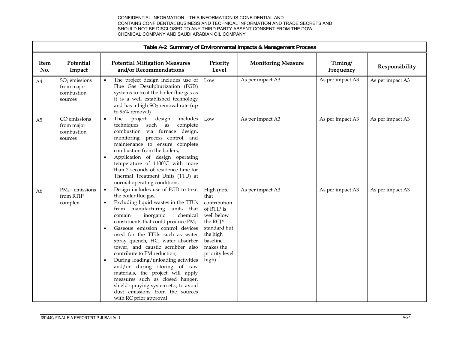|                | Table A-2 Summary of Environmental Impacts & Management Process  |                                                                                                                                                                                                                                                                                                                                                                                                                                                                                                                                                                                                                                                                             |                                                                                                                                                            |                           |                      |                  |
|----------------|------------------------------------------------------------------|-----------------------------------------------------------------------------------------------------------------------------------------------------------------------------------------------------------------------------------------------------------------------------------------------------------------------------------------------------------------------------------------------------------------------------------------------------------------------------------------------------------------------------------------------------------------------------------------------------------------------------------------------------------------------------|------------------------------------------------------------------------------------------------------------------------------------------------------------|---------------------------|----------------------|------------------|
| Item<br>No.    | Potential<br>Impact                                              | <b>Potential Mitigation Measures</b><br>and/or Recommendations                                                                                                                                                                                                                                                                                                                                                                                                                                                                                                                                                                                                              | Priority<br>Level                                                                                                                                          | <b>Monitoring Measure</b> | Timing/<br>Frequency | Responsibility   |
| A4             | SO <sub>2</sub> emissions<br>from major<br>combustion<br>sources | The project design includes use of<br>Flue Gas Desulphurization (FGD)<br>systems to treat the boiler flue gas as<br>it is a well established technology<br>and has a high SO <sub>2</sub> removal rate (up<br>to 95% removal)                                                                                                                                                                                                                                                                                                                                                                                                                                               | Low                                                                                                                                                        | As per impact A3          | As per impact A3     | As per impact A3 |
| A <sub>5</sub> | CO emissions<br>from major<br>combustion<br>sources              | design<br>includes<br>The<br>project<br>$\bullet$<br>complete<br>techniques<br>such as<br>combustion via furnace design,<br>monitoring, process control, and<br>maintenance to ensure complete<br>combustion from the boilers;<br>Application of design operating<br>$\bullet$<br>temperature of 1100°C with more<br>than 2 seconds of residence time for<br>Thermal Treatment Units (TTU) at<br>normal operating conditions                                                                                                                                                                                                                                                | Low                                                                                                                                                        | As per impact A3          | As per impact A3     | As per impact A3 |
| A <sub>6</sub> | $PM_{10}$ emissions<br>from RTIP<br>complex                      | Design includes use of FGD to treat<br>$\bullet$<br>the boiler flue gas;<br>Excluding liquid wastes in the TTUs<br>$\bullet$<br>from manufacturing units that<br>inorganic<br>chemical<br>contain<br>constituents that could produce PM;<br>Gaseous emission control devices<br>used for the TTUs such as water<br>spray quench, HCl water absorber<br>tower, and caustic scrubber also<br>contribute to PM reduction;<br>During loading/unloading activities<br>and/or during storing of raw<br>materials, the project will apply<br>measures such as closed hanger,<br>shield spraying system etc., to avoid<br>dust emissions from the sources<br>with RC prior approval | High (note<br>that<br>contribution<br>of RTIP is<br>well below<br>the RCJY<br>standard but<br>the high<br>baseline<br>makes the<br>priority level<br>high) | As per impact A3          | As per impact A3     | As per impact A3 |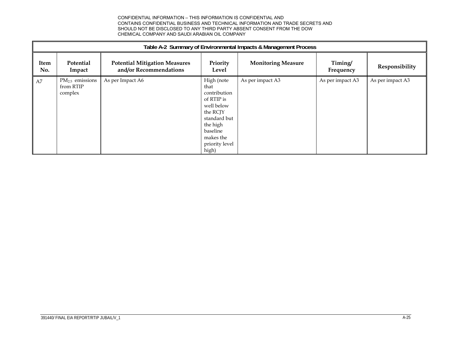| Table A-2 Summary of Environmental Impacts & Management Process |                                           |                                                                |                                                                                                                                                            |                           |                      |                  |  |  |
|-----------------------------------------------------------------|-------------------------------------------|----------------------------------------------------------------|------------------------------------------------------------------------------------------------------------------------------------------------------------|---------------------------|----------------------|------------------|--|--|
| Item<br>No.                                                     | Potential<br>Impact                       | <b>Potential Mitigation Measures</b><br>and/or Recommendations | Priority<br>Level                                                                                                                                          | <b>Monitoring Measure</b> | Timing/<br>Frequency | Responsibility   |  |  |
| A7                                                              | $PM2.5$ emissions<br>from RTIP<br>complex | As per Impact A6                                               | High (note<br>that<br>contribution<br>of RTIP is<br>well below<br>the RCJY<br>standard but<br>the high<br>baseline<br>makes the<br>priority level<br>high) | As per impact A3          | As per impact A3     | As per impact A3 |  |  |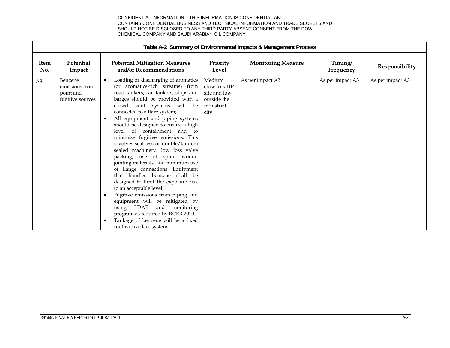|                | Table A-2 Summary of Environmental Impacts & Management Process |                                                                                                                                                                                                                                                                                                                                                                                                                                                                                                                                                                                                                                                                                                                                                                                                                                                                                                      |                                                                              |                           |                      |                  |  |
|----------------|-----------------------------------------------------------------|------------------------------------------------------------------------------------------------------------------------------------------------------------------------------------------------------------------------------------------------------------------------------------------------------------------------------------------------------------------------------------------------------------------------------------------------------------------------------------------------------------------------------------------------------------------------------------------------------------------------------------------------------------------------------------------------------------------------------------------------------------------------------------------------------------------------------------------------------------------------------------------------------|------------------------------------------------------------------------------|---------------------------|----------------------|------------------|--|
| Item<br>No.    | Potential<br>Impact                                             | <b>Potential Mitigation Measures</b><br>and/or Recommendations                                                                                                                                                                                                                                                                                                                                                                                                                                                                                                                                                                                                                                                                                                                                                                                                                                       | Priority<br>Level                                                            | <b>Monitoring Measure</b> | Timing/<br>Frequency | Responsibility   |  |
| A <sub>8</sub> | Benzene<br>emissions from<br>point and<br>fugitive sources      | Loading or discharging of aromatics<br>$\bullet$<br>(or aromatics-rich streams) from<br>road tankers, rail tankers, ships and<br>barges should be provided with a<br>closed vent systems will be<br>connected to a flare system;<br>All equipment and piping systems<br>should be designed to ensure a high<br>level of containment and to<br>minimise fugitive emissions. This<br>involves seal-less or double/tandem<br>sealed machinery, low loss valve<br>packing, use of spiral wound<br>jointing materials, and minimum use<br>of flange connections. Equipment<br>that handles benzene shall be<br>designed to limit the exposure risk<br>to an acceptable level;<br>Fugitive emissions from piping and<br>$\bullet$<br>equipment will be mitigated by<br>using LDAR and<br>monitoring<br>program as required by RCER 2010.<br>Tankage of benzene will be a fixed<br>roof with a flare system | Medium<br>close to RTIP<br>site and low<br>outside the<br>industrial<br>city | As per impact A3          | As per impact A3     | As per impact A3 |  |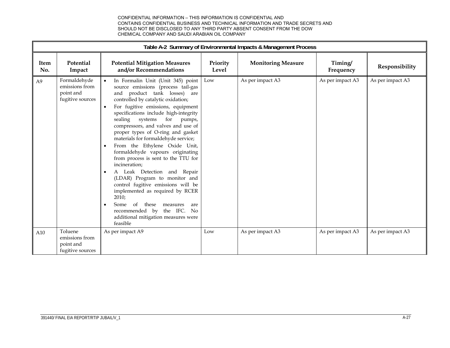|                | Table A-2 Summary of Environmental Impacts & Management Process |                                                                                                                                                                                                                                                                                                                                                                                                                                                                                                                                                                                                                                                                                                                                                                                                                                             |                   |                           |                      |                  |  |  |
|----------------|-----------------------------------------------------------------|---------------------------------------------------------------------------------------------------------------------------------------------------------------------------------------------------------------------------------------------------------------------------------------------------------------------------------------------------------------------------------------------------------------------------------------------------------------------------------------------------------------------------------------------------------------------------------------------------------------------------------------------------------------------------------------------------------------------------------------------------------------------------------------------------------------------------------------------|-------------------|---------------------------|----------------------|------------------|--|--|
| Item<br>No.    | Potential<br>Impact                                             | <b>Potential Mitigation Measures</b><br>and/or Recommendations                                                                                                                                                                                                                                                                                                                                                                                                                                                                                                                                                                                                                                                                                                                                                                              | Priority<br>Level | <b>Monitoring Measure</b> | Timing/<br>Frequency | Responsibility   |  |  |
| A <sub>9</sub> | Formaldehyde<br>emissions from<br>point and<br>fugitive sources | In Formalin Unit (Unit 345) point<br>source emissions (process tail-gas<br>product tank losses)<br>and<br>are<br>controlled by catalytic oxidation;<br>For fugitive emissions, equipment<br>$\bullet$<br>specifications include high-integrity<br>sealing systems for pumps,<br>compressors, and valves and use of<br>proper types of O-ring and gasket<br>materials for formaldehyde service;<br>From the Ethylene Oxide Unit,<br>$\bullet$<br>formaldehyde vapours originating<br>from process is sent to the TTU for<br>incineration;<br>A Leak Detection and Repair<br>(LDAR) Program to monitor and<br>control fugitive emissions will be<br>implemented as required by RCER<br>2010;<br>$\alpha$<br>Some<br>these<br>measures<br>are<br>$\bullet$<br>recommended by the IFC.<br>No<br>additional mitigation measures were<br>feasible | Low               | As per impact A3          | As per impact A3     | As per impact A3 |  |  |
| A10            | Toluene<br>emissions from<br>point and<br>fugitive sources      | As per impact A9                                                                                                                                                                                                                                                                                                                                                                                                                                                                                                                                                                                                                                                                                                                                                                                                                            | Low               | As per impact A3          | As per impact A3     | As per impact A3 |  |  |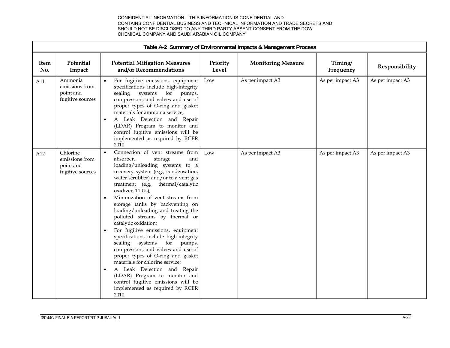| Table A-2 Summary of Environmental Impacts & Management Process |                                                             |                                                                                                                                                                                                                                                                                                                                                                                                                                                                                                                                                                                                                                                                                                                                                                                                                               |                   |                           |                      |                  |
|-----------------------------------------------------------------|-------------------------------------------------------------|-------------------------------------------------------------------------------------------------------------------------------------------------------------------------------------------------------------------------------------------------------------------------------------------------------------------------------------------------------------------------------------------------------------------------------------------------------------------------------------------------------------------------------------------------------------------------------------------------------------------------------------------------------------------------------------------------------------------------------------------------------------------------------------------------------------------------------|-------------------|---------------------------|----------------------|------------------|
| Item<br>No.                                                     | Potential<br>Impact                                         | <b>Potential Mitigation Measures</b><br>and/or Recommendations                                                                                                                                                                                                                                                                                                                                                                                                                                                                                                                                                                                                                                                                                                                                                                | Priority<br>Level | <b>Monitoring Measure</b> | Timing/<br>Frequency | Responsibility   |
| A11                                                             | Ammonia<br>emissions from<br>point and<br>fugitive sources  | For fugitive emissions, equipment<br>specifications include high-integrity<br>sealing systems for pumps,<br>compressors, and valves and use of<br>proper types of O-ring and gasket<br>materials for ammonia service;<br>A Leak Detection and Repair<br>(LDAR) Program to monitor and<br>control fugitive emissions will be<br>implemented as required by RCER<br>2010                                                                                                                                                                                                                                                                                                                                                                                                                                                        | Low               | As per impact A3          | As per impact A3     | As per impact A3 |
| A12                                                             | Chlorine<br>emissions from<br>point and<br>fugitive sources | Connection of vent streams from<br>$\bullet$<br>absorber,<br>and<br>storage<br>loading/unloading systems to a<br>recovery system (e.g., condensation,<br>water scrubber) and/or to a vent gas<br>treatment (e.g., thermal/catalytic<br>oxidizer, TTUs);<br>Minimization of vent streams from<br>storage tanks by backventing on<br>loading/unloading and treating the<br>polluted streams by thermal or<br>catalytic oxidation;<br>For fugitive emissions, equipment<br>specifications include high-integrity<br>sealing systems<br>for<br>pumps,<br>compressors, and valves and use of<br>proper types of O-ring and gasket<br>materials for chlorine service;<br>A Leak Detection and Repair<br>$\bullet$<br>(LDAR) Program to monitor and<br>control fugitive emissions will be<br>implemented as required by RCER<br>2010 | Low               | As per impact A3          | As per impact A3     | As per impact A3 |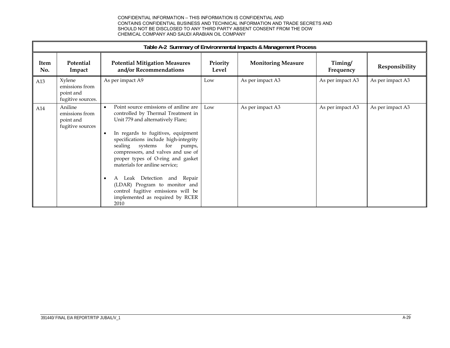|             | Table A-2 Summary of Environmental Impacts & Management Process |                                                                                                                                                                                                                                                                                                                                                                                                                                                                                                                                                |                   |                           |                      |                  |  |  |
|-------------|-----------------------------------------------------------------|------------------------------------------------------------------------------------------------------------------------------------------------------------------------------------------------------------------------------------------------------------------------------------------------------------------------------------------------------------------------------------------------------------------------------------------------------------------------------------------------------------------------------------------------|-------------------|---------------------------|----------------------|------------------|--|--|
| Item<br>No. | Potential<br>Impact                                             | <b>Potential Mitigation Measures</b><br>and/or Recommendations                                                                                                                                                                                                                                                                                                                                                                                                                                                                                 | Priority<br>Level | <b>Monitoring Measure</b> | Timing/<br>Frequency | Responsibility   |  |  |
| A13         | Xylene<br>emissions from<br>point and<br>fugitive sources.      | As per impact A9                                                                                                                                                                                                                                                                                                                                                                                                                                                                                                                               | Low               | As per impact A3          | As per impact A3     | As per impact A3 |  |  |
| A14         | Aniline<br>emissions from<br>point and<br>fugitive sources      | Point source emissions of aniline are<br>$\bullet$<br>controlled by Thermal Treatment in<br>Unit 779 and alternatively Flare;<br>In regards to fugitives, equipment<br>$\bullet$<br>specifications include high-integrity<br>sealing systems<br>for<br>pumps,<br>compressors, and valves and use of<br>proper types of O-ring and gasket<br>materials for aniline service;<br>Leak Detection<br>and Repair<br>A<br>$\bullet$<br>(LDAR) Program to monitor and<br>control fugitive emissions will be<br>implemented as required by RCER<br>2010 | Low               | As per impact A3          | As per impact A3     | As per impact A3 |  |  |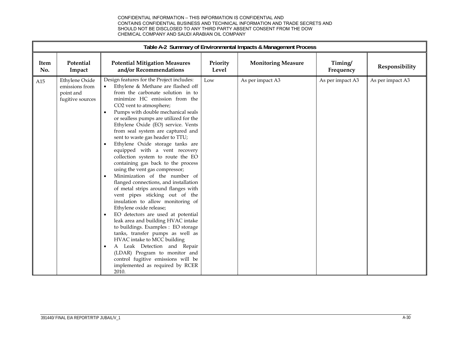|             | Table A-2 Summary of Environmental Impacts & Management Process   |                                                                                                                                                                                                                                                                                                                                                                                                                                                                                                                                                                                                                                                                                                                                                                                                                                                                                                                                                                                                                                                                                                                                                                     |                   |                           |                      |                  |  |  |
|-------------|-------------------------------------------------------------------|---------------------------------------------------------------------------------------------------------------------------------------------------------------------------------------------------------------------------------------------------------------------------------------------------------------------------------------------------------------------------------------------------------------------------------------------------------------------------------------------------------------------------------------------------------------------------------------------------------------------------------------------------------------------------------------------------------------------------------------------------------------------------------------------------------------------------------------------------------------------------------------------------------------------------------------------------------------------------------------------------------------------------------------------------------------------------------------------------------------------------------------------------------------------|-------------------|---------------------------|----------------------|------------------|--|--|
| Item<br>No. | Potential<br>Impact                                               | <b>Potential Mitigation Measures</b><br>and/or Recommendations                                                                                                                                                                                                                                                                                                                                                                                                                                                                                                                                                                                                                                                                                                                                                                                                                                                                                                                                                                                                                                                                                                      | Priority<br>Level | <b>Monitoring Measure</b> | Timing/<br>Frequency | Responsibility   |  |  |
| A15         | Ethylene Oxide<br>emissions from<br>point and<br>fugitive sources | Design features for the Project includes:<br>Ethylene & Methane are flashed off<br>from the carbonate solution in to<br>minimize HC emission from the<br>CO2 vent to atmosphere;<br>Pumps with double mechanical seals<br>or sealless pumps are utilized for the<br>Ethylene Oxide (EO) service. Vents<br>from seal system are captured and<br>sent to waste gas header to TTU;<br>Ethylene Oxide storage tanks are<br>equipped with a vent recovery<br>collection system to route the EO<br>containing gas back to the process<br>using the vent gas compressor;<br>Minimization of the number of<br>$\bullet$<br>flanged connections, and installation<br>of metal strips around flanges with<br>vent pipes sticking out of the<br>insulation to allow monitoring of<br>Ethylene oxide release;<br>EO detectors are used at potential<br>$\bullet$<br>leak area and building HVAC intake<br>to buildings. Examples : EO storage<br>tanks, transfer pumps as well as<br>HVAC intake to MCC building<br>A Leak Detection and Repair<br>$\bullet$<br>(LDAR) Program to monitor and<br>control fugitive emissions will be<br>implemented as required by RCER<br>2010. | Low               | As per impact A3          | As per impact A3     | As per impact A3 |  |  |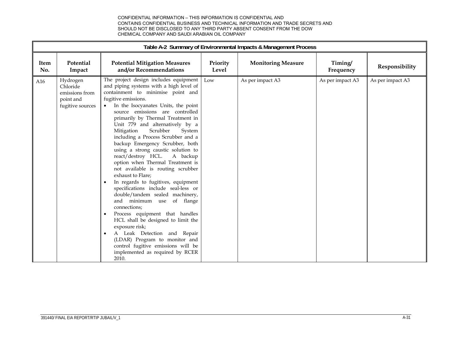|             | Table A-2 Summary of Environmental Impacts & Management Process         |                                                                                                                                                                                                                                                                                                                                                                                                                                                                                                                                                                                                                                                                                                                                                                                                                                                                                                                                                                                                                         |                   |                           |                      |                  |  |  |  |
|-------------|-------------------------------------------------------------------------|-------------------------------------------------------------------------------------------------------------------------------------------------------------------------------------------------------------------------------------------------------------------------------------------------------------------------------------------------------------------------------------------------------------------------------------------------------------------------------------------------------------------------------------------------------------------------------------------------------------------------------------------------------------------------------------------------------------------------------------------------------------------------------------------------------------------------------------------------------------------------------------------------------------------------------------------------------------------------------------------------------------------------|-------------------|---------------------------|----------------------|------------------|--|--|--|
| Item<br>No. | Potential<br>Impact                                                     | <b>Potential Mitigation Measures</b><br>and/or Recommendations                                                                                                                                                                                                                                                                                                                                                                                                                                                                                                                                                                                                                                                                                                                                                                                                                                                                                                                                                          | Priority<br>Level | <b>Monitoring Measure</b> | Timing/<br>Frequency | Responsibility   |  |  |  |
| A16         | Hydrogen<br>Chloride<br>emissions from<br>point and<br>fugitive sources | The project design includes equipment<br>and piping systems with a high level of<br>containment to minimise point and<br>fugitive emissions.<br>In the Isocyanates Units, the point<br>source emissions are controlled<br>primarily by Thermal Treatment in<br>Unit 779 and alternatively by a<br>Scrubber<br>Mitigation<br>System<br>including a Process Scrubber and a<br>backup Emergency Scrubber, both<br>using a strong caustic solution to<br>react/destroy HCL.<br>A backup<br>option when Thermal Treatment is<br>not available is routing scrubber<br>exhaust to Flare;<br>In regards to fugitives, equipment<br>$\bullet$<br>specifications include seal-less or<br>double/tandem sealed machinery,<br>and minimum use<br>of flange<br>connections;<br>Process equipment that handles<br>$\bullet$<br>HCL shall be designed to limit the<br>exposure risk;<br>A Leak Detection and Repair<br>(LDAR) Program to monitor and<br>control fugitive emissions will be<br>implemented as required by RCER<br>2010. | Low               | As per impact A3          | As per impact A3     | As per impact A3 |  |  |  |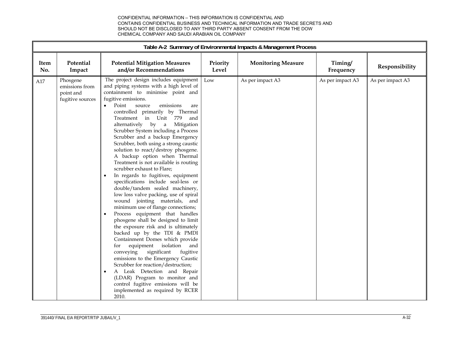|             |                                                             |                                                                                                                                                                                                                                                                                                                                                                                                                                                                                                                                                                                                                                                                                                                                                                                                                                                                                                                                                                                                                                                                                                                                                                                                                                                                                                                       |                   | Table A-2 Summary of Environmental Impacts & Management Process |                      |                  |
|-------------|-------------------------------------------------------------|-----------------------------------------------------------------------------------------------------------------------------------------------------------------------------------------------------------------------------------------------------------------------------------------------------------------------------------------------------------------------------------------------------------------------------------------------------------------------------------------------------------------------------------------------------------------------------------------------------------------------------------------------------------------------------------------------------------------------------------------------------------------------------------------------------------------------------------------------------------------------------------------------------------------------------------------------------------------------------------------------------------------------------------------------------------------------------------------------------------------------------------------------------------------------------------------------------------------------------------------------------------------------------------------------------------------------|-------------------|-----------------------------------------------------------------|----------------------|------------------|
| Item<br>No. | Potential<br>Impact                                         | <b>Potential Mitigation Measures</b><br>and/or Recommendations                                                                                                                                                                                                                                                                                                                                                                                                                                                                                                                                                                                                                                                                                                                                                                                                                                                                                                                                                                                                                                                                                                                                                                                                                                                        | Priority<br>Level | <b>Monitoring Measure</b>                                       | Timing/<br>Frequency | Responsibility   |
| A17         | Phosgene<br>emissions from<br>point and<br>fugitive sources | The project design includes equipment<br>and piping systems with a high level of<br>containment to minimise point and<br>fugitive emissions.<br>Point<br>emissions<br>$\bullet$<br>source<br>are<br>controlled primarily by Thermal<br>Treatment in Unit 779<br>and<br>alternatively<br>by a<br>Mitigation<br>Scrubber System including a Process<br>Scrubber and a backup Emergency<br>Scrubber, both using a strong caustic<br>solution to react/destroy phosgene.<br>A backup option when Thermal<br>Treatment is not available is routing<br>scrubber exhaust to Flare;<br>In regards to fugitives, equipment<br>specifications include seal-less or<br>double/tandem sealed machinery,<br>low loss valve packing, use of spiral<br>wound jointing materials, and<br>minimum use of flange connections;<br>Process equipment that handles<br>$\bullet$<br>phosgene shall be designed to limit<br>the exposure risk and is ultimately<br>backed up by the TDI & PMDI<br>Containment Domes which provide<br>equipment<br>isolation and<br>for<br>conveying<br>significant<br>fugitive<br>emissions to the Emergency Caustic<br>Scrubber for reaction/destruction;<br>A Leak Detection and Repair<br>(LDAR) Program to monitor and<br>control fugitive emissions will be<br>implemented as required by RCER<br>2010. | Low               | As per impact A3                                                | As per impact A3     | As per impact A3 |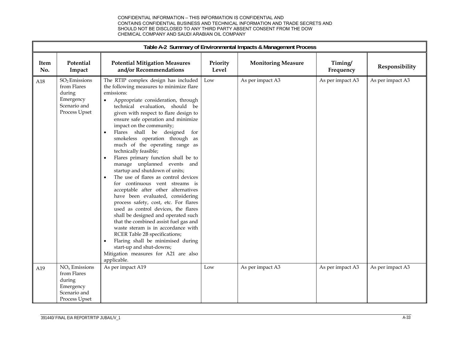|             | Table A-2 Summary of Environmental Impacts & Management Process                                  |                                                                                                                                                                                                                                                                                                                                                                                                                                                                                                                                                                                                                                                                                                                                                                                                                                                                                                                                                                                                                                                                       |                   |                           |                      |                  |  |  |  |
|-------------|--------------------------------------------------------------------------------------------------|-----------------------------------------------------------------------------------------------------------------------------------------------------------------------------------------------------------------------------------------------------------------------------------------------------------------------------------------------------------------------------------------------------------------------------------------------------------------------------------------------------------------------------------------------------------------------------------------------------------------------------------------------------------------------------------------------------------------------------------------------------------------------------------------------------------------------------------------------------------------------------------------------------------------------------------------------------------------------------------------------------------------------------------------------------------------------|-------------------|---------------------------|----------------------|------------------|--|--|--|
| Item<br>No. | Potential<br>Impact                                                                              | <b>Potential Mitigation Measures</b><br>and/or Recommendations                                                                                                                                                                                                                                                                                                                                                                                                                                                                                                                                                                                                                                                                                                                                                                                                                                                                                                                                                                                                        | Priority<br>Level | <b>Monitoring Measure</b> | Timing/<br>Frequency | Responsibility   |  |  |  |
| A18         | SO <sub>2</sub> Emissions<br>from Flares<br>during<br>Emergency<br>Scenario and<br>Process Upset | The RTIP complex design has included<br>the following measures to minimize flare<br>emissions:<br>Appropriate consideration, through<br>technical evaluation, should be<br>given with respect to flare design to<br>ensure safe operation and minimize<br>impact on the community;<br>Flares shall be designed for<br>$\bullet$<br>smokeless operation through as<br>much of the operating range as<br>technically feasible;<br>Flares primary function shall be to<br>$\bullet$<br>manage unplanned events and<br>startup and shutdown of units;<br>The use of flares as control devices<br>for continuous vent streams is<br>acceptable after other alternatives<br>have been evaluated, considering<br>process safety, cost, etc. For flares<br>used as control devices, the flares<br>shall be designed and operated such<br>that the combined assist fuel gas and<br>waste steram is in accordance with<br>RCER Table 2B specifications;<br>Flaring shall be minimised during<br>start-up and shut-downs;<br>Mitigation measures for A21 are also<br>applicable. | Low               | As per impact A3          | As per impact A3     | As per impact A3 |  |  |  |
| A19         | $NOx$ Emissions<br>from Flares<br>during<br>Emergency<br>Scenario and<br>Process Upset           | As per impact A19                                                                                                                                                                                                                                                                                                                                                                                                                                                                                                                                                                                                                                                                                                                                                                                                                                                                                                                                                                                                                                                     | Low               | As per impact A3          | As per impact A3     | As per impact A3 |  |  |  |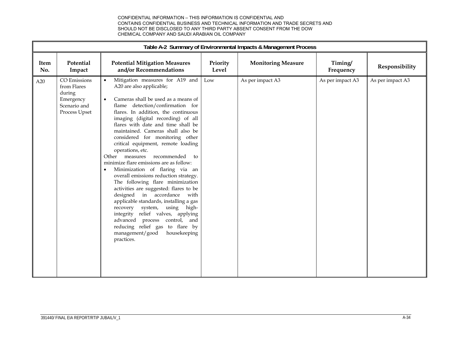|             | Table A-2 Summary of Environmental Impacts & Management Process                     |                                                                                                                                                                                                                                                                                                                                                                                                                                                                                                                                                                                                                                                                                                                                                                                                                                                                                                                        |                   |                           |                      |                  |  |  |  |
|-------------|-------------------------------------------------------------------------------------|------------------------------------------------------------------------------------------------------------------------------------------------------------------------------------------------------------------------------------------------------------------------------------------------------------------------------------------------------------------------------------------------------------------------------------------------------------------------------------------------------------------------------------------------------------------------------------------------------------------------------------------------------------------------------------------------------------------------------------------------------------------------------------------------------------------------------------------------------------------------------------------------------------------------|-------------------|---------------------------|----------------------|------------------|--|--|--|
| Item<br>No. | Potential<br>Impact                                                                 | <b>Potential Mitigation Measures</b><br>and/or Recommendations                                                                                                                                                                                                                                                                                                                                                                                                                                                                                                                                                                                                                                                                                                                                                                                                                                                         | Priority<br>Level | <b>Monitoring Measure</b> | Timing/<br>Frequency | Responsibility   |  |  |  |
| A20         | CO Emissions<br>from Flares<br>during<br>Emergency<br>Scenario and<br>Process Upset | Mitigation measures for A19 and<br>A20 are also applicable;<br>Cameras shall be used as a means of<br>$\bullet$<br>flame detection/confirmation for<br>flares. In addition, the continuous<br>imaging (digital recording) of all<br>flares with date and time shall be<br>maintained. Cameras shall also be<br>considered for monitoring other<br>critical equipment, remote loading<br>operations, etc.<br>recommended<br>Other measures<br>to<br>minimize flare emissions are as follow:<br>Minimization of flaring via an<br>overall emissions reduction strategy.<br>The following flare minimization<br>activities are suggested: flares to be<br>designed in accordance with<br>applicable standards, installing a gas<br>recovery system, using high-<br>integrity relief valves, applying<br>advanced process control, and<br>reducing relief gas to flare by<br>management/good<br>housekeeping<br>practices. | Low               | As per impact A3          | As per impact A3     | As per impact A3 |  |  |  |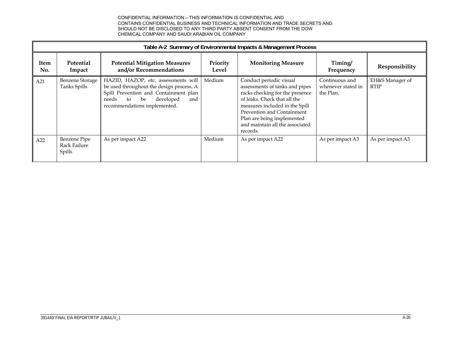|             | Table A-2 Summary of Environmental Impacts & Management Process |                                                                                                                                                                                                   |                   |                                                                                                                                                                                                                                                                           |                                                   |                                |  |  |  |  |
|-------------|-----------------------------------------------------------------|---------------------------------------------------------------------------------------------------------------------------------------------------------------------------------------------------|-------------------|---------------------------------------------------------------------------------------------------------------------------------------------------------------------------------------------------------------------------------------------------------------------------|---------------------------------------------------|--------------------------------|--|--|--|--|
| Item<br>No. | Potential<br>Impact                                             | <b>Potential Mitigation Measures</b><br>and/or Recommendations                                                                                                                                    | Priority<br>Level | <b>Monitoring Measure</b>                                                                                                                                                                                                                                                 | Timing/<br>Frequency                              | Responsibility                 |  |  |  |  |
| A21         | <b>Benzene Storage</b><br>Tanks Spills                          | HAZID, HAZOP, etc. assessments will<br>be used throughout the design process. A<br>Spill Prevention and Containment plan<br>developed<br>be<br>needs<br>and<br>to<br>recommendations implemented. | Medium            | Conduct periodic visual<br>assessments of tanks and pipes<br>racks checking for the presence<br>of leaks. Check that all the<br>measures included in the Spill<br>Prevention and Containment<br>Plan are being implemented<br>and maintain all the associated<br>records. | Continuous and<br>whenever stated in<br>the Plan. | EH&S Manager of<br><b>RTIP</b> |  |  |  |  |
| A22         | Benzene Pipe<br>Rack Failure<br>Spills                          | As per impact A22                                                                                                                                                                                 | Medium            | As per impact A22                                                                                                                                                                                                                                                         | As per impact A3                                  | As per impact A3               |  |  |  |  |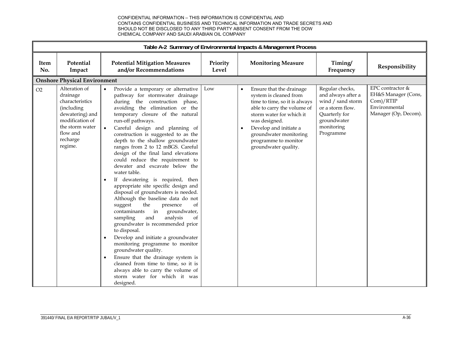|                                                                                                                                                              |                                                                                                                                                                                                                                                                                                                                                                                                                                                                                                                                                                                                                                                                                                                                                                                                                                                                                                                                                                                                                                                                                                                     |                   | Table A-2 Summary of Environmental Impacts & Management Process                                                                                                                                                                                                                               |                                                                                                                                           |                                                                                               |
|--------------------------------------------------------------------------------------------------------------------------------------------------------------|---------------------------------------------------------------------------------------------------------------------------------------------------------------------------------------------------------------------------------------------------------------------------------------------------------------------------------------------------------------------------------------------------------------------------------------------------------------------------------------------------------------------------------------------------------------------------------------------------------------------------------------------------------------------------------------------------------------------------------------------------------------------------------------------------------------------------------------------------------------------------------------------------------------------------------------------------------------------------------------------------------------------------------------------------------------------------------------------------------------------|-------------------|-----------------------------------------------------------------------------------------------------------------------------------------------------------------------------------------------------------------------------------------------------------------------------------------------|-------------------------------------------------------------------------------------------------------------------------------------------|-----------------------------------------------------------------------------------------------|
| Potential<br>Item<br>No.<br>Impact                                                                                                                           | <b>Potential Mitigation Measures</b><br>and/or Recommendations                                                                                                                                                                                                                                                                                                                                                                                                                                                                                                                                                                                                                                                                                                                                                                                                                                                                                                                                                                                                                                                      | Priority<br>Level | <b>Monitoring Measure</b>                                                                                                                                                                                                                                                                     | Timing/<br>Frequency                                                                                                                      | Responsibility                                                                                |
| <b>Onshore Physical Environment</b>                                                                                                                          |                                                                                                                                                                                                                                                                                                                                                                                                                                                                                                                                                                                                                                                                                                                                                                                                                                                                                                                                                                                                                                                                                                                     |                   |                                                                                                                                                                                                                                                                                               |                                                                                                                                           |                                                                                               |
| Alteration of<br>O2<br>drainage<br>characteristics<br>(including<br>dewatering) and<br>modification of<br>the storm water<br>flow and<br>recharge<br>regime. | Provide a temporary or alternative<br>pathway for stormwater drainage<br>during the construction phase,<br>avoiding the elimination or the<br>temporary closure of the natural<br>run-off pathways.<br>Careful design and planning of<br>$\bullet$<br>construction is suggested to as the<br>depth to the shallow groundwater<br>ranges from 2 to 12 mBGS. Careful<br>design of the final land elevations<br>could reduce the requirement to<br>dewater and excavate below the<br>water table.<br>If dewatering is required, then<br>$\bullet$<br>appropriate site specific design and<br>disposal of groundwaters is needed.<br>Although the baseline data do not<br>the<br>suggest<br>presence<br>of<br>in<br>contaminants<br>groundwater,<br>analysis<br>sampling<br>and<br>of<br>groundwater is recommended prior<br>to disposal.<br>Develop and initiate a groundwater<br>monitoring programme to monitor<br>groundwater quality.<br>Ensure that the drainage system is<br>$\bullet$<br>cleaned from time to time, so it is<br>always able to carry the volume of<br>storm water for which it was<br>designed. | Low               | Ensure that the drainage<br>$\bullet$<br>system is cleaned from<br>time to time, so it is always<br>able to carry the volume of<br>storm water for which it<br>was designed.<br>Develop and initiate a<br>$\bullet$<br>groundwater monitoring<br>programme to monitor<br>groundwater quality. | Regular checks,<br>and always after a<br>wind / sand storm<br>or a storm flow.<br>Quarterly for<br>groundwater<br>monitoring<br>Programme | EPC contractor &<br>EH&S Manager (Cons,<br>Com)/RTIP<br>Environmental<br>Manager (Op, Decom). |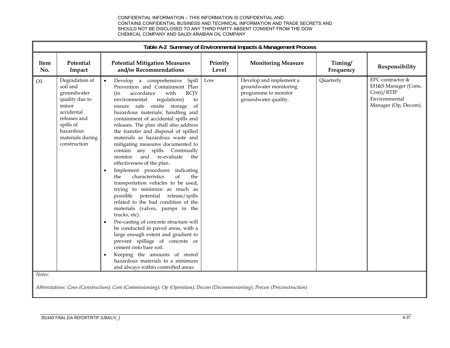|                | Table A-2 Summary of Environmental Impacts & Management Process                                                                                                  |                                                                                                                                                                                                                                                                                                                                                                                                                                                                                                                                                                                                                                                                                                                                                                                                                                                                                                                                                                                                                                                                                                                                                                                     |                   |                                                                                                   |                      |                                                                                               |  |  |  |
|----------------|------------------------------------------------------------------------------------------------------------------------------------------------------------------|-------------------------------------------------------------------------------------------------------------------------------------------------------------------------------------------------------------------------------------------------------------------------------------------------------------------------------------------------------------------------------------------------------------------------------------------------------------------------------------------------------------------------------------------------------------------------------------------------------------------------------------------------------------------------------------------------------------------------------------------------------------------------------------------------------------------------------------------------------------------------------------------------------------------------------------------------------------------------------------------------------------------------------------------------------------------------------------------------------------------------------------------------------------------------------------|-------------------|---------------------------------------------------------------------------------------------------|----------------------|-----------------------------------------------------------------------------------------------|--|--|--|
| Item<br>No.    | Potential<br>Impact                                                                                                                                              | <b>Potential Mitigation Measures</b><br>and/or Recommendations                                                                                                                                                                                                                                                                                                                                                                                                                                                                                                                                                                                                                                                                                                                                                                                                                                                                                                                                                                                                                                                                                                                      | Priority<br>Level | <b>Monitoring Measure</b>                                                                         | Timing/<br>Frequency | Responsibility                                                                                |  |  |  |
| O <sub>3</sub> | Degradation of<br>soil and<br>groundwater<br>quality due to<br>minor<br>accidental<br>releases and<br>spills of<br>hazardous<br>materials during<br>construction | Develop a comprehensive Spill<br>$\bullet$<br>Prevention and Containment Plan<br>accordance<br>with<br><b>RCJY</b><br>(in<br>environmental<br>regulations)<br>to<br>ensure safe onsite storage<br>of<br>hazardous materials; handling and<br>containment of accidental spills and<br>releases. The plan shall also address<br>the transfer and disposal of spilled<br>materials as hazardous waste and<br>mitigating measures documented to<br>contain any spills. Continually<br>and re-evaluate<br>monitor<br>the<br>effectiveness of the plan.<br>Implement procedures indicating<br>$\bullet$<br>$\sigma$ f<br>characteristics<br>the<br>the<br>transportation vehicles to be used,<br>trying to minimize as much as<br>possible potential release/spills<br>related to the bad condition of the<br>materials (valves, pumps in the<br>trucks, etc).<br>Pre-casting of concrete structure will<br>$\bullet$<br>be conducted in paved areas, with a<br>large enough extent and gradient to<br>prevent spillage of concrete or<br>cement onto bare soil.<br>Keeping the amounts of stored<br>$\bullet$<br>hazardous materials to a minimum<br>and always within controlled areas. | Low               | Develop and implement a<br>groundwater monitoring<br>programme to monitor<br>groundwater quality. | Quarterly            | EPC contractor &<br>EH&S Manager (Cons,<br>Com)/RTIP<br>Environmental<br>Manager (Op, Decom). |  |  |  |
| Notes:         |                                                                                                                                                                  |                                                                                                                                                                                                                                                                                                                                                                                                                                                                                                                                                                                                                                                                                                                                                                                                                                                                                                                                                                                                                                                                                                                                                                                     |                   |                                                                                                   |                      |                                                                                               |  |  |  |

*Abbreviations: Cons (Construction); Com (Commissioning); Op (Operation); Decom (Decommissioning); Precon (Preconstruction)*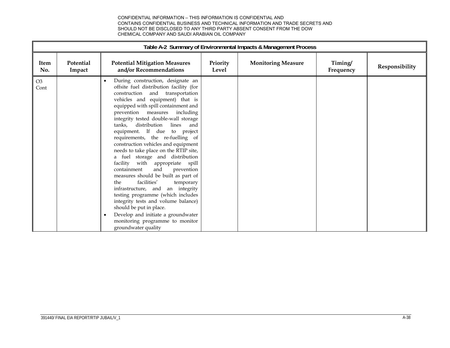|                        |                     |                                                                                                                                                                                                                                                                                                                                                                                                                                                                                                                                                                                                                                                                                                                                                                                                                                                                                                                 |                   | Table A-2 Summary of Environmental Impacts & Management Process |                      |                |
|------------------------|---------------------|-----------------------------------------------------------------------------------------------------------------------------------------------------------------------------------------------------------------------------------------------------------------------------------------------------------------------------------------------------------------------------------------------------------------------------------------------------------------------------------------------------------------------------------------------------------------------------------------------------------------------------------------------------------------------------------------------------------------------------------------------------------------------------------------------------------------------------------------------------------------------------------------------------------------|-------------------|-----------------------------------------------------------------|----------------------|----------------|
| <b>Item</b><br>No.     | Potential<br>Impact | <b>Potential Mitigation Measures</b><br>and/or Recommendations                                                                                                                                                                                                                                                                                                                                                                                                                                                                                                                                                                                                                                                                                                                                                                                                                                                  | Priority<br>Level | <b>Monitoring Measure</b>                                       | Timing/<br>Frequency | Responsibility |
| O <sub>3</sub><br>Cont |                     | During construction, designate an<br>offsite fuel distribution facility (for<br>construction<br>and<br>transportation<br>vehicles and equipment) that is<br>equipped with spill containment and<br>prevention measures<br>including<br>integrity tested double-wall storage<br>distribution<br>lines<br>tanks,<br>and<br>equipment. If due to project<br>requirements, the re-fuelling of<br>construction vehicles and equipment<br>needs to take place on the RTIP site,<br>a fuel storage and distribution<br>facility<br>with appropriate spill<br>containment<br>and<br>prevention<br>measures should be built as part of<br>facilities'<br>temporary<br>the.<br>infrastructure, and<br>an integrity<br>testing programme (which includes<br>integrity tests and volume balance)<br>should be put in place.<br>Develop and initiate a groundwater<br>monitoring programme to monitor<br>groundwater quality |                   |                                                                 |                      |                |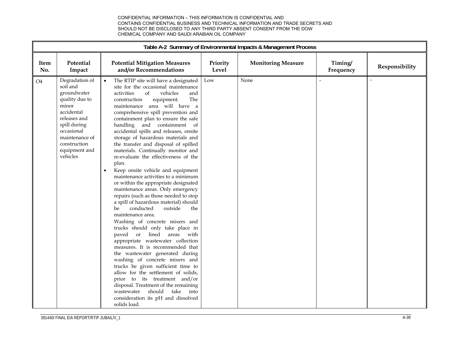|                |                                                                                                                                                                                                 |                                                                                                                                                                                                                                                                                                                                                                                                                                                                                                                                                                                                                                                                                                                                                                                                                                                                                                                                                                                                                                                                                                                                                                                                                                                                                                                                         |                   | Table A-2 Summary of Environmental Impacts & Management Process |                      |                |
|----------------|-------------------------------------------------------------------------------------------------------------------------------------------------------------------------------------------------|-----------------------------------------------------------------------------------------------------------------------------------------------------------------------------------------------------------------------------------------------------------------------------------------------------------------------------------------------------------------------------------------------------------------------------------------------------------------------------------------------------------------------------------------------------------------------------------------------------------------------------------------------------------------------------------------------------------------------------------------------------------------------------------------------------------------------------------------------------------------------------------------------------------------------------------------------------------------------------------------------------------------------------------------------------------------------------------------------------------------------------------------------------------------------------------------------------------------------------------------------------------------------------------------------------------------------------------------|-------------------|-----------------------------------------------------------------|----------------------|----------------|
| Item<br>No.    | Potential<br>Impact                                                                                                                                                                             | <b>Potential Mitigation Measures</b><br>and/or Recommendations                                                                                                                                                                                                                                                                                                                                                                                                                                                                                                                                                                                                                                                                                                                                                                                                                                                                                                                                                                                                                                                                                                                                                                                                                                                                          | Priority<br>Level | <b>Monitoring Measure</b>                                       | Timing/<br>Frequency | Responsibility |
| O <sub>4</sub> | Degradation of<br>soil and<br>groundwater<br>quality due to<br>minor<br>accidental<br>releases and<br>spill during<br>occasional<br>maintenance of<br>construction<br>equipment and<br>vehicles | The RTIP site will have a designated<br>site for the occasional maintenance<br>activities<br>of<br>vehicles<br>and<br>The<br>construction<br>equipment.<br>maintenance area will have a<br>comprehensive spill prevention and<br>containment plan to ensure the safe<br>handling and containment of<br>accidental spills and releases, onsite<br>storage of hazardous materials and<br>the transfer and disposal of spilled<br>materials. Continually monitor and<br>re-evaluate the effectiveness of the<br>plan.<br>Keep onsite vehicle and equipment<br>$\bullet$<br>maintenance activities to a minimum<br>or within the appropriate designated<br>maintenance areas. Only emergency<br>repairs (such as those needed to stop<br>a spill of hazardous material) should<br>conducted<br>outside<br>be.<br>the<br>maintenance area.<br>Washing of concrete mixers and<br>trucks should only take place in<br>paved or lined areas with<br>appropriate wastewater collection<br>measures. It is recommended that<br>the wastewater generated during<br>washing of concrete mixers and<br>trucks be given sufficient time to<br>allow for the settlement of solids,<br>prior to its treatment and/or<br>disposal. Treatment of the remaining<br>wastewater should<br>take<br>into<br>consideration its pH and dissolved<br>solids load. | Low               | None                                                            | $\sim$               |                |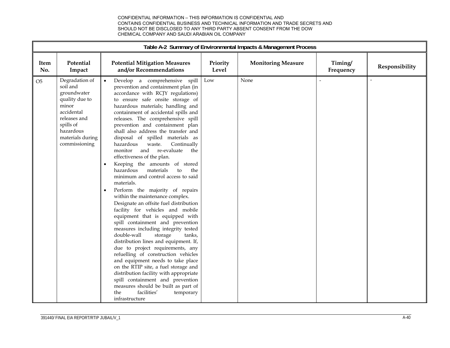|                    |                                                                                                                                                                   |                                                                                                                                                                                                                                                                                                                                                                                                                                                                                                                                                                                                                                                                                                                                                                                                                                                                                                                                                                                                                                                                                                                                                                                                                                                                                                                               |                   | Table A-2 Summary of Environmental Impacts & Management Process |                      |                |
|--------------------|-------------------------------------------------------------------------------------------------------------------------------------------------------------------|-------------------------------------------------------------------------------------------------------------------------------------------------------------------------------------------------------------------------------------------------------------------------------------------------------------------------------------------------------------------------------------------------------------------------------------------------------------------------------------------------------------------------------------------------------------------------------------------------------------------------------------------------------------------------------------------------------------------------------------------------------------------------------------------------------------------------------------------------------------------------------------------------------------------------------------------------------------------------------------------------------------------------------------------------------------------------------------------------------------------------------------------------------------------------------------------------------------------------------------------------------------------------------------------------------------------------------|-------------------|-----------------------------------------------------------------|----------------------|----------------|
| <b>Item</b><br>No. | Potential<br>Impact                                                                                                                                               | <b>Potential Mitigation Measures</b><br>and/or Recommendations                                                                                                                                                                                                                                                                                                                                                                                                                                                                                                                                                                                                                                                                                                                                                                                                                                                                                                                                                                                                                                                                                                                                                                                                                                                                | Priority<br>Level | <b>Monitoring Measure</b>                                       | Timing/<br>Frequency | Responsibility |
| O <sub>5</sub>     | Degradation of<br>soil and<br>groundwater<br>quality due to<br>minor<br>accidental<br>releases and<br>spills of<br>hazardous<br>materials during<br>commissioning | Develop a comprehensive spill<br>prevention and containment plan (in<br>accordance with RCJY regulations)<br>to ensure safe onsite storage of<br>hazardous materials; handling and<br>containment of accidental spills and<br>releases. The comprehensive spill<br>prevention and containment plan<br>shall also address the transfer and<br>disposal of spilled materials as<br>hazardous<br>waste.<br>Continually<br>and re-evaluate<br>monitor<br>the<br>effectiveness of the plan.<br>Keeping the amounts of stored<br>$\bullet$<br>materials<br>hazardous<br>to<br>the<br>minimum and control access to said<br>materials.<br>Perform the majority of repairs<br>$\bullet$<br>within the maintenance complex.<br>Designate an offsite fuel distribution<br>facility for vehicles and mobile<br>equipment that is equipped with<br>spill containment and prevention<br>measures including integrity tested<br>double-wall<br>storage<br>tanks,<br>distribution lines and equipment. If,<br>due to project requirements, any<br>refuelling of construction vehicles<br>and equipment needs to take place<br>on the RTIP site, a fuel storage and<br>distribution facility with appropriate<br>spill containment and prevention<br>measures should be built as part of<br>facilities'<br>the<br>temporary<br>infrastructure | Low               | None                                                            |                      |                |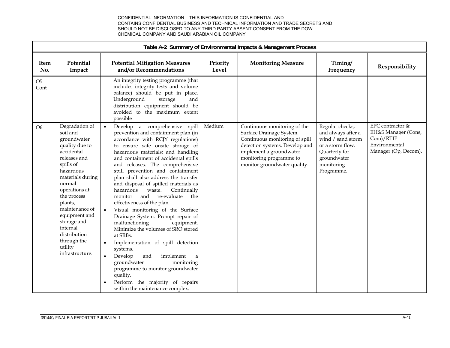|                        | Table A-2 Summary of Environmental Impacts & Management Process                                                                                                                                                                                                                                                         |                                                                                                                                                                                                                                                                                                                                                                                                                                                                                                                                                                                                                                                                                                                                                                                                                                                                                                                                   |                   |                                                                                                                                                                                                                    |                                                                                                                                            |                                                                                               |  |  |  |
|------------------------|-------------------------------------------------------------------------------------------------------------------------------------------------------------------------------------------------------------------------------------------------------------------------------------------------------------------------|-----------------------------------------------------------------------------------------------------------------------------------------------------------------------------------------------------------------------------------------------------------------------------------------------------------------------------------------------------------------------------------------------------------------------------------------------------------------------------------------------------------------------------------------------------------------------------------------------------------------------------------------------------------------------------------------------------------------------------------------------------------------------------------------------------------------------------------------------------------------------------------------------------------------------------------|-------------------|--------------------------------------------------------------------------------------------------------------------------------------------------------------------------------------------------------------------|--------------------------------------------------------------------------------------------------------------------------------------------|-----------------------------------------------------------------------------------------------|--|--|--|
| Item<br>No.            | Potential<br>Impact                                                                                                                                                                                                                                                                                                     | <b>Potential Mitigation Measures</b><br>and/or Recommendations                                                                                                                                                                                                                                                                                                                                                                                                                                                                                                                                                                                                                                                                                                                                                                                                                                                                    | Priority<br>Level | <b>Monitoring Measure</b>                                                                                                                                                                                          | Timing/<br>Frequency                                                                                                                       | Responsibility                                                                                |  |  |  |
| O <sub>5</sub><br>Cont |                                                                                                                                                                                                                                                                                                                         | An integrity testing programme (that<br>includes integrity tests and volume<br>balance) should be put in place.<br>Underground<br>storage<br>and<br>distribution equipment should be<br>avoided to the maximum extent<br>possible                                                                                                                                                                                                                                                                                                                                                                                                                                                                                                                                                                                                                                                                                                 |                   |                                                                                                                                                                                                                    |                                                                                                                                            |                                                                                               |  |  |  |
| O <sub>6</sub>         | Degradation of<br>soil and<br>groundwater<br>quality due to<br>accidental<br>releases and<br>spills of<br>hazardous<br>materials during<br>normal<br>operations at<br>the process<br>plants,<br>maintenance of<br>equipment and<br>storage and<br>internal<br>distribution<br>through the<br>utility<br>infrastructure. | Develop a comprehensive spill<br>$\bullet$<br>prevention and containment plan (in<br>accordance with RCJY regulations)<br>to ensure safe onsite storage of<br>hazardous materials; and handling<br>and containment of accidental spills<br>and releases. The comprehensive<br>spill prevention and containment<br>plan shall also address the transfer<br>and disposal of spilled materials as<br>hazardous<br>Continually<br>waste.<br>re-evaluate<br>and<br>the<br>monitor<br>effectiveness of the plan.<br>Visual monitoring of the Surface<br>Drainage System. Prompt repair of<br>malfunctioning<br>equipment.<br>Minimize the volumes of SRO stored<br>at SRBs.<br>Implementation of spill detection<br>systems.<br>Develop<br>and<br>implement<br>$\bullet$<br>$\rm{a}$<br>groundwater<br>monitoring<br>programme to monitor groundwater<br>quality.<br>Perform the majority of repairs<br>within the maintenance complex. | Medium            | Continuous monitoring of the<br>Surface Drainage System.<br>Continuous monitoring of spill<br>detection systems. Develop and<br>implement a groundwater<br>monitoring programme to<br>monitor groundwater quality. | Regular checks,<br>and always after a<br>wind / sand storm<br>or a storm flow.<br>Quarterly for<br>groundwater<br>monitoring<br>Programme. | EPC contractor &<br>EH&S Manager (Cons,<br>Com)/RTIP<br>Environmental<br>Manager (Op, Decom). |  |  |  |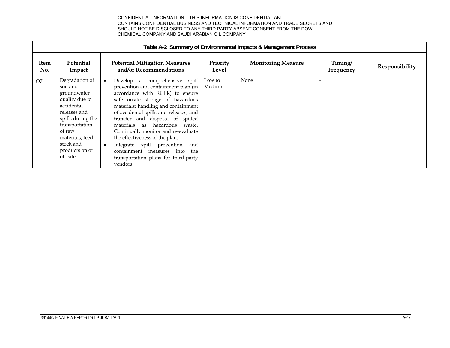|                | Table A-2 Summary of Environmental Impacts & Management Process                                                                                                                                           |  |                                                                                                                                                                                                                                                                                                                                                                                                                                                                                                         |                   |                           |                      |                |  |  |
|----------------|-----------------------------------------------------------------------------------------------------------------------------------------------------------------------------------------------------------|--|---------------------------------------------------------------------------------------------------------------------------------------------------------------------------------------------------------------------------------------------------------------------------------------------------------------------------------------------------------------------------------------------------------------------------------------------------------------------------------------------------------|-------------------|---------------------------|----------------------|----------------|--|--|
| Item<br>No.    | <b>Potential</b><br>Impact                                                                                                                                                                                |  | <b>Potential Mitigation Measures</b><br>and/or Recommendations                                                                                                                                                                                                                                                                                                                                                                                                                                          | Priority<br>Level | <b>Monitoring Measure</b> | Timing/<br>Frequency | Responsibility |  |  |
| O <sub>7</sub> | Degradation of<br>soil and<br>groundwater<br>quality due to<br>accidental<br>releases and<br>spills during the<br>transportation<br>of raw<br>materials, feed<br>stock and<br>products on or<br>off-site. |  | Develop a comprehensive spill<br>prevention and containment plan (in<br>accordance with RCER) to ensure<br>safe onsite storage of hazardous<br>materials; handling and containment<br>of accidental spills and releases, and<br>transfer and disposal of spilled<br>materials as hazardous waste.<br>Continually monitor and re-evaluate<br>the effectiveness of the plan.<br>Integrate spill prevention<br>and<br>containment measures into<br>the<br>transportation plans for third-party<br>vendors. | Low to<br>Medium  | None                      |                      |                |  |  |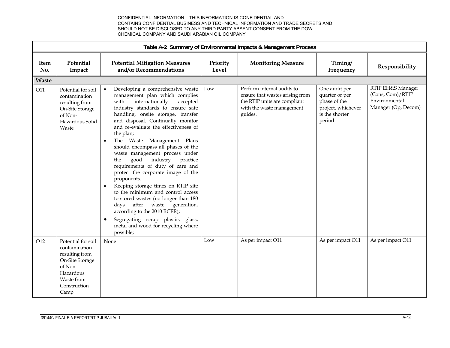|              | Table A-2 Summary of Environmental Impacts & Management Process                                                                        |                                                                                                                                                                                                                                                                                                                                                                                                                                                                                                                                                                                                                                                                                                                                                                                                                                           |                   |                                                                                                                                       |                                                                                                   |                                                                               |  |  |  |
|--------------|----------------------------------------------------------------------------------------------------------------------------------------|-------------------------------------------------------------------------------------------------------------------------------------------------------------------------------------------------------------------------------------------------------------------------------------------------------------------------------------------------------------------------------------------------------------------------------------------------------------------------------------------------------------------------------------------------------------------------------------------------------------------------------------------------------------------------------------------------------------------------------------------------------------------------------------------------------------------------------------------|-------------------|---------------------------------------------------------------------------------------------------------------------------------------|---------------------------------------------------------------------------------------------------|-------------------------------------------------------------------------------|--|--|--|
| Item<br>No.  | Potential<br>Impact                                                                                                                    | <b>Potential Mitigation Measures</b><br>and/or Recommendations                                                                                                                                                                                                                                                                                                                                                                                                                                                                                                                                                                                                                                                                                                                                                                            | Priority<br>Level | <b>Monitoring Measure</b>                                                                                                             | Timing/<br>Frequency                                                                              | Responsibility                                                                |  |  |  |
| <b>Waste</b> |                                                                                                                                        |                                                                                                                                                                                                                                                                                                                                                                                                                                                                                                                                                                                                                                                                                                                                                                                                                                           |                   |                                                                                                                                       |                                                                                                   |                                                                               |  |  |  |
| O11          | Potential for soil<br>contamination<br>resulting from<br>On-Site Storage<br>of Non-<br>Hazardous Solid<br>Waste                        | Developing a comprehensive waste<br>management plan which complies<br>internationally<br>accepted<br>with<br>industry standards to ensure safe<br>handling, onsite storage, transfer<br>and disposal. Continually monitor<br>and re-evaluate the effectiveness of<br>the plan;<br>The Waste Management Plans<br>$\bullet$<br>should encompass all phases of the<br>waste management process under<br>good<br>industry<br>practice<br>the<br>requirements of duty of care and<br>protect the corporate image of the<br>proponents.<br>Keeping storage times on RTIP site<br>$\bullet$<br>to the minimum and control access<br>to stored wastes (no longer than 180<br>after waste generation,<br>days<br>according to the 2010 RCER);<br>Segregating scrap plastic, glass,<br>$\bullet$<br>metal and wood for recycling where<br>possible; | Low               | Perform internal audits to<br>ensure that wastes arising from<br>the RTIP units are compliant<br>with the waste management<br>guides. | One audit per<br>quarter or per<br>phase of the<br>project, whichever<br>is the shorter<br>period | RTIP EH&S Manager<br>(Cons, Com)/RTIP<br>Environmental<br>Manager (Op, Decom) |  |  |  |
| O12          | Potential for soil<br>contamination<br>resulting from<br>On-Site Storage<br>of Non-<br>Hazardous<br>Waste from<br>Construction<br>Camp | None                                                                                                                                                                                                                                                                                                                                                                                                                                                                                                                                                                                                                                                                                                                                                                                                                                      | Low               | As per impact O11                                                                                                                     | As per impact O11                                                                                 | As per impact O11                                                             |  |  |  |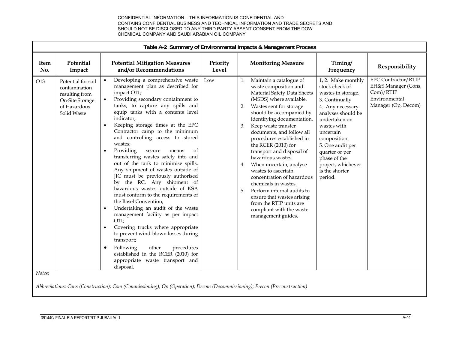|               |                                                                                                         |                                                                                                                                                                                                                                                                                                                                                                                                                                                                                                                                                                                                                                                                                                                                                                                                                                                                                                                                                                                                      |                   | Table A-2 Summary of Environmental Impacts & Management Process                                                                                                                                                                                                                                                                                                                                                                                                                                                                                                                                                                    |                                                                                                                                                                                                                                                                                              |                                                                                                        |
|---------------|---------------------------------------------------------------------------------------------------------|------------------------------------------------------------------------------------------------------------------------------------------------------------------------------------------------------------------------------------------------------------------------------------------------------------------------------------------------------------------------------------------------------------------------------------------------------------------------------------------------------------------------------------------------------------------------------------------------------------------------------------------------------------------------------------------------------------------------------------------------------------------------------------------------------------------------------------------------------------------------------------------------------------------------------------------------------------------------------------------------------|-------------------|------------------------------------------------------------------------------------------------------------------------------------------------------------------------------------------------------------------------------------------------------------------------------------------------------------------------------------------------------------------------------------------------------------------------------------------------------------------------------------------------------------------------------------------------------------------------------------------------------------------------------------|----------------------------------------------------------------------------------------------------------------------------------------------------------------------------------------------------------------------------------------------------------------------------------------------|--------------------------------------------------------------------------------------------------------|
| Item<br>No.   | Potential<br>Impact                                                                                     | <b>Potential Mitigation Measures</b><br>and/or Recommendations                                                                                                                                                                                                                                                                                                                                                                                                                                                                                                                                                                                                                                                                                                                                                                                                                                                                                                                                       | Priority<br>Level | <b>Monitoring Measure</b>                                                                                                                                                                                                                                                                                                                                                                                                                                                                                                                                                                                                          | Timing/<br>Frequency                                                                                                                                                                                                                                                                         | Responsibility                                                                                         |
| O13<br>Notes: | Potential for soil<br>contamination<br>resulting from<br>On-Site Storage<br>of Hazardous<br>Solid Waste | Developing a comprehensive waste<br>management plan as described for<br>impact O11;<br>Providing secondary containment to<br>tanks, to capture any spills and<br>equip tanks with a contents level<br>indicator;<br>Keeping storage times at the EPC<br>Contractor camp to the minimum<br>and controlling access to stored<br>wastes;<br>Providing<br>secure<br>οf<br>means<br>transferring wastes safely into and<br>out of the tank to minimise spills.<br>Any shipment of wastes outside of<br>JIC must be previously authorised<br>by the RC. Any shipment of<br>hazardous wastes outside of KSA<br>must conform to the requirements of<br>the Basel Convention;<br>Undertaking an audit of the waste<br>$\bullet$<br>management facility as per impact<br>O11;<br>Covering trucks where appropriate<br>to prevent wind-blown losses during<br>transport;<br>other<br>Following<br>procedures<br>$\bullet$<br>established in the RCER (2010) for<br>appropriate waste transport and<br>disposal. | Low               | Maintain a catalogue of<br>waste composition and<br>Material Safety Data Sheets<br>(MSDS) where available.<br>Wastes sent for storage<br>2.<br>should be accompanied by<br>identifying documentation.<br>3.<br>Keep waste transfer<br>documents, and follow all<br>procedures established in<br>the RCER (2010) for<br>transport and disposal of<br>hazardous wastes.<br>When uncertain, analyse<br>4.<br>wastes to ascertain<br>concentration of hazardous<br>chemicals in wastes.<br>5.<br>Perform internal audits to<br>ensure that wastes arising<br>from the RTIP units are<br>compliant with the waste<br>management guides. | 1, 2. Make monthly<br>stock check of<br>wastes in storage.<br>3. Continually<br>4. Any necessary<br>analyses should be<br>undertaken on<br>wastes with<br>uncertain<br>composition.<br>5. One audit per<br>quarter or per<br>phase of the<br>project, whichever<br>is the shorter<br>period. | <b>EPC Contractor/RTIP</b><br>EH&S Manager (Cons,<br>Com)/RTIP<br>Environmental<br>Manager (Op, Decom) |
|               |                                                                                                         | Abbreviations: Cons (Construction); Com (Commissioning); Op (Operation); Decom (Decommissioning); Precon (Preconstruction)                                                                                                                                                                                                                                                                                                                                                                                                                                                                                                                                                                                                                                                                                                                                                                                                                                                                           |                   |                                                                                                                                                                                                                                                                                                                                                                                                                                                                                                                                                                                                                                    |                                                                                                                                                                                                                                                                                              |                                                                                                        |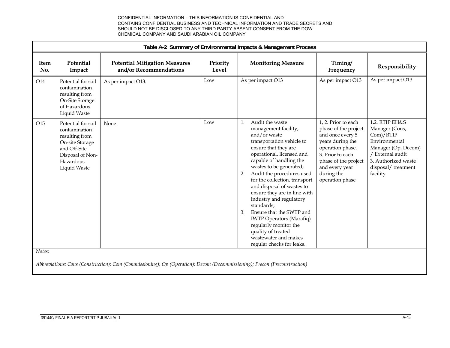|                    |                                                                                                                                           |                                                                                                                            | Table A-2 Summary of Environmental Impacts & Management Process |                                                                                                                                                                                                                                                                                                                                                                                                                                                                                                                                                          |                                                                                                                                                                                                        |                                                                                                                                                                    |  |  |  |  |  |  |
|--------------------|-------------------------------------------------------------------------------------------------------------------------------------------|----------------------------------------------------------------------------------------------------------------------------|-----------------------------------------------------------------|----------------------------------------------------------------------------------------------------------------------------------------------------------------------------------------------------------------------------------------------------------------------------------------------------------------------------------------------------------------------------------------------------------------------------------------------------------------------------------------------------------------------------------------------------------|--------------------------------------------------------------------------------------------------------------------------------------------------------------------------------------------------------|--------------------------------------------------------------------------------------------------------------------------------------------------------------------|--|--|--|--|--|--|
| <b>Item</b><br>No. | Potential<br>Impact                                                                                                                       | <b>Potential Mitigation Measures</b><br>and/or Recommendations                                                             | Priority<br>Level                                               | <b>Monitoring Measure</b>                                                                                                                                                                                                                                                                                                                                                                                                                                                                                                                                | Timing/<br>Frequency                                                                                                                                                                                   | Responsibility                                                                                                                                                     |  |  |  |  |  |  |
| O14                | Potential for soil<br>contamination<br>resulting from<br>On-Site Storage<br>of Hazardous<br>Liquid Waste                                  | As per impact O13.                                                                                                         | Low                                                             | As per impact O13                                                                                                                                                                                                                                                                                                                                                                                                                                                                                                                                        | As per impact O13                                                                                                                                                                                      | As per impact O13                                                                                                                                                  |  |  |  |  |  |  |
| O15                | Potential for soil<br>contamination<br>resulting from<br>On-site Storage<br>and Off-Site<br>Disposal of Non-<br>Hazardous<br>Liquid Waste | None                                                                                                                       | Low                                                             | Audit the waste<br>1.<br>management facility,<br>and/or waste<br>transportation vehicle to<br>ensure that they are<br>operational, licensed and<br>capable of handling the<br>wastes to be generated;<br>Audit the procedures used<br>2.<br>for the collection, transport<br>and disposal of wastes to<br>ensure they are in line with<br>industry and regulatory<br>standards;<br>Ensure that the SWTP and<br>3.<br><b>IWTP</b> Operators (Marafiq)<br>regularly monitor the<br>quality of treated<br>wastewater and makes<br>regular checks for leaks. | 1, 2. Prior to each<br>phase of the project<br>and once every 5<br>years during the<br>operation phase.<br>3. Prior to each<br>phase of the project<br>and every year<br>during the<br>operation phase | 1,2. RTIP EH&S<br>Manager (Cons,<br>Com)/RTIP<br>Environmental<br>Manager (Op, Decom)<br>/ External audit<br>3. Authorized waste<br>disposal/treatment<br>facility |  |  |  |  |  |  |
| Notes:             |                                                                                                                                           | Abbreviations: Cons (Construction); Com (Commissioning); Op (Operation); Decom (Decommissioning); Precon (Preconstruction) |                                                                 |                                                                                                                                                                                                                                                                                                                                                                                                                                                                                                                                                          |                                                                                                                                                                                                        |                                                                                                                                                                    |  |  |  |  |  |  |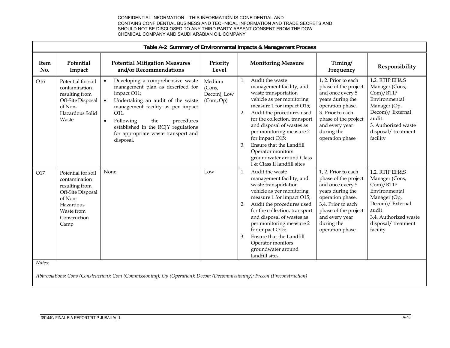|             |                                                                                                                                          |                                                                                                                                                                                                                                                                                                                                           |                                              |                            | Table A-2 Summary of Environmental Impacts & Management Process                                                                                                                                                                                                                                                                                                                     |                                                                                                                                                                                                          |                                                                                                                                                                        |  |  |  |  |  |  |
|-------------|------------------------------------------------------------------------------------------------------------------------------------------|-------------------------------------------------------------------------------------------------------------------------------------------------------------------------------------------------------------------------------------------------------------------------------------------------------------------------------------------|----------------------------------------------|----------------------------|-------------------------------------------------------------------------------------------------------------------------------------------------------------------------------------------------------------------------------------------------------------------------------------------------------------------------------------------------------------------------------------|----------------------------------------------------------------------------------------------------------------------------------------------------------------------------------------------------------|------------------------------------------------------------------------------------------------------------------------------------------------------------------------|--|--|--|--|--|--|
| Item<br>No. | Potential<br>Impact                                                                                                                      | <b>Potential Mitigation Measures</b><br>and/or Recommendations                                                                                                                                                                                                                                                                            | Priority<br>Level                            |                            | <b>Monitoring Measure</b>                                                                                                                                                                                                                                                                                                                                                           | Timing/<br>Frequency                                                                                                                                                                                     | Responsibility                                                                                                                                                         |  |  |  |  |  |  |
| O16         | Potential for soil<br>contamination<br>resulting from<br>Off-Site Disposal<br>of Non-<br>Hazardous Solid<br>Waste                        | Developing a comprehensive waste<br>$\bullet$<br>management plan as described for<br>impact O11;<br>Undertaking an audit of the waste<br>$\bullet$<br>management facility as per impact<br>O11.<br>Following<br>$\bullet$<br>the<br>procedures<br>established in the RCJY regulations<br>for appropriate waste transport and<br>disposal. | Medium<br>(Cons,<br>Decom), Low<br>(Com, Op) | $\mathbf{1}$ .<br>2.<br>3. | Audit the waste<br>management facility, and<br>waste transportation<br>vehicle as per monitoring<br>measure 1 for impact O15;<br>Audit the procedures used<br>for the collection, transport<br>and disposal of wastes as<br>per monitoring measure 2<br>for impact O15;<br>Ensure that the Landfill<br>Operator monitors<br>groundwater around Class<br>I & Class II landfill sites | 1, 2. Prior to each<br>phase of the project<br>and once every 5<br>years during the<br>operation phase.<br>3. Prior to each<br>phase of the project<br>and every year<br>during the<br>operation phase   | 1,2. RTIP EH&S<br>Manager (Cons,<br>Com)/RTIP<br>Environmental<br>Manager (Op,<br>Decom)/ External<br>audit<br>3. Authorized waste<br>disposal/treatment<br>facility   |  |  |  |  |  |  |
| O17         | Potential for soil<br>contamination<br>resulting from<br>Off-Site Disposal<br>of Non-<br>Hazardous<br>Waste from<br>Construction<br>Camp | None                                                                                                                                                                                                                                                                                                                                      | Low                                          | 1.<br>2.<br>3.             | Audit the waste<br>management facility, and<br>waste transportation<br>vehicle as per monitoring<br>measure 1 for impact O15;<br>Audit the procedures used<br>for the collection, transport<br>and disposal of wastes as<br>per monitoring measure 2<br>for impact O15;<br>Ensure that the Landfill<br>Operator monitors<br>groundwater around<br>landfill sites.                   | 1, 2. Prior to each<br>phase of the project<br>and once every 5<br>years during the<br>operation phase.<br>3,4. Prior to each<br>phase of the project<br>and every year<br>during the<br>operation phase | 1,2. RTIP EH&S<br>Manager (Cons,<br>Com)/RTIP<br>Environmental<br>Manager (Op,<br>Decom)/ External<br>audit<br>3,4. Authorized waste<br>disposal/treatment<br>facility |  |  |  |  |  |  |
| Notes:      |                                                                                                                                          | Abbreviations: Cons (Construction); Com (Commissioning); Op (Operation); Decom (Decommissioning); Precon (Preconstruction)                                                                                                                                                                                                                |                                              |                            |                                                                                                                                                                                                                                                                                                                                                                                     |                                                                                                                                                                                                          |                                                                                                                                                                        |  |  |  |  |  |  |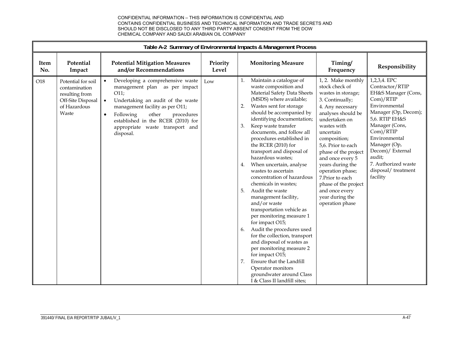|                    | Table A-2 Summary of Environmental Impacts & Management Process                                     |                                                                                                                                                                                                                                                                                                                    |                   |                                                                                                                                                                                                                                                                                                                                                                                                                                                                                                                                                                                                                                                                                                                                                                                                                                                                                                                                                                                                                                                                                                                                                                                                                                                                                                                                                                                                                                                                                                                                                                                                          |  |  |  |  |  |
|--------------------|-----------------------------------------------------------------------------------------------------|--------------------------------------------------------------------------------------------------------------------------------------------------------------------------------------------------------------------------------------------------------------------------------------------------------------------|-------------------|----------------------------------------------------------------------------------------------------------------------------------------------------------------------------------------------------------------------------------------------------------------------------------------------------------------------------------------------------------------------------------------------------------------------------------------------------------------------------------------------------------------------------------------------------------------------------------------------------------------------------------------------------------------------------------------------------------------------------------------------------------------------------------------------------------------------------------------------------------------------------------------------------------------------------------------------------------------------------------------------------------------------------------------------------------------------------------------------------------------------------------------------------------------------------------------------------------------------------------------------------------------------------------------------------------------------------------------------------------------------------------------------------------------------------------------------------------------------------------------------------------------------------------------------------------------------------------------------------------|--|--|--|--|--|
| <b>Item</b><br>No. | Potential<br>Impact                                                                                 | <b>Potential Mitigation Measures</b><br>and/or Recommendations                                                                                                                                                                                                                                                     | Priority<br>Level | <b>Monitoring Measure</b><br>Timing/<br>Responsibility<br>Frequency                                                                                                                                                                                                                                                                                                                                                                                                                                                                                                                                                                                                                                                                                                                                                                                                                                                                                                                                                                                                                                                                                                                                                                                                                                                                                                                                                                                                                                                                                                                                      |  |  |  |  |  |
| O18                | Potential for soil<br>contamination<br>resulting from<br>Off-Site Disposal<br>of Hazardous<br>Waste | Developing a comprehensive waste<br>$\bullet$<br>management plan as per impact<br>O11;<br>Undertaking an audit of the waste<br>$\bullet$<br>management facility as per O11;<br>other<br>Following<br>procedures<br>$\bullet$<br>established in the RCER (2010) for<br>appropriate waste transport and<br>disposal. | Low               | 1, 2. Make monthly<br>1,2,3,4. EPC<br>Maintain a catalogue of<br>1.<br>stock check of<br>Contractor/RTIP<br>waste composition and<br>Material Safety Data Sheets<br>wastes in storage;<br>EH&S Manager (Cons,<br>(MSDS) where available;<br>Com)/RTIP<br>3. Continually;<br>Environmental<br>Wastes sent for storage<br>2.<br>4. Any necessary<br>Manager (Op, Decom);<br>should be accompanied by<br>analyses should be<br>5,6. RTIP EH&S<br>identifying documentation;<br>undertaken on<br>Manager (Cons,<br>Keep waste transfer<br>wastes with<br>3.<br>Com)/RTIP<br>documents, and follow all<br>uncertain<br>Environmental<br>procedures established in<br>composition;<br>Manager (Op,<br>the RCER (2010) for<br>5,6. Prior to each<br>Decom)/ External<br>transport and disposal of<br>phase of the project<br>audit;<br>hazardous wastes;<br>and once every 5<br>7. Authorized waste<br>When uncertain, analyse<br>years during the<br>4.<br>disposal/treatment<br>wastes to ascertain<br>operation phase;<br>facility<br>concentration of hazardous<br>7. Prior to each<br>chemicals in wastes;<br>phase of the project<br>Audit the waste<br>and once every<br>5.<br>management facility,<br>year during the<br>and/or waste<br>operation phase<br>transportation vehicle as<br>per monitoring measure 1<br>for impact O15;<br>Audit the procedures used<br>6.<br>for the collection, transport<br>and disposal of wastes as<br>per monitoring measure 2<br>for impact O15;<br>7.<br>Ensure that the Landfill<br>Operator monitors<br>groundwater around Class<br>I & Class II landfill sites; |  |  |  |  |  |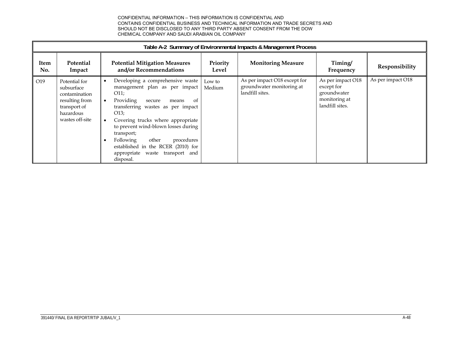|             | Table A-2 Summary of Environmental Impacts & Management Process                                                |                                                                                                                                                                                                                                                                                                                                                                                             |                   |                                                                              |                                                                                    |                   |  |  |  |  |
|-------------|----------------------------------------------------------------------------------------------------------------|---------------------------------------------------------------------------------------------------------------------------------------------------------------------------------------------------------------------------------------------------------------------------------------------------------------------------------------------------------------------------------------------|-------------------|------------------------------------------------------------------------------|------------------------------------------------------------------------------------|-------------------|--|--|--|--|
| Item<br>No. | Potential<br>Impact                                                                                            | <b>Potential Mitigation Measures</b><br>and/or Recommendations                                                                                                                                                                                                                                                                                                                              | Priority<br>Level | <b>Monitoring Measure</b>                                                    | Timing/<br>Frequency                                                               | Responsibility    |  |  |  |  |
| O19         | Potential for<br>subsurface<br>contamination<br>resulting from<br>transport of<br>hazardous<br>wastes off-site | Developing a comprehensive waste<br>management plan as per impact<br>O11;<br>Providing<br>secure<br><sub>of</sub><br>means<br>transferring wastes as per impact<br>O13:<br>Covering trucks where appropriate<br>to prevent wind-blown losses during<br>transport;<br>other<br>procedures<br>Following<br>established in the RCER (2010) for<br>appropriate waste transport and<br>disposal. | Low to<br>Medium  | As per impact O18 except for<br>groundwater monitoring at<br>landfill sites. | As per impact O18<br>except for<br>groundwater<br>monitoring at<br>landfill sites. | As per impact O18 |  |  |  |  |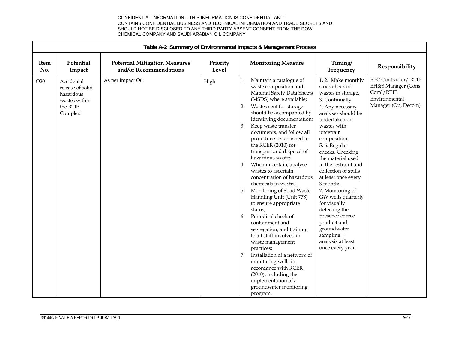|                    | Table A-2 Summary of Environmental Impacts & Management Process                     |                                                                |                   |                                        |                                                                                                                                                                                                                                                                                                                                                                                                                                                                                                                                                                                                                                                                                                                                                                                                                                                                          |                                                                                                                                                                                                                                                                                                                                                                                                                                                                                                                       |                                                                                                         |  |
|--------------------|-------------------------------------------------------------------------------------|----------------------------------------------------------------|-------------------|----------------------------------------|--------------------------------------------------------------------------------------------------------------------------------------------------------------------------------------------------------------------------------------------------------------------------------------------------------------------------------------------------------------------------------------------------------------------------------------------------------------------------------------------------------------------------------------------------------------------------------------------------------------------------------------------------------------------------------------------------------------------------------------------------------------------------------------------------------------------------------------------------------------------------|-----------------------------------------------------------------------------------------------------------------------------------------------------------------------------------------------------------------------------------------------------------------------------------------------------------------------------------------------------------------------------------------------------------------------------------------------------------------------------------------------------------------------|---------------------------------------------------------------------------------------------------------|--|
| <b>Item</b><br>No. | Potential<br>Impact                                                                 | <b>Potential Mitigation Measures</b><br>and/or Recommendations | Priority<br>Level |                                        | <b>Monitoring Measure</b>                                                                                                                                                                                                                                                                                                                                                                                                                                                                                                                                                                                                                                                                                                                                                                                                                                                | Timing/<br>Frequency                                                                                                                                                                                                                                                                                                                                                                                                                                                                                                  | Responsibility                                                                                          |  |
| O20                | Accidental<br>release of solid<br>hazardous<br>wastes within<br>the RTIP<br>Complex | As per impact O6.                                              | High              | 1.<br>2.<br>3.<br>4.<br>5.<br>6.<br>7. | Maintain a catalogue of<br>waste composition and<br>Material Safety Data Sheets<br>(MSDS) where available;<br>Wastes sent for storage<br>should be accompanied by<br>identifying documentation;<br>Keep waste transfer<br>documents, and follow all<br>procedures established in<br>the RCER (2010) for<br>transport and disposal of<br>hazardous wastes;<br>When uncertain, analyse<br>wastes to ascertain<br>concentration of hazardous<br>chemicals in wastes.<br>Monitoring of Solid Waste<br>Handling Unit (Unit 778)<br>to ensure appropriate<br>status;<br>Periodical check of<br>containment and<br>segregation, and training<br>to all staff involved in<br>waste management<br>practices;<br>Installation of a network of<br>monitoring wells in<br>accordance with RCER<br>(2010), including the<br>implementation of a<br>groundwater monitoring<br>program. | 1, 2. Make monthly<br>stock check of<br>wastes in storage.<br>3. Continually<br>4. Any necessary<br>analyses should be<br>undertaken on<br>wastes with<br>uncertain<br>composition.<br>5, 6. Regular<br>checks. Checking<br>the material used<br>in the restraint and<br>collection of spills<br>at least once every<br>3 months.<br>7. Monitoring of<br>GW wells quarterly<br>for visually<br>detecting the<br>presence of free<br>product and<br>groundwater<br>sampling +<br>analysis at least<br>once every year. | <b>EPC Contractor/ RTIP</b><br>EH&S Manager (Cons,<br>Com)/RTIP<br>Environmental<br>Manager (Op, Decom) |  |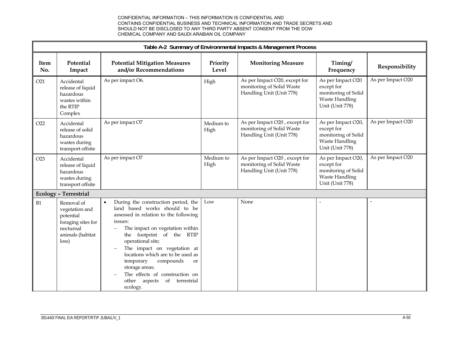|                    | Table A-2 Summary of Environmental Impacts & Management Process                                           |                                                                                                                                                                                                                                                                                                                                                                                                                            |                   |                                                                                        |                                                                                                     |                   |  |  |  |  |
|--------------------|-----------------------------------------------------------------------------------------------------------|----------------------------------------------------------------------------------------------------------------------------------------------------------------------------------------------------------------------------------------------------------------------------------------------------------------------------------------------------------------------------------------------------------------------------|-------------------|----------------------------------------------------------------------------------------|-----------------------------------------------------------------------------------------------------|-------------------|--|--|--|--|
| <b>Item</b><br>No. | Potential<br>Impact                                                                                       | <b>Potential Mitigation Measures</b><br>and/or Recommendations                                                                                                                                                                                                                                                                                                                                                             | Priority<br>Level | <b>Monitoring Measure</b>                                                              | Timing/<br>Frequency                                                                                | Responsibility    |  |  |  |  |
| O21                | Accidental<br>release of liquid<br>hazardous<br>wastes within<br>the RTIP<br>Complex                      | As per impact O6.                                                                                                                                                                                                                                                                                                                                                                                                          | High              | As per Impact O20, except for<br>monitoring of Solid Waste<br>Handling Unit (Unit 778) | As per Impact O20<br>except for<br>monitoring of Solid<br><b>Waste Handling</b><br>Unit (Unit 778)  | As per Impact O20 |  |  |  |  |
| O22                | Accidental<br>release of solid<br>hazardous<br>wastes during<br>transport offsite                         | As per impact O7                                                                                                                                                                                                                                                                                                                                                                                                           | Medium to<br>High | As per Impact O20, except for<br>monitoring of Solid Waste<br>Handling Unit (Unit 778) | As per Impact O20,<br>except for<br>monitoring of Solid<br><b>Waste Handling</b><br>Unit (Unit 778) | As per Impact O20 |  |  |  |  |
| O <sub>23</sub>    | Accidental<br>release of liquid<br>hazardous<br>wastes during<br>transport offsite                        | As per impact O7                                                                                                                                                                                                                                                                                                                                                                                                           | Medium to<br>High | As per Impact O20, except for<br>monitoring of Solid Waste<br>Handling Unit (Unit 778) | As per Impact O20,<br>except for<br>monitoring of Solid<br><b>Waste Handling</b><br>Unit (Unit 778) | As per Impact O20 |  |  |  |  |
|                    | <b>Ecology - Terrestrial</b>                                                                              |                                                                                                                                                                                                                                                                                                                                                                                                                            |                   |                                                                                        |                                                                                                     |                   |  |  |  |  |
| B1                 | Removal of<br>vegetation and<br>potential<br>foraging sites for<br>nocturnal<br>animals (habitat<br>loss) | During the construction period, the<br>land based works should to be<br>assessed in relation to the following<br>issues:<br>The impact on vegetation within<br>the footprint of the RTIP<br>operational site;<br>The impact on vegetation at<br>locations which are to be used as<br>compounds<br>temporary<br>or<br>storage areas;<br>The effects of construction on<br>other<br>of<br>aspects<br>terrestrial<br>ecology. | Low               | None                                                                                   |                                                                                                     |                   |  |  |  |  |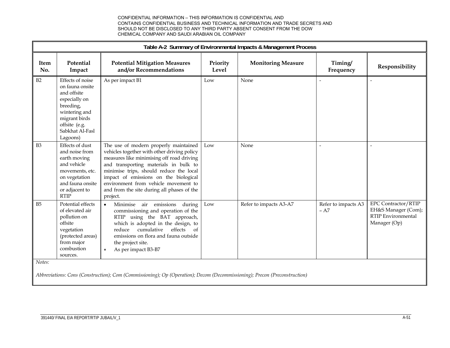|                    | Table A-2 Summary of Environmental Impacts & Management Process                                                                                                    |                                                                                                                                                                                                                                                                                                                                                                  |                   |                           |                               |                                                                                                |  |  |  |
|--------------------|--------------------------------------------------------------------------------------------------------------------------------------------------------------------|------------------------------------------------------------------------------------------------------------------------------------------------------------------------------------------------------------------------------------------------------------------------------------------------------------------------------------------------------------------|-------------------|---------------------------|-------------------------------|------------------------------------------------------------------------------------------------|--|--|--|
| <b>Item</b><br>No. | Potential<br>Impact                                                                                                                                                | <b>Potential Mitigation Measures</b><br>and/or Recommendations                                                                                                                                                                                                                                                                                                   | Priority<br>Level | <b>Monitoring Measure</b> | Timing/<br>Frequency          | Responsibility                                                                                 |  |  |  |
| B2                 | Effects of noise<br>on fauna onsite<br>and offsite<br>especially on<br>breeding,<br>wintering and<br>migrant birds<br>offsite (e.g.<br>Sabkhat Al-Fasl<br>Lagoons) | As per impact B1                                                                                                                                                                                                                                                                                                                                                 | Low               | None                      |                               | $\overline{\phantom{a}}$                                                                       |  |  |  |
| B <sub>3</sub>     | Effects of dust<br>and noise from<br>earth moving<br>and vehicle<br>movements, etc.<br>on vegetation<br>and fauna onsite<br>or adjacent to<br>RTIP                 | The use of modern properly maintained<br>vehicles together with other driving policy<br>measures like minimising off road driving<br>and transporting materials in bulk to<br>minimise trips, should reduce the local<br>impact of emissions on the biological<br>environment from vehicle movement to<br>and from the site during all phases of the<br>project. | Low               | None                      | $\overline{a}$                | $\overline{\phantom{a}}$                                                                       |  |  |  |
| B <sub>5</sub>     | Potential effects<br>of elevated air<br>pollution on<br>offsite<br>vegetation<br>(protected areas)<br>from major<br>combustion<br>sources.                         | Minimise air emissions<br>during<br>$\bullet$<br>commissioning and operation of the<br>RTIP using the BAT approach,<br>which is adopted in the design, to<br>effects<br>cumulative<br>of<br>reduce<br>emissions on flora and fauna outside<br>the project site.<br>As per impact B3-B7<br>$\bullet$                                                              | Low               | Refer to impacts A3-A7    | Refer to impacts A3<br>$- A7$ | <b>EPC Contractor/RTIP</b><br>EH&S Manager (Com);<br><b>RTIP</b> Environmental<br>Manager (Op) |  |  |  |
| Notes:             |                                                                                                                                                                    | Abbreviations: Cons (Construction); Com (Commissioning); Op (Operation); Decom (Decommissioning); Precon (Preconstruction)                                                                                                                                                                                                                                       |                   |                           |                               |                                                                                                |  |  |  |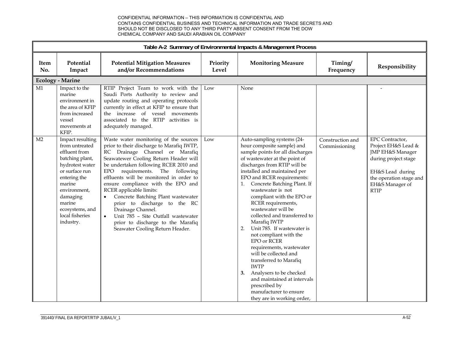|                |                                                                                                                                                                                                                                |                                                                                                                                                                                                                                                                                                                                                                                                                                                                                                                                                                                                    |                   | Table A-2 Summary of Environmental Impacts & Management Process                                                                                                                                                                                                                                                                                                                                                                                                                                                                                                                                                                                                                                                                           |                                   |                                                                                                                                                                     |
|----------------|--------------------------------------------------------------------------------------------------------------------------------------------------------------------------------------------------------------------------------|----------------------------------------------------------------------------------------------------------------------------------------------------------------------------------------------------------------------------------------------------------------------------------------------------------------------------------------------------------------------------------------------------------------------------------------------------------------------------------------------------------------------------------------------------------------------------------------------------|-------------------|-------------------------------------------------------------------------------------------------------------------------------------------------------------------------------------------------------------------------------------------------------------------------------------------------------------------------------------------------------------------------------------------------------------------------------------------------------------------------------------------------------------------------------------------------------------------------------------------------------------------------------------------------------------------------------------------------------------------------------------------|-----------------------------------|---------------------------------------------------------------------------------------------------------------------------------------------------------------------|
| Item<br>No.    | Potential<br>Impact                                                                                                                                                                                                            | <b>Potential Mitigation Measures</b><br>and/or Recommendations                                                                                                                                                                                                                                                                                                                                                                                                                                                                                                                                     | Priority<br>Level | <b>Monitoring Measure</b>                                                                                                                                                                                                                                                                                                                                                                                                                                                                                                                                                                                                                                                                                                                 | Timing/<br>Frequency              | Responsibility                                                                                                                                                      |
|                | <b>Ecology - Marine</b>                                                                                                                                                                                                        |                                                                                                                                                                                                                                                                                                                                                                                                                                                                                                                                                                                                    |                   |                                                                                                                                                                                                                                                                                                                                                                                                                                                                                                                                                                                                                                                                                                                                           |                                   |                                                                                                                                                                     |
| M1             | Impact to the<br>marine<br>environment in<br>the area of KFIP<br>from increased<br>vessel<br>movements at<br>KFIP.                                                                                                             | RTIP Project Team to work with the<br>Saudi Ports Authority to review and<br>update routing and operating protocols<br>currently in effect at KFIP to ensure that<br>the increase of vessel movements<br>associated to the RTIP activities is<br>adequately managed.                                                                                                                                                                                                                                                                                                                               | Low               | None                                                                                                                                                                                                                                                                                                                                                                                                                                                                                                                                                                                                                                                                                                                                      |                                   |                                                                                                                                                                     |
| M <sub>2</sub> | Impact resulting<br>from untreated<br>effluent from<br>batching plant,<br>hydrotest water<br>or surface run<br>entering the<br>marine<br>environment,<br>damaging<br>marine<br>ecosystems, and<br>local fisheries<br>industry. | Waste water monitoring of the sources<br>prior to their discharge to Marafiq IWTP,<br>RC Drainage Channel or Marafiq<br>Seawatewer Cooling Return Header will<br>be undertaken following RCER 2010 and<br>requirements. The following<br><b>EPO</b><br>effluents will be monitored in order to<br>ensure compliance with the EPO and<br>RCER applicable limits:<br>Concrete Batching Plant wastewater<br>$\bullet$<br>prior to discharge to the RC<br>Drainage Channel.<br>Unit 785 - Site Outfall wastewater<br>$\bullet$<br>prior to discharge to the Marafiq<br>Seawater Cooling Return Header. | Low               | Auto-sampling systems (24-<br>hour composite sample) and<br>sample points for all discharges<br>of wastewater at the point of<br>discharges from RTIP will be<br>installed and maintained per<br>EPO and RCER requirements:<br>Concrete Batching Plant. If<br>1.<br>wastewater is not<br>compliant with the EPO or<br>RCER requirements,<br>wastewater will be<br>collected and transferred to<br>Marafiq IWTP<br>2.<br>Unit 785. If wastewater is<br>not compliant with the<br><b>EPO or RCER</b><br>requirements, wastewater<br>will be collected and<br>transferred to Marafiq<br><b>IWTP</b><br>Analysers to be checked<br>3.<br>and maintained at intervals<br>prescribed by<br>manufacturer to ensure<br>they are in working order, | Construction and<br>Commissioning | EPC Contractor,<br>Project EH&S Lead &<br>JMP EH&S Manager<br>during project stage<br>EH&S Lead during<br>the operation stage and<br>EH&S Manager of<br><b>RTIP</b> |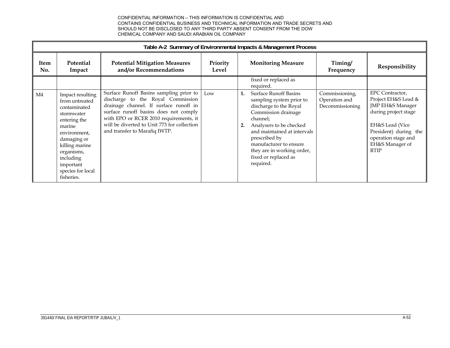|                | Table A-2 Summary of Environmental Impacts & Management Process                                                                                                                                                        |                                                                                                                                                                                                                                                                                           |                   |          |                                                                                                                                                                                                                                                                                               |                                                    |                                                                                                                                                                                         |  |  |
|----------------|------------------------------------------------------------------------------------------------------------------------------------------------------------------------------------------------------------------------|-------------------------------------------------------------------------------------------------------------------------------------------------------------------------------------------------------------------------------------------------------------------------------------------|-------------------|----------|-----------------------------------------------------------------------------------------------------------------------------------------------------------------------------------------------------------------------------------------------------------------------------------------------|----------------------------------------------------|-----------------------------------------------------------------------------------------------------------------------------------------------------------------------------------------|--|--|
| Item<br>No.    | <b>Potential</b><br>Impact                                                                                                                                                                                             | <b>Potential Mitigation Measures</b><br>and/or Recommendations                                                                                                                                                                                                                            | Priority<br>Level |          | <b>Monitoring Measure</b>                                                                                                                                                                                                                                                                     | Timing/<br>Frequency                               | Responsibility                                                                                                                                                                          |  |  |
|                |                                                                                                                                                                                                                        |                                                                                                                                                                                                                                                                                           |                   |          | fixed or replaced as<br>required.                                                                                                                                                                                                                                                             |                                                    |                                                                                                                                                                                         |  |  |
| M <sub>4</sub> | Impact resulting<br>from untreated<br>contaminated<br>stormwater<br>entering the<br>marine<br>environment,<br>damaging or<br>killing marine<br>organisms,<br>including<br>important<br>species for local<br>fisheries. | Surface Runoff Basins sampling prior to<br>discharge to the Royal Commission<br>drainage channel. If surface runoff in<br>surface runoff basins does not comply<br>with EPO or RCER 2010 requirements, it<br>will be diverted to Unit 773 for collection<br>and transfer to Marafiq IWTP. | Low               | 1.<br>2. | <b>Surface Runoff Basins</b><br>sampling system prior to<br>discharge to the Royal<br>Commission drainage<br>channel;<br>Analysers to be checked<br>and maintained at intervals<br>prescribed by<br>manufacturer to ensure<br>they are in working order,<br>fixed or replaced as<br>required. | Commissioning,<br>Operation and<br>Decommissioning | EPC Contractor,<br>Project EH&S Lead &<br>JMP EH&S Manager<br>during project stage<br>EH&S Lead (Vice<br>President) during the<br>operation stage and<br>EH&S Manager of<br><b>RTIP</b> |  |  |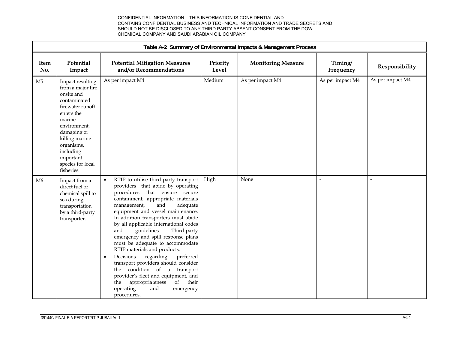|                | Table A-2 Summary of Environmental Impacts & Management Process                                                                                                                                                                             |                                                                                                                                                                                                                                                                                                                                                                                                                                                                                                                                                                                                                                                                                                                               |                   |                           |                          |                  |  |  |  |
|----------------|---------------------------------------------------------------------------------------------------------------------------------------------------------------------------------------------------------------------------------------------|-------------------------------------------------------------------------------------------------------------------------------------------------------------------------------------------------------------------------------------------------------------------------------------------------------------------------------------------------------------------------------------------------------------------------------------------------------------------------------------------------------------------------------------------------------------------------------------------------------------------------------------------------------------------------------------------------------------------------------|-------------------|---------------------------|--------------------------|------------------|--|--|--|
| Item<br>No.    | Potential<br>Impact                                                                                                                                                                                                                         | <b>Potential Mitigation Measures</b><br>and/or Recommendations                                                                                                                                                                                                                                                                                                                                                                                                                                                                                                                                                                                                                                                                | Priority<br>Level | <b>Monitoring Measure</b> | Timing/<br>Frequency     | Responsibility   |  |  |  |
| M <sub>5</sub> | Impact resulting<br>from a major fire<br>onsite and<br>contaminated<br>firewater runoff<br>enters the<br>marine<br>environment,<br>damaging or<br>killing marine<br>organisms,<br>including<br>important<br>species for local<br>fisheries. | As per impact M4                                                                                                                                                                                                                                                                                                                                                                                                                                                                                                                                                                                                                                                                                                              | Medium            | As per impact M4          | As per impact M4         | As per impact M4 |  |  |  |
| M6             | Impact from a<br>direct fuel or<br>chemical spill to<br>sea during<br>transportation<br>by a third-party<br>transporter.                                                                                                                    | RTIP to utilise third-party transport<br>$\bullet$<br>providers that abide by operating<br>procedures that ensure secure<br>containment, appropriate materials<br>management,<br>and<br>adequate<br>equipment and vessel maintenance.<br>In addition transporters must abide<br>by all applicable international codes<br>guidelines<br>and<br>Third-party<br>emergency and spill response plans<br>must be adequate to accommodate<br>RTIP materials and products.<br>Decisions<br>regarding<br>preferred<br>$\bullet$<br>transport providers should consider<br>the condition of a transport<br>provider's fleet and equipment, and<br>of<br>their<br>appropriateness<br>the<br>operating<br>and<br>emergency<br>procedures. | High              | None                      | $\overline{\phantom{m}}$ | $\overline{a}$   |  |  |  |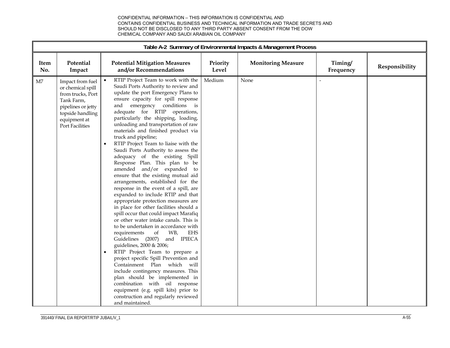|             | Table A-2 Summary of Environmental Impacts & Management Process                                                                                       |                                                                                                                                                                                                                                                                                                                                                                                                                                                                                                                                                                                                                                                                                                                                                                                                                                                                                                                                                                                                                                                                                                                                                                                                                                                                                                                                                              |                   |                           |                      |                |  |
|-------------|-------------------------------------------------------------------------------------------------------------------------------------------------------|--------------------------------------------------------------------------------------------------------------------------------------------------------------------------------------------------------------------------------------------------------------------------------------------------------------------------------------------------------------------------------------------------------------------------------------------------------------------------------------------------------------------------------------------------------------------------------------------------------------------------------------------------------------------------------------------------------------------------------------------------------------------------------------------------------------------------------------------------------------------------------------------------------------------------------------------------------------------------------------------------------------------------------------------------------------------------------------------------------------------------------------------------------------------------------------------------------------------------------------------------------------------------------------------------------------------------------------------------------------|-------------------|---------------------------|----------------------|----------------|--|
| Item<br>No. | Potential<br>Impact                                                                                                                                   | <b>Potential Mitigation Measures</b><br>and/or Recommendations                                                                                                                                                                                                                                                                                                                                                                                                                                                                                                                                                                                                                                                                                                                                                                                                                                                                                                                                                                                                                                                                                                                                                                                                                                                                                               | Priority<br>Level | <b>Monitoring Measure</b> | Timing/<br>Frequency | Responsibility |  |
| M7          | Impact from fuel<br>or chemical spill<br>from trucks, Port<br>Tank Farm,<br>pipelines or jetty<br>topside handling<br>equipment at<br>Port Facilities | RTIP Project Team to work with the<br>Saudi Ports Authority to review and<br>update the port Emergency Plans to<br>ensure capacity for spill response<br>and emergency conditions is<br>adequate for RTIP operations,<br>particularly the shipping, loading,<br>unloading and transportation of raw<br>materials and finished product via<br>truck and pipeline;<br>RTIP Project Team to liaise with the<br>Saudi Ports Authority to assess the<br>adequacy of the existing Spill<br>Response Plan. This plan to be<br>amended and/or expanded to<br>ensure that the existing mutual aid<br>arrangements, established for the<br>response in the event of a spill, are<br>expanded to include RTIP and that<br>appropriate protection measures are<br>in place for other facilities should a<br>spill occur that could impact Marafiq<br>or other water intake canals. This is<br>to be undertaken in accordance with<br>WB,<br>requirements<br>of<br>EHS<br>and IPIECA<br>Guidelines (2007)<br>guidelines, 2000 & 2006;<br>RTIP Project Team to prepare a<br>$\bullet$<br>project specific Spill Prevention and<br>Containment Plan which<br>will<br>include contingency measures. This<br>plan should be implemented in<br>combination with oil response<br>equipment (e.g. spill kits) prior to<br>construction and regularly reviewed<br>and maintained. | Medium            | None                      | $\sim$               |                |  |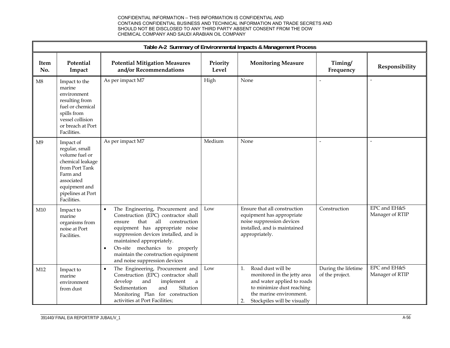|                |                                                                                                                                                                    |                                                                                                                                                                                                                                                                                                                                                 |                   | Table A-2 Summary of Environmental Impacts & Management Process                                                                                                                   |                                        |                                 |
|----------------|--------------------------------------------------------------------------------------------------------------------------------------------------------------------|-------------------------------------------------------------------------------------------------------------------------------------------------------------------------------------------------------------------------------------------------------------------------------------------------------------------------------------------------|-------------------|-----------------------------------------------------------------------------------------------------------------------------------------------------------------------------------|----------------------------------------|---------------------------------|
| Item<br>No.    | Potential<br>Impact                                                                                                                                                | <b>Potential Mitigation Measures</b><br>and/or Recommendations                                                                                                                                                                                                                                                                                  | Priority<br>Level | <b>Monitoring Measure</b>                                                                                                                                                         | Timing/<br>Frequency                   | Responsibility                  |
| M8             | Impact to the<br>marine<br>environment<br>resulting from<br>fuel or chemical<br>spills from<br>vessel collision<br>or breach at Port<br>Facilities.                | As per impact M7                                                                                                                                                                                                                                                                                                                                | High              | None                                                                                                                                                                              |                                        |                                 |
| M <sub>9</sub> | Impact of<br>regular, small<br>volume fuel or<br>chemical leakage<br>from Port Tank<br>Farm and<br>associated<br>equipment and<br>pipelines at Port<br>Facilities. | As per impact M7                                                                                                                                                                                                                                                                                                                                | Medium            | None                                                                                                                                                                              |                                        | $\overline{a}$                  |
| M10            | Impact to<br>marine<br>organisms from<br>noise at Port<br>Facilities.                                                                                              | The Engineering, Procurement and<br>$\bullet$<br>Construction (EPC) contractor shall<br>all<br>construction<br>that<br>ensure<br>equipment has appropriate noise<br>suppression devices installed, and is<br>maintained appropriately.<br>On-site mechanics to properly<br>maintain the construction equipment<br>and noise suppression devices | Low               | Ensure that all construction<br>equipment has appropriate<br>noise suppression devices<br>installed, and is maintained<br>appropriately.                                          | Construction                           | EPC and EH&S<br>Manager of RTIP |
| M12            | Impact to<br>marine<br>environment<br>from dust                                                                                                                    | The Engineering, Procurement and<br>$\bullet$<br>Construction (EPC) contractor shall<br>develop<br>and<br>implement<br>$\mathbf{a}$<br>Siltation<br>Sedimentation<br>and<br>Monitoring Plan for construction<br>activities at Port Facilities;                                                                                                  | Low               | Road dust will be<br>1.<br>monitored in the jetty area<br>and water applied to roads<br>to minimize dust reaching<br>the marine environment.<br>2.<br>Stockpiles will be visually | During the lifetime<br>of the project. | EPC and EH&S<br>Manager of RTIP |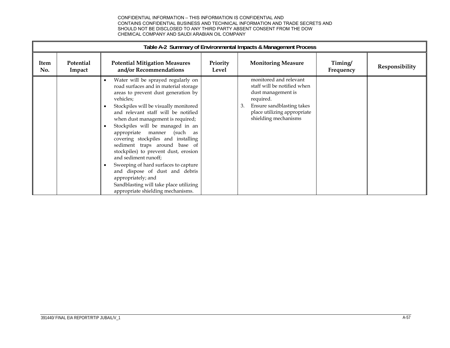|             | Table A-2 Summary of Environmental Impacts & Management Process |                                                                                                                                                                                                                                                                                                                                                                                                                                                                                                                                                                                                                                                  |                   |                                                                                                                                                                                    |                      |                |  |  |  |
|-------------|-----------------------------------------------------------------|--------------------------------------------------------------------------------------------------------------------------------------------------------------------------------------------------------------------------------------------------------------------------------------------------------------------------------------------------------------------------------------------------------------------------------------------------------------------------------------------------------------------------------------------------------------------------------------------------------------------------------------------------|-------------------|------------------------------------------------------------------------------------------------------------------------------------------------------------------------------------|----------------------|----------------|--|--|--|
| Item<br>No. | <b>Potential</b><br>Impact                                      | <b>Potential Mitigation Measures</b><br>and/or Recommendations                                                                                                                                                                                                                                                                                                                                                                                                                                                                                                                                                                                   | Priority<br>Level | <b>Monitoring Measure</b>                                                                                                                                                          | Timing/<br>Frequency | Responsibility |  |  |  |
|             |                                                                 | Water will be sprayed regularly on<br>road surfaces and in material storage<br>areas to prevent dust generation by<br>vehicles;<br>Stockpiles will be visually monitored<br>and relevant staff will be notified<br>when dust management is required;<br>Stockpiles will be managed in an<br>appropriate manner<br>(such as<br>covering stockpiles and installing<br>sediment traps around base of<br>stockpiles) to prevent dust, erosion<br>and sediment runoff;<br>Sweeping of hard surfaces to capture<br>and dispose of dust and debris<br>appropriately; and<br>Sandblasting will take place utilizing<br>appropriate shielding mechanisms. |                   | monitored and relevant<br>staff will be notified when<br>dust management is<br>required.<br>Ensure sandblasting takes<br>3.<br>place utilizing appropriate<br>shielding mechanisms |                      |                |  |  |  |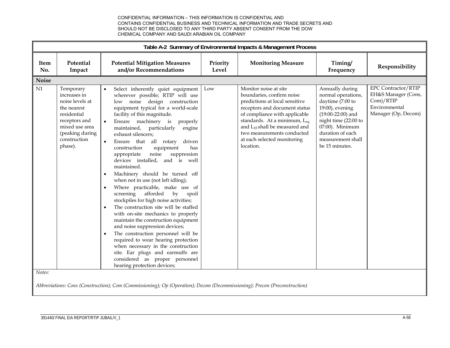|              |                                                                                                                                                             |                                                                                                                                                                                                                                                                                                                                                                                                                                                                                                                                                                                                                                                                                                                                                                                                                                                                                                                                                                                                                                                                                                                      |                   | Table A-2 Summary of Environmental Impacts & Management Process                                                                                                                                                                                                                                               |                                                                                                                                                                                                           |                                                                                                        |
|--------------|-------------------------------------------------------------------------------------------------------------------------------------------------------------|----------------------------------------------------------------------------------------------------------------------------------------------------------------------------------------------------------------------------------------------------------------------------------------------------------------------------------------------------------------------------------------------------------------------------------------------------------------------------------------------------------------------------------------------------------------------------------------------------------------------------------------------------------------------------------------------------------------------------------------------------------------------------------------------------------------------------------------------------------------------------------------------------------------------------------------------------------------------------------------------------------------------------------------------------------------------------------------------------------------------|-------------------|---------------------------------------------------------------------------------------------------------------------------------------------------------------------------------------------------------------------------------------------------------------------------------------------------------------|-----------------------------------------------------------------------------------------------------------------------------------------------------------------------------------------------------------|--------------------------------------------------------------------------------------------------------|
| Item<br>No.  | Potential<br>Impact                                                                                                                                         | <b>Potential Mitigation Measures</b><br>and/or Recommendations                                                                                                                                                                                                                                                                                                                                                                                                                                                                                                                                                                                                                                                                                                                                                                                                                                                                                                                                                                                                                                                       | Priority<br>Level | <b>Monitoring Measure</b>                                                                                                                                                                                                                                                                                     | Timing/<br>Frequency                                                                                                                                                                                      | Responsibility                                                                                         |
| <b>Noise</b> |                                                                                                                                                             |                                                                                                                                                                                                                                                                                                                                                                                                                                                                                                                                                                                                                                                                                                                                                                                                                                                                                                                                                                                                                                                                                                                      |                   |                                                                                                                                                                                                                                                                                                               |                                                                                                                                                                                                           |                                                                                                        |
| N1           | Temporary<br>increases in<br>noise levels at<br>the nearest<br>residential<br>receptors and<br>mixed use area<br>(peaking during<br>construction<br>phase). | Select inherently quiet equipment<br>$\bullet$<br>wherever possible; RTIP will use<br>low noise design construction<br>equipment typical for a world-scale<br>facility of this magnitude.<br>Ensure machinery is<br>$\bullet$<br>properly<br>maintained, particularly<br>engine<br>exhaust silencers;<br>Ensure that all rotary<br>driven<br>$\bullet$<br>equipment<br>construction<br>has<br>noise<br>appropriate<br>suppression<br>devices installed,<br>and is well<br>maintained.<br>Machinery should be turned off<br>$\bullet$<br>when not in use (not left idling);<br>Where practicable, make use of<br>$\bullet$<br>afforded<br>screening<br>by<br>spoil<br>stockpiles for high noise activities;<br>The construction site will be staffed<br>$\bullet$<br>with on-site mechanics to properly<br>maintain the construction equipment<br>and noise suppression devices;<br>The construction personnel will be<br>$\bullet$<br>required to wear hearing protection<br>when necessary in the construction<br>site. Ear plugs and earmuffs are<br>considered as proper personnel<br>hearing protection devices; | Low               | Monitor noise at site<br>boundaries, confirm noise<br>predictions at local sensitive<br>receptors and document status<br>of compliance with applicable<br>standards. At a minimum, Leq<br>and L <sub>10</sub> shall be measured and<br>two measurements conducted<br>at each selected monitoring<br>location. | Annually during<br>normal operations,<br>daytime (7:00 to<br>19:00), evening<br>$(19:00-22:00)$ and<br>night time (22:00 to<br>07:00). Minimum<br>duration of each<br>measurement shall<br>be 15 minutes. | <b>EPC Contractor/RTIP</b><br>EH&S Manager (Cons,<br>Com)/RTIP<br>Environmental<br>Manager (Op, Decom) |
| Notes:       |                                                                                                                                                             | Abbreviations: Cons (Construction); Com (Commissioning); Op (Operation); Decom (Decommissioning); Precon (Preconstruction)                                                                                                                                                                                                                                                                                                                                                                                                                                                                                                                                                                                                                                                                                                                                                                                                                                                                                                                                                                                           |                   |                                                                                                                                                                                                                                                                                                               |                                                                                                                                                                                                           |                                                                                                        |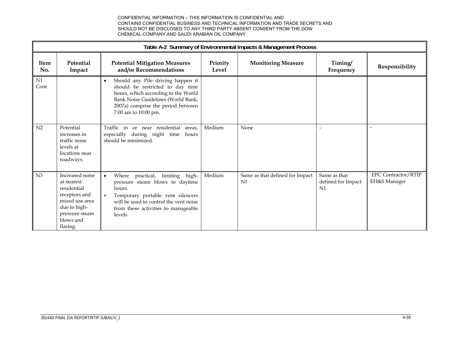|                    | Table A-2 Summary of Environmental Impacts & Management Process                                                                            |                                                                                                                                                                                                                               |                   |                                       |                                                      |                                            |  |  |  |
|--------------------|--------------------------------------------------------------------------------------------------------------------------------------------|-------------------------------------------------------------------------------------------------------------------------------------------------------------------------------------------------------------------------------|-------------------|---------------------------------------|------------------------------------------------------|--------------------------------------------|--|--|--|
| <b>Item</b><br>No. | Potential<br>Impact                                                                                                                        | <b>Potential Mitigation Measures</b><br>and/or Recommendations                                                                                                                                                                | Priority<br>Level | <b>Monitoring Measure</b>             | Timing/<br>Frequency                                 | Responsibility                             |  |  |  |
| ${\rm N1}$<br>Cont |                                                                                                                                            | Should any Pile driving happen it<br>$\bullet$<br>should be restricted to day time<br>hours, which according to the World<br>Bank Noise Guidelines (World Bank,<br>2007a) comprise the period between<br>7:00 am to 10:00 pm. |                   |                                       |                                                      |                                            |  |  |  |
| N <sub>2</sub>     | Potential<br>increases in<br>traffic noise<br>levels at<br>locations near<br>roadways.                                                     | Traffic in<br>or near residential<br>areas,<br>especially during night time hours<br>should be minimized.                                                                                                                     | Medium            | None                                  |                                                      | $\overline{\phantom{a}}$                   |  |  |  |
| N <sub>3</sub>     | Increased noise<br>at nearest<br>residential<br>receptors and<br>mixed use area<br>due to high-<br>pressure steam<br>blows and<br>flaring. | Where practical,<br>limiting high-<br>pressure steam blows to daytime<br>hours.<br>Temporary portable vent silencers<br>will be used to control the vent noise<br>from these activities to manageable<br>levels.              | Medium            | Same as that defined for Impact<br>N1 | Same as that<br>defined for Impact<br>N <sub>1</sub> | <b>EPC Contractor/RTIP</b><br>EH&S Manager |  |  |  |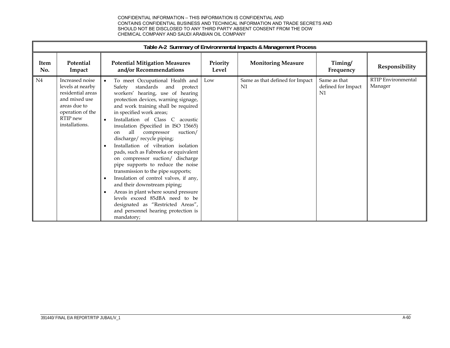|                    | Table A-2 Summary of Environmental Impacts & Management Process                                                                             |                                                                                                                                                                                                                                                                                                                                                                                                                                                                                                                                                                                                                                                                                                                                                                                                                                                   |                   |                                       |                                          |                                      |  |  |  |
|--------------------|---------------------------------------------------------------------------------------------------------------------------------------------|---------------------------------------------------------------------------------------------------------------------------------------------------------------------------------------------------------------------------------------------------------------------------------------------------------------------------------------------------------------------------------------------------------------------------------------------------------------------------------------------------------------------------------------------------------------------------------------------------------------------------------------------------------------------------------------------------------------------------------------------------------------------------------------------------------------------------------------------------|-------------------|---------------------------------------|------------------------------------------|--------------------------------------|--|--|--|
| <b>Item</b><br>No. | Potential<br>Impact                                                                                                                         | <b>Potential Mitigation Measures</b><br>and/or Recommendations                                                                                                                                                                                                                                                                                                                                                                                                                                                                                                                                                                                                                                                                                                                                                                                    | Priority<br>Level | <b>Monitoring Measure</b>             | Timing/<br>Frequency                     | Responsibility                       |  |  |  |
| N4                 | Increased noise<br>levels at nearby<br>residential areas<br>and mixed use<br>areas due to<br>operation of the<br>RTIP new<br>installations. | To meet Occupational Health and<br>standards and protect<br>Safety<br>workers' hearing, use of hearing<br>protection devices, warning signage,<br>and work training shall be required<br>in specified work areas;<br>Installation of Class C acoustic<br>$\bullet$<br>insulation (Specified in ISO 15665)<br>all<br>compressor<br>suction/<br>on<br>discharge/recycle piping;<br>Installation of vibration isolation<br>pads, such as Fabreeka or equivalent<br>on compressor suction/ discharge<br>pipe supports to reduce the noise<br>transmission to the pipe supports;<br>Insulation of control valves, if any,<br>$\bullet$<br>and their downstream piping;<br>Areas in plant where sound pressure<br>$\bullet$<br>levels exceed 85dBA need to be<br>designated as "Restricted Areas",<br>and personnel hearing protection is<br>mandatory; | Low               | Same as that defined for Impact<br>N1 | Same as that<br>defined for Impact<br>N1 | <b>RTIP Environmental</b><br>Manager |  |  |  |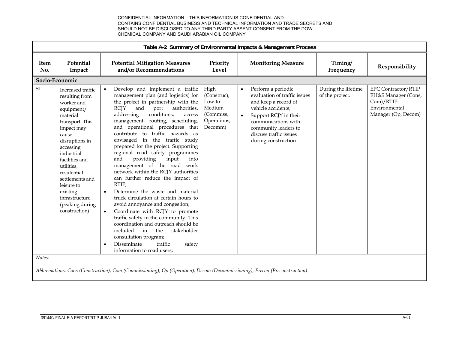|                    | Table A-2 Summary of Environmental Impacts & Management Process                                                                                                                                                                                                                                                      |                                                                                                                                                                                                                                                                                                                                                                                                                                                                                                                                                                                                                                                                                                                                                                                                                                                                                                                                                                                                 |                                                                                |                                                                                                                                                                                                                                                     |                                        |                                                                                                        |  |  |
|--------------------|----------------------------------------------------------------------------------------------------------------------------------------------------------------------------------------------------------------------------------------------------------------------------------------------------------------------|-------------------------------------------------------------------------------------------------------------------------------------------------------------------------------------------------------------------------------------------------------------------------------------------------------------------------------------------------------------------------------------------------------------------------------------------------------------------------------------------------------------------------------------------------------------------------------------------------------------------------------------------------------------------------------------------------------------------------------------------------------------------------------------------------------------------------------------------------------------------------------------------------------------------------------------------------------------------------------------------------|--------------------------------------------------------------------------------|-----------------------------------------------------------------------------------------------------------------------------------------------------------------------------------------------------------------------------------------------------|----------------------------------------|--------------------------------------------------------------------------------------------------------|--|--|
| <b>Item</b><br>No. | Potential<br>Impact                                                                                                                                                                                                                                                                                                  | <b>Potential Mitigation Measures</b><br>and/or Recommendations                                                                                                                                                                                                                                                                                                                                                                                                                                                                                                                                                                                                                                                                                                                                                                                                                                                                                                                                  | Priority<br>Level                                                              | <b>Monitoring Measure</b>                                                                                                                                                                                                                           | Timing/<br>Frequency                   | Responsibility                                                                                         |  |  |
|                    | Socio-Economic                                                                                                                                                                                                                                                                                                       |                                                                                                                                                                                                                                                                                                                                                                                                                                                                                                                                                                                                                                                                                                                                                                                                                                                                                                                                                                                                 |                                                                                |                                                                                                                                                                                                                                                     |                                        |                                                                                                        |  |  |
| <b>S1</b>          | Increased traffic<br>resulting from<br>worker and<br>equipment/<br>material<br>transport. This<br>impact may<br>cause<br>disruptions in<br>accessing<br>industrial<br>facilities and<br>utilities,<br>residential<br>settlements and<br>leisure to<br>existing<br>infrastructure<br>(peaking during<br>construction) | Develop and implement a traffic<br>management plan (and logistics) for<br>the project in partnership with the<br><b>RCJY</b><br>and<br>port<br>authorities,<br>conditions,<br>addressing<br>access<br>management, routing, scheduling,<br>and operational procedures that<br>contribute to traffic hazards as<br>envisaged in the traffic study<br>prepared for the project. Supporting<br>regional road safety programmes<br>providing<br>input<br>and<br>into<br>management of the road work<br>network within the RCJY authorities<br>can further reduce the impact of<br>RTIP;<br>Determine the waste and material<br>$\bullet$<br>truck circulation at certain hours to<br>avoid annoyance and congestion;<br>Coordinate with RCJY to promote<br>$\bullet$<br>traffic safety in the community. This<br>coordination and outreach should be<br>included<br>in<br>the<br>stakeholder<br>consultation program;<br>Disseminate<br>traffic<br>safety<br>$\bullet$<br>information to road users: | High<br>(Construc),<br>Low to<br>Medium<br>(Commiss,<br>Operations,<br>Decomm) | Perform a periodic<br>$\bullet$<br>evaluation of traffic issues<br>and keep a record of<br>vehicle accidents:<br>Support RCJY in their<br>$\bullet$<br>communications with<br>community leaders to<br>discuss traffic issues<br>during construction | During the lifetime<br>of the project. | <b>EPC Contractor/RTIP</b><br>EH&S Manager (Cons,<br>Com)/RTIP<br>Environmental<br>Manager (Op, Decom) |  |  |
| Notes:             |                                                                                                                                                                                                                                                                                                                      | Abbreviations: Cons (Construction); Com (Commissioning); Op (Operation); Decom (Decommissioning); Precon (Preconstruction)                                                                                                                                                                                                                                                                                                                                                                                                                                                                                                                                                                                                                                                                                                                                                                                                                                                                      |                                                                                |                                                                                                                                                                                                                                                     |                                        |                                                                                                        |  |  |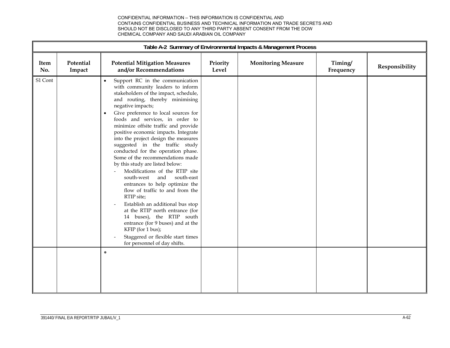|                    | Table A-2 Summary of Environmental Impacts & Management Process |                                                                                                                                                                                                                                                                                                                                                                                                                                                                                                                                                                                                                                                                                                                                                                                                                                                                                                                                             |                   |                           |                      |                |  |  |
|--------------------|-----------------------------------------------------------------|---------------------------------------------------------------------------------------------------------------------------------------------------------------------------------------------------------------------------------------------------------------------------------------------------------------------------------------------------------------------------------------------------------------------------------------------------------------------------------------------------------------------------------------------------------------------------------------------------------------------------------------------------------------------------------------------------------------------------------------------------------------------------------------------------------------------------------------------------------------------------------------------------------------------------------------------|-------------------|---------------------------|----------------------|----------------|--|--|
| <b>Item</b><br>No. | Potential<br>Impact                                             | <b>Potential Mitigation Measures</b><br>and/or Recommendations                                                                                                                                                                                                                                                                                                                                                                                                                                                                                                                                                                                                                                                                                                                                                                                                                                                                              | Priority<br>Level | <b>Monitoring Measure</b> | Timing/<br>Frequency | Responsibility |  |  |
| S1 Cont            |                                                                 | Support RC in the communication<br>$\bullet$<br>with community leaders to inform<br>stakeholders of the impact, schedule,<br>and routing, thereby minimising<br>negative impacts;<br>Give preference to local sources for<br>$\bullet$<br>foods and services, in order to<br>minimize offsite traffic and provide<br>positive economic impacts. Integrate<br>into the project design the measures<br>suggested in the traffic study<br>conducted for the operation phase.<br>Some of the recommendations made<br>by this study are listed below:<br>Modifications of the RTIP site<br>south-east<br>south-west<br>and<br>entrances to help optimize the<br>flow of traffic to and from the<br>RTIP site;<br>Establish an additional bus stop<br>at the RTIP north entrance (for<br>14 buses), the RTIP south<br>entrance (for 9 buses) and at the<br>KFIP (for 1 bus);<br>Staggered or flexible start times<br>for personnel of day shifts. |                   |                           |                      |                |  |  |
|                    |                                                                 | $\bullet$                                                                                                                                                                                                                                                                                                                                                                                                                                                                                                                                                                                                                                                                                                                                                                                                                                                                                                                                   |                   |                           |                      |                |  |  |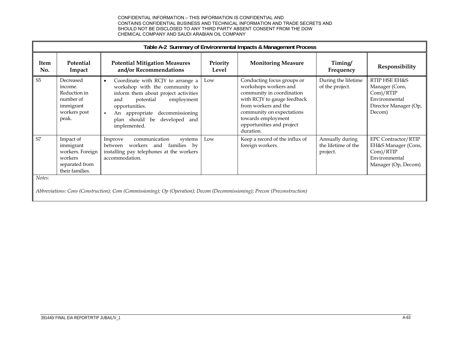|                | Table A-2 Summary of Environmental Impacts & Management Process                                                            |                                                                                                                                                                                                                                                                      |                   |                                                                                                                                                                                                                                      |                                                    |                                                                                                        |  |  |  |
|----------------|----------------------------------------------------------------------------------------------------------------------------|----------------------------------------------------------------------------------------------------------------------------------------------------------------------------------------------------------------------------------------------------------------------|-------------------|--------------------------------------------------------------------------------------------------------------------------------------------------------------------------------------------------------------------------------------|----------------------------------------------------|--------------------------------------------------------------------------------------------------------|--|--|--|
| Item<br>No.    | <b>Potential</b><br>Impact                                                                                                 | <b>Potential Mitigation Measures</b><br>and/or Recommendations                                                                                                                                                                                                       | Priority<br>Level | <b>Monitoring Measure</b>                                                                                                                                                                                                            | Timing/<br>Frequency                               | Responsibility                                                                                         |  |  |  |
| S <sub>5</sub> | Decreased<br>income.<br>Reduction in<br>number of<br>immigrant<br>workers post<br>peak.                                    | Coordinate with RCJY to arrange a<br>workshop with the community to<br>inform them about project activities<br>potential<br>employment<br>and<br>opportunities.<br>decommissioning<br>An appropriate<br>$\bullet$<br>plan should be<br>developed and<br>implemented. | Low               | Conducting focus groups or<br>workshops workers and<br>community in coordination<br>with RCJY to gauge feedback<br>from workers and the<br>community on expectations<br>towards employment<br>opportunities and project<br>duration. | During the lifetime<br>of the project.             | RTIP HSE EH&S<br>Manager (Cons,<br>Com)/RTIP<br>Environmental<br>Director Manager (Op,<br>Decom)       |  |  |  |
| S7             | Impact of<br>immigrant<br>workers. Foreign<br>workers<br>separated from<br>their families.                                 | communication<br>Improve<br>systems<br>between workers and families by<br>installing pay telephones at the workers<br>accommodation.                                                                                                                                 | Low               | Keep a record of the influx of<br>foreign workers.                                                                                                                                                                                   | Annually during<br>the lifetime of the<br>project. | <b>EPC Contractor/RTIP</b><br>EH&S Manager (Cons,<br>Com)/RTIP<br>Environmental<br>Manager (Op, Decom) |  |  |  |
| Notes:         | Abbreviations: Cons (Construction); Com (Commissioning); Op (Operation); Decom (Decommissioning); Precon (Preconstruction) |                                                                                                                                                                                                                                                                      |                   |                                                                                                                                                                                                                                      |                                                    |                                                                                                        |  |  |  |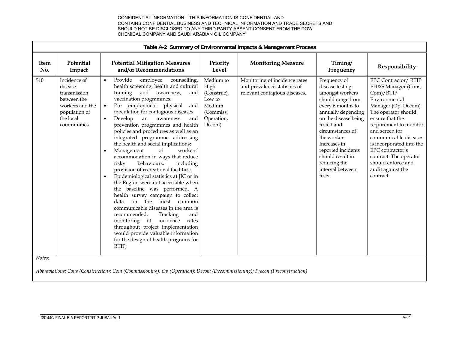|                    |                                                                                                                         |                                                                                                                                                                                                                                                                                                                                                                                                                                                                                                                                                                                                                                                                                                                                                                                                                                                                                                                                                                                                                                                            |                                                                                           | Table A-2 Summary of Environmental Impacts & Management Process                                |                                                                                                                                                                                                                                                                                                     |                                                                                                                                                                                                                                                                                                                                                          |
|--------------------|-------------------------------------------------------------------------------------------------------------------------|------------------------------------------------------------------------------------------------------------------------------------------------------------------------------------------------------------------------------------------------------------------------------------------------------------------------------------------------------------------------------------------------------------------------------------------------------------------------------------------------------------------------------------------------------------------------------------------------------------------------------------------------------------------------------------------------------------------------------------------------------------------------------------------------------------------------------------------------------------------------------------------------------------------------------------------------------------------------------------------------------------------------------------------------------------|-------------------------------------------------------------------------------------------|------------------------------------------------------------------------------------------------|-----------------------------------------------------------------------------------------------------------------------------------------------------------------------------------------------------------------------------------------------------------------------------------------------------|----------------------------------------------------------------------------------------------------------------------------------------------------------------------------------------------------------------------------------------------------------------------------------------------------------------------------------------------------------|
| <b>Item</b><br>No. | Potential<br>Impact                                                                                                     | <b>Potential Mitigation Measures</b><br>and/or Recommendations                                                                                                                                                                                                                                                                                                                                                                                                                                                                                                                                                                                                                                                                                                                                                                                                                                                                                                                                                                                             | Priority<br>Level                                                                         | <b>Monitoring Measure</b>                                                                      | Timing/<br>Frequency                                                                                                                                                                                                                                                                                | Responsibility                                                                                                                                                                                                                                                                                                                                           |
| S10                | Incidence of<br>disease<br>transmission<br>between the<br>workers and the<br>population of<br>the local<br>communities. | Provide<br>employee<br>counselling,<br>$\bullet$<br>health screening, health and cultural<br>training<br>and awareness,<br>and<br>vaccination programmes.<br>Pre employment physical<br>and<br>inoculation for contagious diseases<br>Develop<br>an<br>awareness<br>and<br>$\bullet$<br>prevention programmes and health<br>policies and procedures as well as an<br>integrated programme addressing<br>the health and social implications;<br>Management<br>of<br>workers'<br>$\bullet$<br>accommodation in ways that reduce<br>risky<br>behaviours,<br>including<br>provision of recreational facilities;<br>Epidemiological statistics at JIC or in<br>$\bullet$<br>the Region were not accessible when<br>the baseline was performed. A<br>health survey campaign to collect<br>on the most common<br>data<br>communicable diseases in the area is<br>recommended.<br>Tracking<br>and<br>monitoring of incidence<br>rates<br>throughout project implementation<br>would provide valuable information<br>for the design of health programs for<br>RTIP; | Medium to<br>High<br>(Construc),<br>Low to<br>Medium<br>(Commiss,<br>Operation,<br>Decom) | Monitoring of incidence rates<br>and prevalence statistics of<br>relevant contagious diseases. | Frequency of<br>disease testing<br>amongst workers<br>should range from<br>every 6 months to<br>annually depending<br>on the disease being<br>tested and<br>circumstances of<br>the worker.<br>Increases in<br>reported incidents<br>should result in<br>reducing the<br>interval between<br>tests. | <b>EPC Contractor/ RTIP</b><br>EH&S Manager (Cons,<br>Com)/RTIP<br>Environmental<br>Manager (Op, Decom)<br>The operator should<br>ensure that the<br>requirement to monitor<br>and screen for<br>communicable diseases<br>is incorporated into the<br>EPC contractor's<br>contract. The operator<br>should enforce and<br>audit against the<br>contract. |
| Notes:             |                                                                                                                         | Abbreviations: Cons (Construction); Com (Commissioning); Op (Operation); Decom (Decommissioning); Precon (Preconstruction)                                                                                                                                                                                                                                                                                                                                                                                                                                                                                                                                                                                                                                                                                                                                                                                                                                                                                                                                 |                                                                                           |                                                                                                |                                                                                                                                                                                                                                                                                                     |                                                                                                                                                                                                                                                                                                                                                          |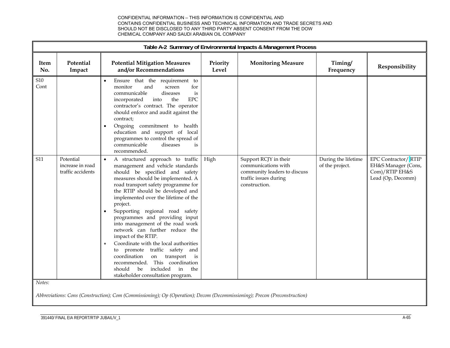|                    |                                                    |                                                                                                                                                                                                                                                                                                                                                                                                                                                                                                                                                                                                                                                                                                 |                   |                                                                                                                        | Table A-2 Summary of Environmental Impacts & Management Process |                                                                                   |  |  |  |  |  |  |  |
|--------------------|----------------------------------------------------|-------------------------------------------------------------------------------------------------------------------------------------------------------------------------------------------------------------------------------------------------------------------------------------------------------------------------------------------------------------------------------------------------------------------------------------------------------------------------------------------------------------------------------------------------------------------------------------------------------------------------------------------------------------------------------------------------|-------------------|------------------------------------------------------------------------------------------------------------------------|-----------------------------------------------------------------|-----------------------------------------------------------------------------------|--|--|--|--|--|--|--|
| Item<br>No.        | Potential<br>Impact                                | <b>Potential Mitigation Measures</b><br>and/or Recommendations                                                                                                                                                                                                                                                                                                                                                                                                                                                                                                                                                                                                                                  | Priority<br>Level | <b>Monitoring Measure</b>                                                                                              | Timing/<br>Frequency                                            | Responsibility                                                                    |  |  |  |  |  |  |  |
| <b>S10</b><br>Cont |                                                    | Ensure that the requirement to<br>monitor<br>and<br>screen<br>for<br>communicable<br>diseases<br>is<br><b>EPC</b><br>into<br>the<br>incorporated<br>contractor's contract. The operator<br>should enforce and audit against the<br>contract;<br>Ongoing commitment to health<br>$\bullet$<br>education and support of local<br>programmes to control the spread of<br>communicable<br>diseases<br>is<br>recommended.                                                                                                                                                                                                                                                                            |                   |                                                                                                                        |                                                                 |                                                                                   |  |  |  |  |  |  |  |
| S <sub>11</sub>    | Potential<br>increase in road<br>traffic accidents | A structured approach to traffic<br>management and vehicle standards<br>should be specified and safety<br>measures should be implemented. A<br>road transport safety programme for<br>the RTIP should be developed and<br>implemented over the lifetime of the<br>project.<br>Supporting regional road safety<br>programmes and providing input<br>into management of the road work<br>network can further reduce the<br>impact of the RTIP.<br>Coordinate with the local authorities<br>$\bullet$<br>to promote<br>traffic safety and<br>coordination<br>on<br>transport<br>is<br>recommended. This coordination<br>included<br>in<br>the<br>should<br>be<br>stakeholder consultation program. | High              | Support RCJY in their<br>communications with<br>community leaders to discuss<br>traffic issues during<br>construction. | During the lifetime<br>of the project.                          | EPC Contractor/RTIP<br>EH&S Manager (Cons,<br>Com)/RTIP EH&S<br>Lead (Op, Decomm) |  |  |  |  |  |  |  |
| Notes:             |                                                    |                                                                                                                                                                                                                                                                                                                                                                                                                                                                                                                                                                                                                                                                                                 |                   |                                                                                                                        |                                                                 |                                                                                   |  |  |  |  |  |  |  |

*Abbreviations: Cons (Construction); Com (Commissioning); Op (Operation); Decom (Decommissioning); Precon (Preconstruction)*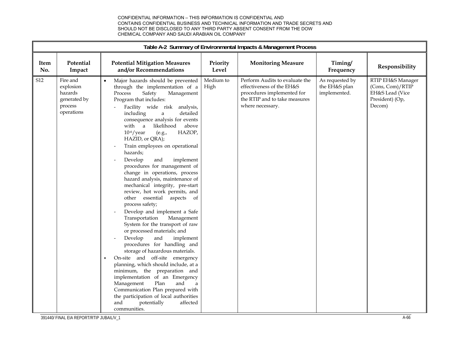|             |                                                                           |                                                                                                                                                                                                                                                                                                                                                                                                                                                                                                                                                                                                                                                                                                                                                                                                                                                                                                                                                                                                                                                                                                                                                                                                  |                   | Table A-2 Summary of Environmental Impacts & Management Process                                                                                |                                                  |                                                                                       |
|-------------|---------------------------------------------------------------------------|--------------------------------------------------------------------------------------------------------------------------------------------------------------------------------------------------------------------------------------------------------------------------------------------------------------------------------------------------------------------------------------------------------------------------------------------------------------------------------------------------------------------------------------------------------------------------------------------------------------------------------------------------------------------------------------------------------------------------------------------------------------------------------------------------------------------------------------------------------------------------------------------------------------------------------------------------------------------------------------------------------------------------------------------------------------------------------------------------------------------------------------------------------------------------------------------------|-------------------|------------------------------------------------------------------------------------------------------------------------------------------------|--------------------------------------------------|---------------------------------------------------------------------------------------|
| Item<br>No. | Potential<br>Impact                                                       | <b>Potential Mitigation Measures</b><br>and/or Recommendations                                                                                                                                                                                                                                                                                                                                                                                                                                                                                                                                                                                                                                                                                                                                                                                                                                                                                                                                                                                                                                                                                                                                   | Priority<br>Level | <b>Monitoring Measure</b>                                                                                                                      | Timing/<br>Frequency                             | Responsibility                                                                        |
| S12         | Fire and<br>explosion<br>hazards<br>generated by<br>process<br>operations | Major hazards should be prevented<br>through the implementation of a<br>Safety<br>Process<br>Management<br>Program that includes:<br>Facility wide risk<br>analysis,<br>detailed<br>including<br>a<br>consequence analysis for events<br>with a<br>likelihood<br>above<br>$10-6/year$<br>HAZOP,<br>(e.g.,<br>HAZID, or QRA);<br>Train employees on operational<br>hazards;<br>Develop<br>and<br>implement<br>procedures for management of<br>change in operations, process<br>hazard analysis, maintenance of<br>mechanical integrity, pre-start<br>review, hot work permits, and<br>other essential aspects of<br>process safety;<br>Develop and implement a Safe<br>Management<br>Transportation<br>System for the transport of raw<br>or processed materials; and<br>Develop<br>and<br>implement<br>procedures for handling and<br>storage of hazardous materials.<br>On-site and off-site emergency<br>$\bullet$<br>planning, which should include, at a<br>minimum, the preparation and<br>implementation of an Emergency<br>Management<br>Plan<br>and<br>a<br>Communication Plan prepared with<br>the participation of local authorities<br>and<br>potentially<br>affected<br>communities. | Medium to<br>High | Perform Audits to evaluate the<br>effectiveness of the EH&S<br>procedures implemented for<br>the RTIP and to take measures<br>where necessary. | As requested by<br>the EH&S plan<br>implemented. | RTIP EH&S Manager<br>(Cons, Com)/RTIP<br>EH&S Lead (Vice<br>President) (Op,<br>Decom) |

391440/ FINAL EIA REPORT/RTIP JUBAIL/V\_1 A-66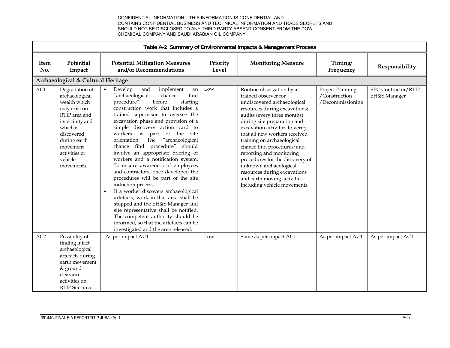|                 |                                                                                                                                                                                                       |                                                                                                                                                                                                                                                                                                                                                                                                                                                                                                                                                                                                                                                                                                                                                                                                                                                                                                   |                   | Table A-2 Summary of Environmental Impacts & Management Process                                                                                                                                                                                                                                                                                                                                                                                                                                          |                                                       |                                            |
|-----------------|-------------------------------------------------------------------------------------------------------------------------------------------------------------------------------------------------------|---------------------------------------------------------------------------------------------------------------------------------------------------------------------------------------------------------------------------------------------------------------------------------------------------------------------------------------------------------------------------------------------------------------------------------------------------------------------------------------------------------------------------------------------------------------------------------------------------------------------------------------------------------------------------------------------------------------------------------------------------------------------------------------------------------------------------------------------------------------------------------------------------|-------------------|----------------------------------------------------------------------------------------------------------------------------------------------------------------------------------------------------------------------------------------------------------------------------------------------------------------------------------------------------------------------------------------------------------------------------------------------------------------------------------------------------------|-------------------------------------------------------|--------------------------------------------|
| Item<br>No.     | Potential<br>Impact                                                                                                                                                                                   | <b>Potential Mitigation Measures</b><br>and/or Recommendations                                                                                                                                                                                                                                                                                                                                                                                                                                                                                                                                                                                                                                                                                                                                                                                                                                    | Priority<br>Level | <b>Monitoring Measure</b>                                                                                                                                                                                                                                                                                                                                                                                                                                                                                | Timing/<br>Frequency                                  | Responsibility                             |
|                 | Archaeological & Cultural Heritage                                                                                                                                                                    |                                                                                                                                                                                                                                                                                                                                                                                                                                                                                                                                                                                                                                                                                                                                                                                                                                                                                                   |                   |                                                                                                                                                                                                                                                                                                                                                                                                                                                                                                          |                                                       |                                            |
| AC1             | Degradation of<br>archaeological<br>wealth which<br>may exist on<br>RTIP area and<br>its vicinity and<br>which is<br>discovered<br>during earth<br>movement<br>activities or<br>vehicle<br>movements. | and<br>implement<br>Develop<br>an<br>"archaeological<br>find<br>chance<br>procedure"<br>before<br>starting<br>construction work that includes a<br>trained supervisor to oversee the<br>excavation phase and provision of a<br>simple discovery action card to<br>workers as part of the site<br>"archaeological<br>The<br>orientation.<br>chance find procedure"<br>should<br>involve an appropriate briefing of<br>workers and a notification system.<br>To ensure awareness of employees<br>and contractors, once developed the<br>procedures will be part of the site<br>induction process.<br>If a worker discovers archaeological<br>$\bullet$<br>artefacts, work in that area shall be<br>stopped and the EH&S Manager and<br>site representative shall be notified.<br>The competent authority should be<br>informed, so that the artefacts can be<br>investigated and the area released. | Low               | Routine observation by a<br>trained observer for<br>undiscovered archaeological<br>resources during excavations;<br>audits (every three months)<br>during site preparation and<br>excavation activities to verify<br>that all new workers received<br>training on archaeological<br>chance find procedures; and<br>reporting and monitoring<br>procedures for the discovery of<br>unknown archaeological<br>resources during excavations<br>and earth moving activities,<br>including vehicle movements. | Project Planning<br>/Construction<br>/Decommissioning | <b>EPC Contractor/RTIP</b><br>EH&S Manager |
| AC <sub>2</sub> | Possibility of<br>finding intact<br>archaeological<br>artefacts during<br>earth movement<br>& ground<br>clearance<br>activities on<br>RTIP Site area.                                                 | As per impact AC1                                                                                                                                                                                                                                                                                                                                                                                                                                                                                                                                                                                                                                                                                                                                                                                                                                                                                 | Low               | Same as per impact AC1                                                                                                                                                                                                                                                                                                                                                                                                                                                                                   | As per impact AC1                                     | As per impact AC1                          |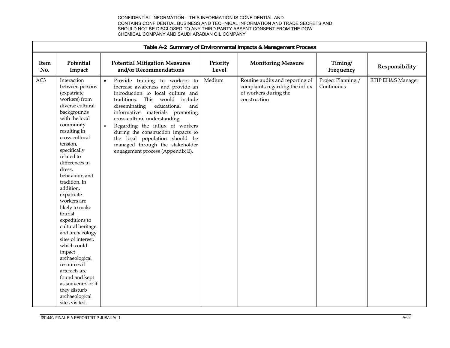|             |                                                                                                                                                                                                                                                                                                                                                                                                                                                                                                                                                                                                            |                                                                                                                                                                                                                                                                                                                                                                                                                                                                   |                   | Table A-2 Summary of Environmental Impacts & Management Process                                             |                                  |                   |
|-------------|------------------------------------------------------------------------------------------------------------------------------------------------------------------------------------------------------------------------------------------------------------------------------------------------------------------------------------------------------------------------------------------------------------------------------------------------------------------------------------------------------------------------------------------------------------------------------------------------------------|-------------------------------------------------------------------------------------------------------------------------------------------------------------------------------------------------------------------------------------------------------------------------------------------------------------------------------------------------------------------------------------------------------------------------------------------------------------------|-------------------|-------------------------------------------------------------------------------------------------------------|----------------------------------|-------------------|
| Item<br>No. | Potential<br>Impact                                                                                                                                                                                                                                                                                                                                                                                                                                                                                                                                                                                        | <b>Potential Mitigation Measures</b><br>and/or Recommendations                                                                                                                                                                                                                                                                                                                                                                                                    | Priority<br>Level | <b>Monitoring Measure</b>                                                                                   | Timing/<br>Frequency             | Responsibility    |
| AC3         | Interaction<br>between persons<br>(expatriate<br>workers) from<br>diverse cultural<br>backgrounds<br>with the local<br>community<br>resulting in<br>cross-cultural<br>tension,<br>specifically<br>related to<br>differences in<br>dress,<br>behaviour, and<br>tradition. In<br>addition,<br>expatriate<br>workers are<br>likely to make<br>tourist<br>expeditions to<br>cultural heritage<br>and archaeology<br>sites of interest,<br>which could<br>impact<br>archaeological<br>resources if<br>artefacts are<br>found and kept<br>as souvenirs or if<br>they disturb<br>archaeological<br>sites visited. | Provide training to workers to<br>$\bullet$<br>increase awareness and provide an<br>introduction to local culture and<br>traditions. This would include<br>disseminating<br>educational<br>and<br>informative materials promoting<br>cross-cultural understanding.<br>Regarding the influx of workers<br>$\bullet$<br>during the construction impacts to<br>the local population should be<br>managed through the stakeholder<br>engagement process (Appendix E). | Medium            | Routine audits and reporting of<br>complaints regarding the influx<br>of workers during the<br>construction | Project Planning /<br>Continuous | RTIP EH&S Manager |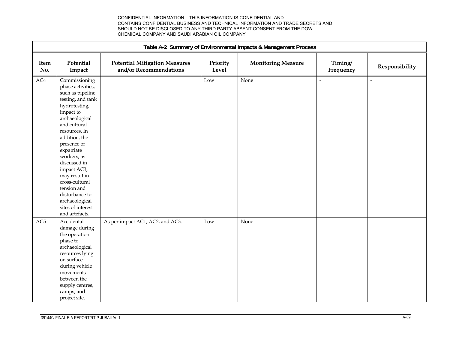|             |                                                                                                                                                                                                                                                                                                                                                                                       |                                                                |                   | Table A-2 Summary of Environmental Impacts & Management Process |                          |                |
|-------------|---------------------------------------------------------------------------------------------------------------------------------------------------------------------------------------------------------------------------------------------------------------------------------------------------------------------------------------------------------------------------------------|----------------------------------------------------------------|-------------------|-----------------------------------------------------------------|--------------------------|----------------|
| Item<br>No. | Potential<br>Impact                                                                                                                                                                                                                                                                                                                                                                   | <b>Potential Mitigation Measures</b><br>and/or Recommendations | Priority<br>Level | <b>Monitoring Measure</b>                                       | Timing/<br>Frequency     | Responsibility |
| $\rm AC4$   | Commissioning<br>phase activities,<br>such as pipeline<br>testing, and tank<br>hydrotesting,<br>impact to<br>archaeological<br>and cultural<br>resources. In<br>addition, the<br>presence of<br>expatriate<br>workers, as<br>discussed in<br>impact AC3,<br>may result in<br>cross-cultural<br>tension and<br>disturbance to<br>archaeological<br>sites of interest<br>and artefacts. |                                                                | Low               | None                                                            |                          | $\overline{a}$ |
| AC5         | Accidental<br>damage during<br>the operation<br>phase to<br>archaeological<br>resources lying<br>on surface<br>during vehicle<br>movements<br>between the<br>supply centres,<br>camps, and<br>project site.                                                                                                                                                                           | As per impact AC1, AC2, and AC3.                               | Low               | None                                                            | $\overline{\phantom{a}}$ | $\overline{a}$ |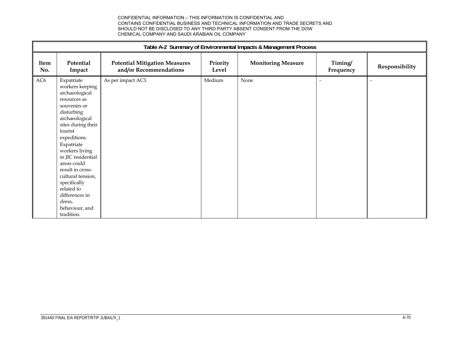|                 | Table A-2 Summary of Environmental Impacts & Management Process                                                                                                                                                                                                                                                                                                          |                                                                |                   |                           |                      |                |
|-----------------|--------------------------------------------------------------------------------------------------------------------------------------------------------------------------------------------------------------------------------------------------------------------------------------------------------------------------------------------------------------------------|----------------------------------------------------------------|-------------------|---------------------------|----------------------|----------------|
| Item<br>No.     | Potential<br>Impact                                                                                                                                                                                                                                                                                                                                                      | <b>Potential Mitigation Measures</b><br>and/or Recommendations | Priority<br>Level | <b>Monitoring Measure</b> | Timing/<br>Frequency | Responsibility |
| AC <sub>6</sub> | Expatriate<br>workers keeping<br>archaeological<br>resources as<br>souvenirs or<br>disturbing<br>archaeological<br>sites during their<br>tourist<br>expeditions.<br>Expatriate<br>workers living<br>in JIC residential<br>areas could<br>result in cross-<br>cultural tension,<br>specifically<br>related to<br>differences in<br>dress,<br>behaviour, and<br>tradition. | As per impact AC3.                                             | Medium            | None                      | ٠                    |                |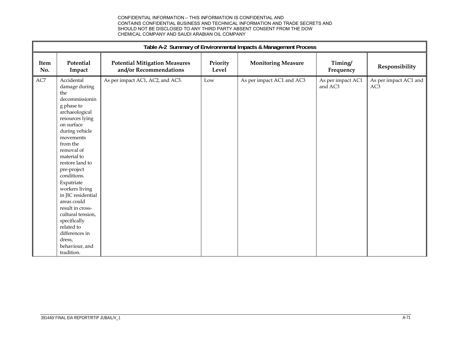|             | Table A-2 Summary of Environmental Impacts & Management Process                                                                                                                                                                                                                                                                                                                                                                                        |                                                                |                   |                           |                              |                                          |
|-------------|--------------------------------------------------------------------------------------------------------------------------------------------------------------------------------------------------------------------------------------------------------------------------------------------------------------------------------------------------------------------------------------------------------------------------------------------------------|----------------------------------------------------------------|-------------------|---------------------------|------------------------------|------------------------------------------|
| Item<br>No. | Potential<br>Impact                                                                                                                                                                                                                                                                                                                                                                                                                                    | <b>Potential Mitigation Measures</b><br>and/or Recommendations | Priority<br>Level | <b>Monitoring Measure</b> | Timing/<br>Frequency         | Responsibility                           |
| $\rm AC7$   | Accidental<br>damage during<br>the<br>decommissionin<br>g phase to<br>archaeological<br>resources lying<br>on surface<br>during vehicle<br>movements<br>from the<br>removal of<br>material to<br>restore land to<br>pre-project<br>conditions.<br>Expatriate<br>workers living<br>in JIC residential<br>areas could<br>result in cross-<br>cultural tension,<br>specifically<br>related to<br>differences in<br>dress,<br>behaviour, and<br>tradition. | As per impact AC1, AC2, and AC3.                               | Low               | As per impact AC1 and AC3 | As per impact AC1<br>and AC3 | As per impact AC1 and<br>AC <sub>3</sub> |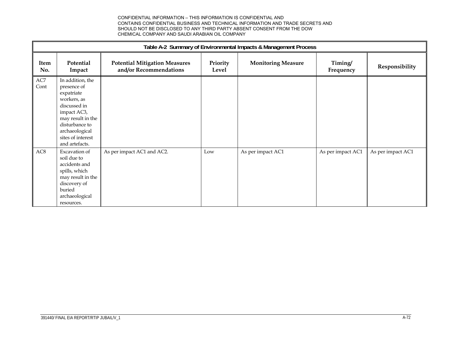|                 | Table A-2 Summary of Environmental Impacts & Management Process                                                                                                                             |                                                                |                   |                           |                      |                   |
|-----------------|---------------------------------------------------------------------------------------------------------------------------------------------------------------------------------------------|----------------------------------------------------------------|-------------------|---------------------------|----------------------|-------------------|
| Item<br>No.     | Potential<br>Impact                                                                                                                                                                         | <b>Potential Mitigation Measures</b><br>and/or Recommendations | Priority<br>Level | <b>Monitoring Measure</b> | Timing/<br>Frequency | Responsibility    |
| AC7<br>Cont     | In addition, the<br>presence of<br>expatriate<br>workers, as<br>discussed in<br>impact AC3,<br>may result in the<br>disturbance to<br>archaeological<br>sites of interest<br>and artefacts. |                                                                |                   |                           |                      |                   |
| AC <sub>8</sub> | Excavation of<br>soil due to<br>accidents and<br>spills, which<br>may result in the<br>discovery of<br>buried<br>archaeological<br>resources.                                               | As per impact AC1 and AC2.                                     | Low               | As per impact AC1         | As per impact AC1    | As per impact AC1 |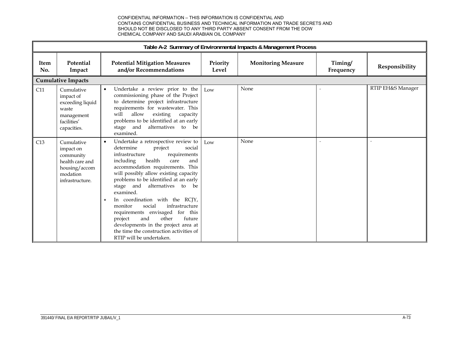|             | Table A-2 Summary of Environmental Impacts & Management Process                                         |                                                                                                                                                                                                                                                                                                                                                                                                                                                                                                                                                                                                                    |                   |                           |                      |                   |
|-------------|---------------------------------------------------------------------------------------------------------|--------------------------------------------------------------------------------------------------------------------------------------------------------------------------------------------------------------------------------------------------------------------------------------------------------------------------------------------------------------------------------------------------------------------------------------------------------------------------------------------------------------------------------------------------------------------------------------------------------------------|-------------------|---------------------------|----------------------|-------------------|
| Item<br>No. | Potential<br>Impact                                                                                     | <b>Potential Mitigation Measures</b><br>and/or Recommendations                                                                                                                                                                                                                                                                                                                                                                                                                                                                                                                                                     | Priority<br>Level | <b>Monitoring Measure</b> | Timing/<br>Frequency | Responsibility    |
|             | <b>Cumulative Impacts</b>                                                                               |                                                                                                                                                                                                                                                                                                                                                                                                                                                                                                                                                                                                                    |                   |                           |                      |                   |
| C11         | Cumulative<br>impact of<br>exceeding liquid<br>waste<br>management<br>facilities'<br>capacities.        | Undertake a review prior to the<br>commissioning phase of the Project<br>to determine project infrastructure<br>requirements for wastewater. This<br>allow<br>existing<br>will<br>capacity<br>problems to be identified at an early<br>and<br>alternatives<br>stage<br>to<br>be<br>examined.                                                                                                                                                                                                                                                                                                                       | Low               | None                      |                      | RTIP EH&S Manager |
| C13         | Cumulative<br>impact on<br>community<br>health care and<br>housing/accom<br>modation<br>infrastructure. | Undertake a retrospective review to<br>$\bullet$<br>determine<br>social<br>project<br>requirements<br>infrastructure<br>health<br>including<br>and<br>care<br>accommodation requirements. This<br>will possibly allow existing capacity<br>problems to be identified at an early<br>stage and<br>alternatives<br>to<br>be<br>examined.<br>In coordination with the RCJY,<br>$\bullet$<br>infrastructure<br>social<br>monitor<br>requirements envisaged for this<br>project<br>and<br>other<br>future<br>developments in the project area at<br>the time the construction activities of<br>RTIP will be undertaken. | Low               | None                      |                      |                   |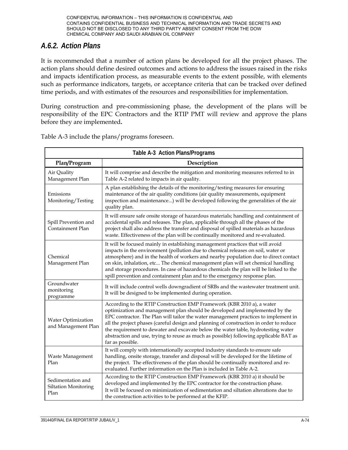## *A.6.2. Action Plans*

It is recommended that a number of action plans be developed for all the project phases. The action plans should define desired outcomes and actions to address the issues raised in the risks and impacts identification process, as measurable events to the extent possible, with elements such as performance indicators, targets, or acceptance criteria that can be tracked over defined time periods, and with estimates of the resources and responsibilities for implementation.

During construction and pre-commissioning phase, the development of the plans will be responsibility of the EPC Contractors and the RTIP PMT will review and approve the plans before they are implemented**.**

|                                                          | Table A-3 Action Plans/Programs                                                                                                                                                                                                                                                                                                                                                                                                                                                                                                          |
|----------------------------------------------------------|------------------------------------------------------------------------------------------------------------------------------------------------------------------------------------------------------------------------------------------------------------------------------------------------------------------------------------------------------------------------------------------------------------------------------------------------------------------------------------------------------------------------------------------|
| Plan/Program                                             | Description                                                                                                                                                                                                                                                                                                                                                                                                                                                                                                                              |
| Air Quality<br>Management Plan                           | It will comprise and describe the mitigation and monitoring measures referred to in<br>Table A-2 related to impacts in air quality.                                                                                                                                                                                                                                                                                                                                                                                                      |
| Emissions<br>Monitoring/Testing                          | A plan establishing the details of the monitoring/testing measures for ensuring<br>maintenance of the air quality conditions (air quality measurements, equipment<br>inspection and maintenance) will be developed following the generalities of the air<br>quality plan.                                                                                                                                                                                                                                                                |
| Spill Prevention and<br>Containment Plan                 | It will ensure safe onsite storage of hazardous materials; handling and containment of<br>accidental spills and releases. The plan, applicable through all the phases of the<br>project shall also address the transfer and disposal of spilled materials as hazardous<br>waste. Effectiveness of the plan will be continually monitored and re-evaluated.                                                                                                                                                                               |
| Chemical<br>Management Plan                              | It will be focused mainly in establishing management practices that will avoid<br>impacts in the environment (pollution due to chemical releases on soil, water or<br>atmosphere) and in the health of workers and nearby population due to direct contact<br>on skin, inhalation, etc The chemical management plan will set chemical handling<br>and storage procedures. In case of hazardous chemicals the plan will be linked to the<br>spill prevention and containment plan and to the emergency response plan.                     |
| Groundwater<br>monitoring<br>programme                   | It will include control wells downgradient of SRBs and the wastewater treatment unit.<br>It will be designed to be implemented during operation.                                                                                                                                                                                                                                                                                                                                                                                         |
| Water Optimization<br>and Management Plan                | According to the RTIP Construction EMP Framework (KBR 2010 a), a water<br>optimization and management plan should be developed and implemented by the<br>EPC contractor. The Plan will tailor the water management practices to implement in<br>all the project phases (careful design and planning of construction in order to reduce<br>the requirement to dewater and excavate below the water table, hydrotesting water<br>abstraction and use, trying to reuse as much as possible) following applicable BAT as<br>far as possible. |
| Waste Management<br>Plan                                 | It will comply with internationally accepted industry standards to ensure safe<br>handling, onsite storage, transfer and disposal will be developed for the lifetime of<br>the project. The effectiveness of the plan should be continually monitored and re-<br>evaluated. Further information on the Plan is included in Table A-2.                                                                                                                                                                                                    |
| Sedimentation and<br><b>Siltation Monitoring</b><br>Plan | According to the RTIP Construction EMP Framework (KBR 2010 a) it should be<br>developed and implemented by the EPC contractor for the construction phase.<br>It will be focused on minimization of sedimentation and siltation alterations due to<br>the construction activities to be performed at the KFIP.                                                                                                                                                                                                                            |

Table A-3 include the plans/programs foreseen.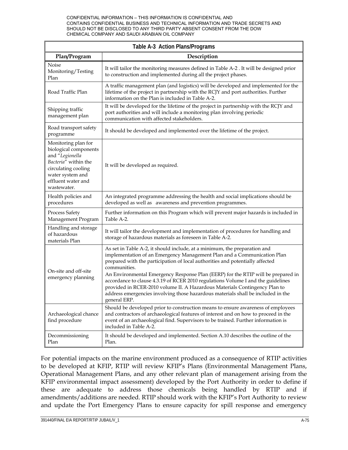|                                                                                                                                                                         | Table A-3 Action Plans/Programs                                                                                                                                                                                                                                                                                                                                                                                                                                                                                                                                                                                 |
|-------------------------------------------------------------------------------------------------------------------------------------------------------------------------|-----------------------------------------------------------------------------------------------------------------------------------------------------------------------------------------------------------------------------------------------------------------------------------------------------------------------------------------------------------------------------------------------------------------------------------------------------------------------------------------------------------------------------------------------------------------------------------------------------------------|
| Plan/Program                                                                                                                                                            | Description                                                                                                                                                                                                                                                                                                                                                                                                                                                                                                                                                                                                     |
| Noise<br>Monitoring/Testing<br>Plan                                                                                                                                     | It will tailor the monitoring measures defined in Table A-2. It will be designed prior<br>to construction and implemented during all the project phases.                                                                                                                                                                                                                                                                                                                                                                                                                                                        |
| Road Traffic Plan                                                                                                                                                       | A traffic management plan (and logistics) will be developed and implemented for the<br>lifetime of the project in partnership with the RCJY and port authorities. Further<br>information on the Plan is included in Table A-2.                                                                                                                                                                                                                                                                                                                                                                                  |
| Shipping traffic<br>management plan                                                                                                                                     | It will be developed for the lifetime of the project in partnership with the RCJY and<br>port authorities and will include a monitoring plan involving periodic<br>communication with affected stakeholders.                                                                                                                                                                                                                                                                                                                                                                                                    |
| Road transport safety<br>programme                                                                                                                                      | It should be developed and implemented over the lifetime of the project.                                                                                                                                                                                                                                                                                                                                                                                                                                                                                                                                        |
| Monitoring plan for<br>biological components<br>and "Legionella<br>Bacteria" within the<br>circulating cooling<br>water system and<br>effluent water and<br>wastewater. | It will be developed as required.                                                                                                                                                                                                                                                                                                                                                                                                                                                                                                                                                                               |
| Health policies and<br>procedures                                                                                                                                       | An integrated programme addressing the health and social implications should be<br>developed as well as awareness and prevention programmes.                                                                                                                                                                                                                                                                                                                                                                                                                                                                    |
| Process Safety<br>Management Program                                                                                                                                    | Further information on this Program which will prevent major hazards is included in<br>Table A-2.                                                                                                                                                                                                                                                                                                                                                                                                                                                                                                               |
| Handling and storage<br>of hazardous<br>materials Plan                                                                                                                  | It will tailor the development and implementation of procedures for handling and<br>storage of hazardous materials as foreseen in Table A-2.                                                                                                                                                                                                                                                                                                                                                                                                                                                                    |
| On-site and off-site<br>emergency planning                                                                                                                              | As set in Table A-2, it should include, at a minimum, the preparation and<br>implementation of an Emergency Management Plan and a Communication Plan<br>prepared with the participation of local authorities and potentially affected<br>communities.<br>An Environmental Emergency Response Plan (EERP) for the RTIP will be prepared in<br>accordance to clause 4.3.19 of RCER 2010 regulations Volume I and the guidelines<br>provided in RCER-2010 volume II. A Hazardous Materials Contingency Plan to<br>address emergencies involving those hazardous materials shall be included in the<br>general ERP. |
| Archaeological chance<br>find procedure                                                                                                                                 | Should be developed prior to construction means to ensure awareness of employees<br>and contractors of archaeological features of interest and on how to proceed in the<br>event of an archaeological find. Supervisors to be trained. Further information is<br>included in Table A-2.                                                                                                                                                                                                                                                                                                                         |
| Decommissioning<br>Plan                                                                                                                                                 | It should be developed and implemented. Section A.10 describes the outline of the<br>Plan.                                                                                                                                                                                                                                                                                                                                                                                                                                                                                                                      |

For potential impacts on the marine environment produced as a consequence of RTIP activities to be developed at KFIP, RTIP will review KFIP's Plans (Environmental Management Plans, Operational Management Plans, and any other relevant plan of management arising from the KFIP environmental impact assessment) developed by the Port Authority in order to define if these are adequate to address those chemicals being handled by RTIP and if amendments/additions are needed. RTIP should work with the KFIP's Port Authority to review and update the Port Emergency Plans to ensure capacity for spill response and emergency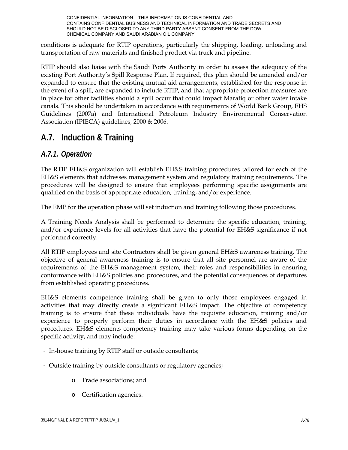conditions is adequate for RTIP operations, particularly the shipping, loading, unloading and transportation of raw materials and finished product via truck and pipeline.

RTIP should also liaise with the Saudi Ports Authority in order to assess the adequacy of the existing Port Authority's Spill Response Plan. If required, this plan should be amended and/or expanded to ensure that the existing mutual aid arrangements, established for the response in the event of a spill, are expanded to include RTIP, and that appropriate protection measures are in place for other facilities should a spill occur that could impact Marafiq or other water intake canals. This should be undertaken in accordance with requirements of World Bank Group, EHS Guidelines (2007a) and International Petroleum Industry Environmental Conservation Association (IPIECA) guidelines, 2000 & 2006.

# **A.7. Induction & Training**

## *A.7.1. Operation*

The RTIP EH&S organization will establish EH&S training procedures tailored for each of the EH&S elements that addresses management system and regulatory training requirements. The procedures will be designed to ensure that employees performing specific assignments are qualified on the basis of appropriate education, training, and/or experience.

The EMP for the operation phase will set induction and training following those procedures.

A Training Needs Analysis shall be performed to determine the specific education, training, and/or experience levels for all activities that have the potential for EH&S significance if not performed correctly.

All RTIP employees and site Contractors shall be given general EH&S awareness training. The objective of general awareness training is to ensure that all site personnel are aware of the requirements of the EH&S management system, their roles and responsibilities in ensuring conformance with EH&S policies and procedures, and the potential consequences of departures from established operating procedures.

EH&S elements competence training shall be given to only those employees engaged in activities that may directly create a significant EH&S impact. The objective of competency training is to ensure that these individuals have the requisite education, training and/or experience to properly perform their duties in accordance with the EH&S policies and procedures. EH&S elements competency training may take various forms depending on the specific activity, and may include:

- In-house training by RTIP staff or outside consultants;
- Outside training by outside consultants or regulatory agencies;
	- o Trade associations; and
	- o Certification agencies.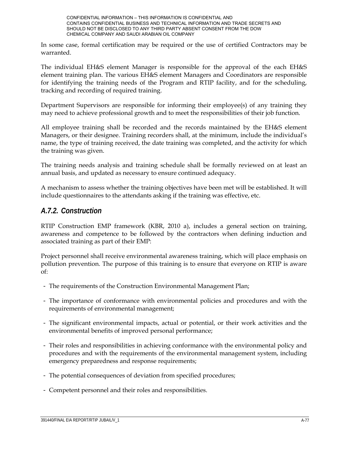In some case, formal certification may be required or the use of certified Contractors may be warranted.

The individual EH&S element Manager is responsible for the approval of the each EH&S element training plan. The various EH&S element Managers and Coordinators are responsible for identifying the training needs of the Program and RTIP facility, and for the scheduling, tracking and recording of required training.

Department Supervisors are responsible for informing their employee(s) of any training they may need to achieve professional growth and to meet the responsibilities of their job function.

All employee training shall be recorded and the records maintained by the EH&S element Managers, or their designee. Training recorders shall, at the minimum, include the individual's name, the type of training received, the date training was completed, and the activity for which the training was given.

The training needs analysis and training schedule shall be formally reviewed on at least an annual basis, and updated as necessary to ensure continued adequacy.

A mechanism to assess whether the training objectives have been met will be established. It will include questionnaires to the attendants asking if the training was effective, etc.

### *A.7.2. Construction*

RTIP Construction EMP framework (KBR, 2010 a), includes a general section on training, awareness and competence to be followed by the contractors when defining induction and associated training as part of their EMP:

Project personnel shall receive environmental awareness training, which will place emphasis on pollution prevention. The purpose of this training is to ensure that everyone on RTIP is aware of:

- The requirements of the Construction Environmental Management Plan;
- The importance of conformance with environmental policies and procedures and with the requirements of environmental management;
- The significant environmental impacts, actual or potential, or their work activities and the environmental benefits of improved personal performance;
- Their roles and responsibilities in achieving conformance with the environmental policy and procedures and with the requirements of the environmental management system, including emergency preparedness and response requirements;
- The potential consequences of deviation from specified procedures;
- Competent personnel and their roles and responsibilities.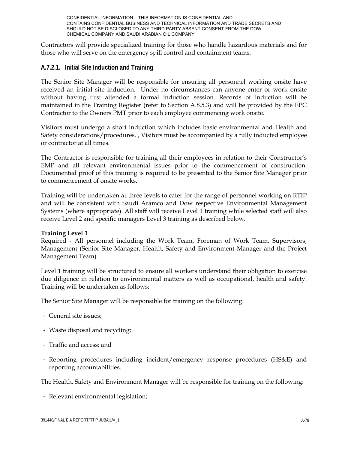Contractors will provide specialized training for those who handle hazardous materials and for those who will serve on the emergency spill control and containment teams.

#### **A.7.2.1. Initial Site Induction and Training**

The Senior Site Manager will be responsible for ensuring all personnel working onsite have received an initial site induction. Under no circumstances can anyone enter or work onsite without having first attended a formal induction session. Records of induction will be maintained in the Training Register (refer to Section A.8.5.3) and will be provided by the EPC Contractor to the Owners PMT prior to each employee commencing work onsite.

Visitors must undergo a short induction which includes basic environmental and Health and Safety considerations/procedures. , Visitors must be accompanied by a fully inducted employee or contractor at all times.

The Contractor is responsible for training all their employees in relation to their Constructor's EMP and all relevant environmental issues prior to the commencement of construction. Documented proof of this training is required to be presented to the Senior Site Manager prior to commencement of onsite works.

Training will be undertaken at three levels to cater for the range of personnel working on RTIP and will be consistent with Saudi Aramco and Dow respective Environmental Management Systems (where appropriate). All staff will receive Level 1 training while selected staff will also receive Level 2 and specific managers Level 3 training as described below.

#### **Training Level 1**

Required - All personnel including the Work Team, Foreman of Work Team, Supervisors, Management (Senior Site Manager, Health, Safety and Environment Manager and the Project Management Team).

Level 1 training will be structured to ensure all workers understand their obligation to exercise due diligence in relation to environmental matters as well as occupational, health and safety. Training will be undertaken as follows:

The Senior Site Manager will be responsible for training on the following:

- General site issues;
- Waste disposal and recycling;
- Traffic and access; and
- Reporting procedures including incident/emergency response procedures (HS&E) and reporting accountabilities.

The Health, Safety and Environment Manager will be responsible for training on the following:

- Relevant environmental legislation;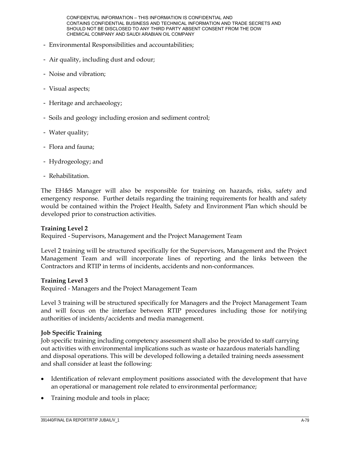- Environmental Responsibilities and accountabilities;
- Air quality, including dust and odour;
- Noise and vibration;
- Visual aspects;
- Heritage and archaeology;
- Soils and geology including erosion and sediment control;
- Water quality;
- Flora and fauna;
- Hydrogeology; and
- Rehabilitation.

The EH&S Manager will also be responsible for training on hazards, risks, safety and emergency response. Further details regarding the training requirements for health and safety would be contained within the Project Health, Safety and Environment Plan which should be developed prior to construction activities.

#### **Training Level 2**

Required - Supervisors, Management and the Project Management Team

Level 2 training will be structured specifically for the Supervisors, Management and the Project Management Team and will incorporate lines of reporting and the links between the Contractors and RTIP in terms of incidents, accidents and non-conformances.

#### **Training Level 3**

Required - Managers and the Project Management Team

Level 3 training will be structured specifically for Managers and the Project Management Team and will focus on the interface between RTIP procedures including those for notifying authorities of incidents/accidents and media management.

#### **Job Specific Training**

Job specific training including competency assessment shall also be provided to staff carrying out activities with environmental implications such as waste or hazardous materials handling and disposal operations. This will be developed following a detailed training needs assessment and shall consider at least the following:

- Identification of relevant employment positions associated with the development that have an operational or management role related to environmental performance;
- Training module and tools in place;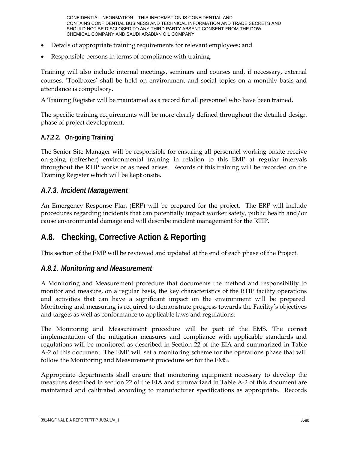- Details of appropriate training requirements for relevant employees; and
- Responsible persons in terms of compliance with training.

Training will also include internal meetings, seminars and courses and, if necessary, external courses. 'Toolboxes' shall be held on environment and social topics on a monthly basis and attendance is compulsory.

A Training Register will be maintained as a record for all personnel who have been trained.

The specific training requirements will be more clearly defined throughout the detailed design phase of project development.

### **A.7.2.2. On-going Training**

The Senior Site Manager will be responsible for ensuring all personnel working onsite receive on-going (refresher) environmental training in relation to this EMP at regular intervals throughout the RTIP works or as need arises. Records of this training will be recorded on the Training Register which will be kept onsite.

## *A.7.3. Incident Management*

An Emergency Response Plan (ERP) will be prepared for the project. The ERP will include procedures regarding incidents that can potentially impact worker safety, public health and/or cause environmental damage and will describe incident management for the RTIP.

# **A.8. Checking, Corrective Action & Reporting**

This section of the EMP will be reviewed and updated at the end of each phase of the Project.

### *A.8.1. Monitoring and Measurement*

A Monitoring and Measurement procedure that documents the method and responsibility to monitor and measure, on a regular basis, the key characteristics of the RTIP facility operations and activities that can have a significant impact on the environment will be prepared. Monitoring and measuring is required to demonstrate progress towards the Facility's objectives and targets as well as conformance to applicable laws and regulations.

The Monitoring and Measurement procedure will be part of the EMS. The correct implementation of the mitigation measures and compliance with applicable standards and regulations will be monitored as described in Section 22 of the EIA and summarized in Table A-2 of this document. The EMP will set a monitoring scheme for the operations phase that will follow the Monitoring and Measurement procedure set for the EMS.

Appropriate departments shall ensure that monitoring equipment necessary to develop the measures described in section 22 of the EIA and summarized in Table A-2 of this document are maintained and calibrated according to manufacturer specifications as appropriate. Records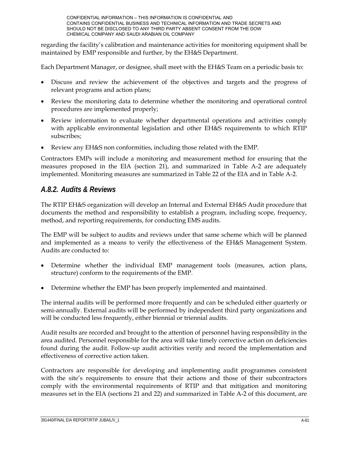regarding the facility's calibration and maintenance activities for monitoring equipment shall be maintained by EMP responsible and further, by the EH&S Department.

Each Department Manager, or designee, shall meet with the EH&S Team on a periodic basis to:

- Discuss and review the achievement of the objectives and targets and the progress of relevant programs and action plans;
- Review the monitoring data to determine whether the monitoring and operational control procedures are implemented properly;
- Review information to evaluate whether departmental operations and activities comply with applicable environmental legislation and other EH&S requirements to which RTIP subscribes;
- Review any EH&S non conformities, including those related with the EMP.

Contractors EMPs will include a monitoring and measurement method for ensuring that the measures proposed in the EIA (section 21), and summarized in Table A-2 are adequately implemented. Monitoring measures are summarized in Table 22 of the EIA and in Table A-2.

## *A.8.2. Audits & Reviews*

The RTIP EH&S organization will develop an Internal and External EH&S Audit procedure that documents the method and responsibility to establish a program, including scope, frequency, method, and reporting requirements, for conducting EMS audits.

The EMP will be subject to audits and reviews under that same scheme which will be planned and implemented as a means to verify the effectiveness of the EH&S Management System. Audits are conducted to:

- Determine whether the individual EMP management tools (measures, action plans, structure) conform to the requirements of the EMP.
- Determine whether the EMP has been properly implemented and maintained.

The internal audits will be performed more frequently and can be scheduled either quarterly or semi-annually. External audits will be performed by independent third party organizations and will be conducted less frequently, either biennial or triennial audits.

Audit results are recorded and brought to the attention of personnel having responsibility in the area audited. Personnel responsible for the area will take timely corrective action on deficiencies found during the audit. Follow-up audit activities verify and record the implementation and effectiveness of corrective action taken.

Contractors are responsible for developing and implementing audit programmes consistent with the site's requirements to ensure that their actions and those of their subcontractors comply with the environmental requirements of RTIP and that mitigation and monitoring measures set in the EIA (sections 21 and 22) and summarized in Table A-2 of this document, are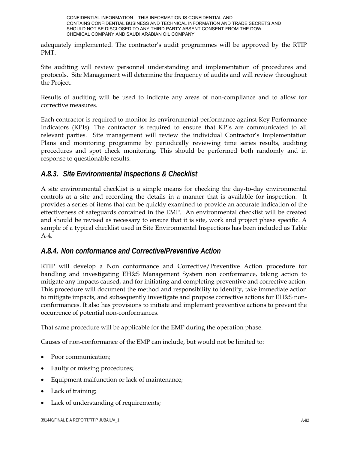adequately implemented. The contractor's audit programmes will be approved by the RTIP PMT.

Site auditing will review personnel understanding and implementation of procedures and protocols. Site Management will determine the frequency of audits and will review throughout the Project.

Results of auditing will be used to indicate any areas of non-compliance and to allow for corrective measures.

Each contractor is required to monitor its environmental performance against Key Performance Indicators (KPIs). The contractor is required to ensure that KPIs are communicated to all relevant parties. Site management will review the individual Contractor's Implementation Plans and monitoring programme by periodically reviewing time series results, auditing procedures and spot check monitoring. This should be performed both randomly and in response to questionable results.

## *A.8.3. Site Environmental Inspections & Checklist*

A site environmental checklist is a simple means for checking the day-to-day environmental controls at a site and recording the details in a manner that is available for inspection. It provides a series of items that can be quickly examined to provide an accurate indication of the effectiveness of safeguards contained in the EMP. An environmental checklist will be created and should be revised as necessary to ensure that it is site, work and project phase specific. A sample of a typical checklist used in Site Environmental Inspections has been included as Table  $A-4$ .

## *A.8.4. Non conformance and Corrective/Preventive Action*

RTIP will develop a Non conformance and Corrective/Preventive Action procedure for handling and investigating EH&S Management System non conformance, taking action to mitigate any impacts caused, and for initiating and completing preventive and corrective action. This procedure will document the method and responsibility to identify, take immediate action to mitigate impacts, and subsequently investigate and propose corrective actions for EH&S nonconformances. It also has provisions to initiate and implement preventive actions to prevent the occurrence of potential non-conformances.

That same procedure will be applicable for the EMP during the operation phase.

Causes of non-conformance of the EMP can include, but would not be limited to:

- Poor communication;
- Faulty or missing procedures;
- Equipment malfunction or lack of maintenance;
- Lack of training;
- Lack of understanding of requirements;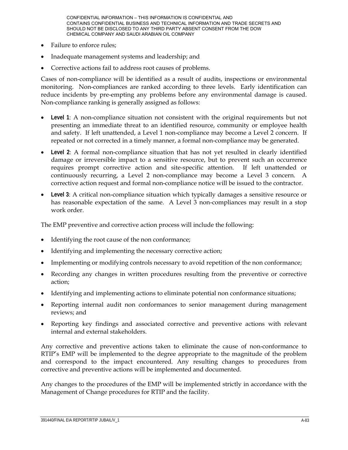- Failure to enforce rules;
- Inadequate management systems and leadership; and
- Corrective actions fail to address root causes of problems.

Cases of non-compliance will be identified as a result of audits, inspections or environmental monitoring. Non-compliances are ranked according to three levels. Early identification can reduce incidents by pre-empting any problems before any environmental damage is caused. Non-compliance ranking is generally assigned as follows:

- **Level 1**: A non-compliance situation not consistent with the original requirements but not presenting an immediate threat to an identified resource, community or employee health and safety. If left unattended, a Level 1 non-compliance may become a Level 2 concern. If repeated or not corrected in a timely manner, a formal non-compliance may be generated.
- **Level 2**: A formal non-compliance situation that has not yet resulted in clearly identified damage or irreversible impact to a sensitive resource, but to prevent such an occurrence requires prompt corrective action and site-specific attention. If left unattended or continuously recurring, a Level 2 non-compliance may become a Level 3 concern. A corrective action request and formal non-compliance notice will be issued to the contractor.
- **Level 3**: A critical non-compliance situation which typically damages a sensitive resource or has reasonable expectation of the same. A Level 3 non-compliances may result in a stop work order.

The EMP preventive and corrective action process will include the following:

- Identifying the root cause of the non conformance;
- Identifying and implementing the necessary corrective action;
- Implementing or modifying controls necessary to avoid repetition of the non conformance;
- Recording any changes in written procedures resulting from the preventive or corrective action;
- Identifying and implementing actions to eliminate potential non conformance situations;
- Reporting internal audit non conformances to senior management during management reviews; and
- Reporting key findings and associated corrective and preventive actions with relevant internal and external stakeholders.

Any corrective and preventive actions taken to eliminate the cause of non-conformance to RTIP's EMP will be implemented to the degree appropriate to the magnitude of the problem and correspond to the impact encountered. Any resulting changes to procedures from corrective and preventive actions will be implemented and documented.

Any changes to the procedures of the EMP will be implemented strictly in accordance with the Management of Change procedures for RTIP and the facility.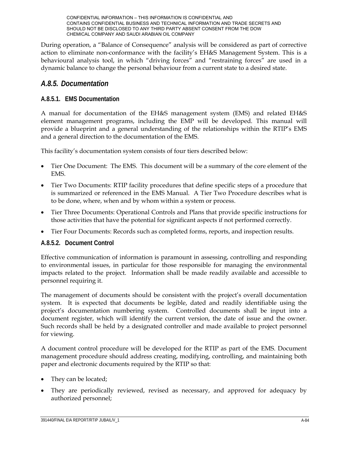During operation, a "Balance of Consequence" analysis will be considered as part of corrective action to eliminate non-conformance with the facility's EH&S Management System. This is a behavioural analysis tool, in which "driving forces" and "restraining forces" are used in a dynamic balance to change the personal behaviour from a current state to a desired state.

### *A.8.5. Documentation*

### **A.8.5.1. EMS Documentation**

A manual for documentation of the EH&S management system (EMS) and related EH&S element management programs, including the EMP will be developed. This manual will provide a blueprint and a general understanding of the relationships within the RTIP's EMS and a general direction to the documentation of the EMS.

This facility's documentation system consists of four tiers described below:

- Tier One Document: The EMS. This document will be a summary of the core element of the EMS.
- Tier Two Documents: RTIP facility procedures that define specific steps of a procedure that is summarized or referenced in the EMS Manual. A Tier Two Procedure describes what is to be done, where, when and by whom within a system or process.
- Tier Three Documents: Operational Controls and Plans that provide specific instructions for those activities that have the potential for significant aspects if not performed correctly.
- Tier Four Documents: Records such as completed forms, reports, and inspection results.

#### **A.8.5.2. Document Control**

Effective communication of information is paramount in assessing, controlling and responding to environmental issues, in particular for those responsible for managing the environmental impacts related to the project. Information shall be made readily available and accessible to personnel requiring it.

The management of documents should be consistent with the project's overall documentation system. It is expected that documents be legible, dated and readily identifiable using the project's documentation numbering system. Controlled documents shall be input into a document register, which will identify the current version, the date of issue and the owner. Such records shall be held by a designated controller and made available to project personnel for viewing.

A document control procedure will be developed for the RTIP as part of the EMS. Document management procedure should address creating, modifying, controlling, and maintaining both paper and electronic documents required by the RTIP so that:

- They can be located;
- They are periodically reviewed, revised as necessary, and approved for adequacy by authorized personnel;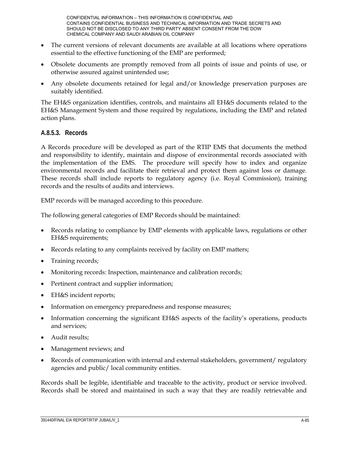- The current versions of relevant documents are available at all locations where operations essential to the effective functioning of the EMP are performed;
- Obsolete documents are promptly removed from all points of issue and points of use, or otherwise assured against unintended use;
- Any obsolete documents retained for legal and/or knowledge preservation purposes are suitably identified.

The EH&S organization identifies, controls, and maintains all EH&S documents related to the EH&S Management System and those required by regulations, including the EMP and related action plans.

#### **A.8.5.3. Records**

A Records procedure will be developed as part of the RTIP EMS that documents the method and responsibility to identify, maintain and dispose of environmental records associated with the implementation of the EMS. The procedure will specify how to index and organize environmental records and facilitate their retrieval and protect them against loss or damage. These records shall include reports to regulatory agency (i.e. Royal Commission), training records and the results of audits and interviews.

EMP records will be managed according to this procedure.

The following general categories of EMP Records should be maintained:

- Records relating to compliance by EMP elements with applicable laws, regulations or other EH&S requirements;
- Records relating to any complaints received by facility on EMP matters;
- Training records;
- Monitoring records: Inspection, maintenance and calibration records;
- Pertinent contract and supplier information;
- EH&S incident reports;
- Information on emergency preparedness and response measures;
- Information concerning the significant EH&S aspects of the facility's operations, products and services;
- Audit results;
- Management reviews; and
- Records of communication with internal and external stakeholders, government/ regulatory agencies and public/ local community entities.

Records shall be legible, identifiable and traceable to the activity, product or service involved. Records shall be stored and maintained in such a way that they are readily retrievable and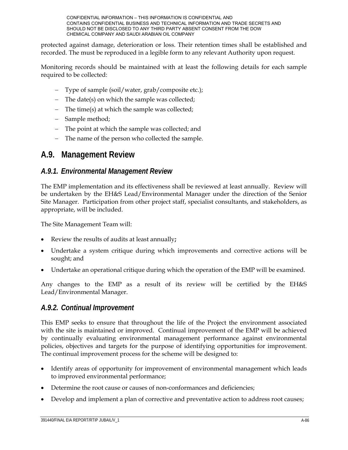protected against damage, deterioration or loss. Their retention times shall be established and recorded. The must be reproduced in a legible form to any relevant Authority upon request.

Monitoring records should be maintained with at least the following details for each sample required to be collected:

- Type of sample (soil/water, grab/composite etc.);
- The date(s) on which the sample was collected;
- The time(s) at which the sample was collected;
- Sample method;
- The point at which the sample was collected; and
- The name of the person who collected the sample.

## **A.9. Management Review**

### *A.9.1. Environmental Management Review*

The EMP implementation and its effectiveness shall be reviewed at least annually. Review will be undertaken by the EH&S Lead/Environmental Manager under the direction of the Senior Site Manager. Participation from other project staff, specialist consultants, and stakeholders, as appropriate, will be included.

The Site Management Team will:

- Review the results of audits at least annually**;**
- Undertake a system critique during which improvements and corrective actions will be sought; and
- Undertake an operational critique during which the operation of the EMP will be examined.

Any changes to the EMP as a result of its review will be certified by the EH&S Lead/Environmental Manager.

### *A.9.2. Continual Improvement*

This EMP seeks to ensure that throughout the life of the Project the environment associated with the site is maintained or improved. Continual improvement of the EMP will be achieved by continually evaluating environmental management performance against environmental policies, objectives and targets for the purpose of identifying opportunities for improvement. The continual improvement process for the scheme will be designed to:

- Identify areas of opportunity for improvement of environmental management which leads to improved environmental performance;
- Determine the root cause or causes of non-conformances and deficiencies;
- Develop and implement a plan of corrective and preventative action to address root causes;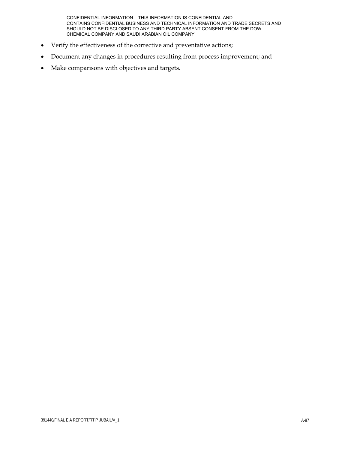- Verify the effectiveness of the corrective and preventative actions;
- Document any changes in procedures resulting from process improvement; and
- Make comparisons with objectives and targets.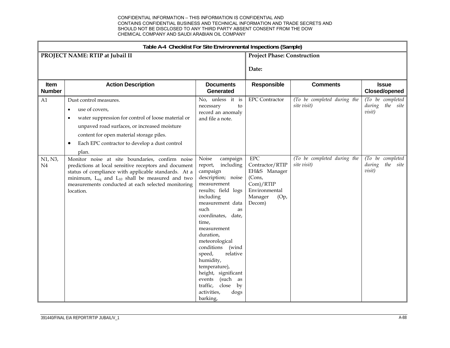|                       | Table A-4 Checklist For Site Environmental Inspections (Sample)                                                                                                                                                                                                                                               |                                                                                                                                                                                                                                                                                                                                                                                                                                     |                                                                                                                     |                                            |                                                  |  |
|-----------------------|---------------------------------------------------------------------------------------------------------------------------------------------------------------------------------------------------------------------------------------------------------------------------------------------------------------|-------------------------------------------------------------------------------------------------------------------------------------------------------------------------------------------------------------------------------------------------------------------------------------------------------------------------------------------------------------------------------------------------------------------------------------|---------------------------------------------------------------------------------------------------------------------|--------------------------------------------|--------------------------------------------------|--|
|                       | PROJECT NAME: RTIP at Jubail II                                                                                                                                                                                                                                                                               |                                                                                                                                                                                                                                                                                                                                                                                                                                     | <b>Project Phase: Construction</b>                                                                                  |                                            |                                                  |  |
|                       |                                                                                                                                                                                                                                                                                                               |                                                                                                                                                                                                                                                                                                                                                                                                                                     | Date:                                                                                                               |                                            |                                                  |  |
| Item<br><b>Number</b> | <b>Action Description</b>                                                                                                                                                                                                                                                                                     | <b>Documents</b><br>Generated                                                                                                                                                                                                                                                                                                                                                                                                       | Responsible                                                                                                         | <b>Comments</b>                            | <b>Issue</b><br><b>Closed/opened</b>             |  |
| A1                    | Dust control measures.<br>use of covers,<br>$\bullet$<br>water suppression for control of loose material or<br>٠<br>unpaved road surfaces, or increased moisture<br>content for open material storage piles.<br>Each EPC contractor to develop a dust control<br>$\bullet$<br>plan.                           | No, unless it is<br>necessary<br>to<br>record an anomaly<br>and file a note.                                                                                                                                                                                                                                                                                                                                                        | <b>EPC</b> Contractor                                                                                               | (To be completed during the<br>site visit) | (To be completed<br>during the site<br>visit)    |  |
| N1, N3,<br>N4         | Monitor noise at site boundaries, confirm noise<br>predictions at local sensitive receptors and document<br>status of compliance with applicable standards. At a<br>minimum, L <sub>eq</sub> and L <sub>10</sub> shall be measured and two<br>measurements conducted at each selected monitoring<br>location. | Noise<br>campaign<br>including<br>report,<br>campaign<br>description; noise<br>measurement<br>results; field logs<br>including<br>measurement data<br>such<br>as<br>coordinates, date,<br>time,<br>measurement<br>duration,<br>meteorological<br>conditions<br>(wind<br>speed,<br>relative<br>humidity,<br>temperature),<br>height, significant<br>(such as<br>events<br>traffic,<br>close<br>by<br>activities,<br>dogs<br>barking, | ${\rm EPC}$<br>Contractor/RTIP<br>EH&S Manager<br>(Cons,<br>Com)/RTIP<br>Environmental<br>Manager<br>(Op,<br>Decom) | (To be completed during the<br>site visit) | (To be completed<br>the site<br>during<br>visit) |  |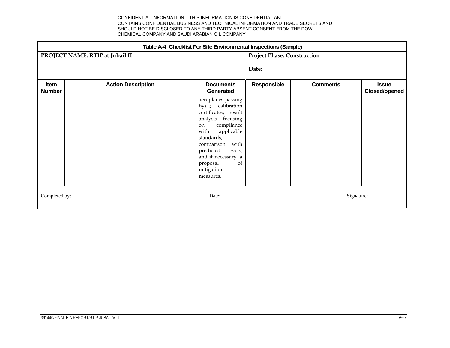|                              | Table A-4 Checklist For Site Environmental Inspections (Sample) |                                                                                                                                                                                                                                                         |                                    |                 |                               |  |
|------------------------------|-----------------------------------------------------------------|---------------------------------------------------------------------------------------------------------------------------------------------------------------------------------------------------------------------------------------------------------|------------------------------------|-----------------|-------------------------------|--|
|                              | PROJECT NAME: RTIP at Jubail II                                 |                                                                                                                                                                                                                                                         | <b>Project Phase: Construction</b> |                 |                               |  |
|                              |                                                                 |                                                                                                                                                                                                                                                         | Date:                              |                 |                               |  |
| <b>Item</b><br><b>Number</b> | <b>Action Description</b>                                       | <b>Documents</b><br>Generated                                                                                                                                                                                                                           | Responsible                        | <b>Comments</b> | <b>Issue</b><br>Closed/opened |  |
|                              |                                                                 | aeroplanes passing<br>by); calibration<br>certificates; result<br>analysis focusing<br>compliance<br>on<br>applicable<br>with<br>standards,<br>comparison with<br>predicted levels,<br>and if necessary, a<br>proposal<br>of<br>mitigation<br>measures. |                                    |                 |                               |  |
|                              |                                                                 | Date: $\frac{1}{\sqrt{1-\frac{1}{2}}\cdot\frac{1}{2}}$                                                                                                                                                                                                  |                                    | Signature:      |                               |  |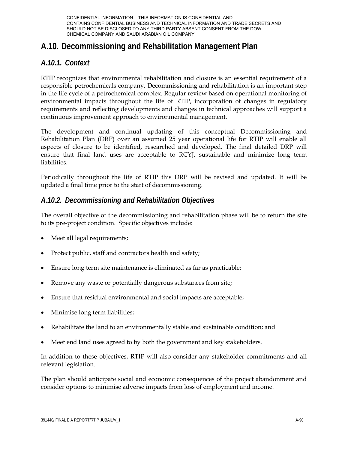# **A.10. Decommissioning and Rehabilitation Management Plan**

## *A.10.1. Context*

RTIP recognizes that environmental rehabilitation and closure is an essential requirement of a responsible petrochemicals company. Decommissioning and rehabilitation is an important step in the life cycle of a petrochemical complex. Regular review based on operational monitoring of environmental impacts throughout the life of RTIP, incorporation of changes in regulatory requirements and reflecting developments and changes in technical approaches will support a continuous improvement approach to environmental management.

The development and continual updating of this conceptual Decommissioning and Rehabilitation Plan (DRP) over an assumed 25 year operational life for RTIP will enable all aspects of closure to be identified, researched and developed. The final detailed DRP will ensure that final land uses are acceptable to RCYJ, sustainable and minimize long term liabilities.

Periodically throughout the life of RTIP this DRP will be revised and updated. It will be updated a final time prior to the start of decommissioning.

## *A.10.2. Decommissioning and Rehabilitation Objectives*

The overall objective of the decommissioning and rehabilitation phase will be to return the site to its pre-project condition. Specific objectives include:

- Meet all legal requirements;
- Protect public, staff and contractors health and safety;
- Ensure long term site maintenance is eliminated as far as practicable;
- Remove any waste or potentially dangerous substances from site;
- Ensure that residual environmental and social impacts are acceptable;
- Minimise long term liabilities;
- Rehabilitate the land to an environmentally stable and sustainable condition; and
- Meet end land uses agreed to by both the government and key stakeholders.

In addition to these objectives, RTIP will also consider any stakeholder commitments and all relevant legislation.

The plan should anticipate social and economic consequences of the project abandonment and consider options to minimise adverse impacts from loss of employment and income.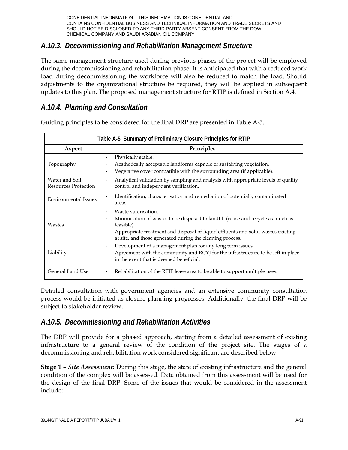## *A.10.3. Decommissioning and Rehabilitation Management Structure*

The same management structure used during previous phases of the project will be employed during the decommissioning and rehabilitation phase. It is anticipated that with a reduced work load during decommissioning the workforce will also be reduced to match the load. Should adjustments to the organizational structure be required, they will be applied in subsequent updates to this plan. The proposed management structure for RTIP is defined in Section A.4.

## *A.10.4. Planning and Consultation*

|                                               | Table A-5 Summary of Preliminary Closure Principles for RTIP                                                                                                                                                                                                                                                           |  |  |  |  |
|-----------------------------------------------|------------------------------------------------------------------------------------------------------------------------------------------------------------------------------------------------------------------------------------------------------------------------------------------------------------------------|--|--|--|--|
| Aspect                                        | Principles                                                                                                                                                                                                                                                                                                             |  |  |  |  |
| Topography                                    | Physically stable.<br>-<br>Aesthetically acceptable landforms capable of sustaining vegetation.<br>-<br>Vegetative cover compatible with the surrounding area (if applicable).<br>-                                                                                                                                    |  |  |  |  |
| Water and Soil<br><b>Resources Protection</b> | Analytical validation by sampling and analysis with appropriate levels of quality<br>-<br>control and independent verification.                                                                                                                                                                                        |  |  |  |  |
| <b>Environmental Issues</b>                   | Identification, characterisation and remediation of potentially contaminated<br>$\qquad \qquad -$<br>areas.                                                                                                                                                                                                            |  |  |  |  |
| Wastes                                        | Waste valorisation.<br>Minimisation of wastes to be disposed to landfill (reuse and recycle as much as<br>$\overline{\phantom{0}}$<br>feasible).<br>Appropriate treatment and disposal of liquid effluents and solid wastes existing<br>$\qquad \qquad -$<br>at site, and those generated during the cleaning process. |  |  |  |  |
| Liability                                     | Development of a management plan for any long term issues.<br>-<br>Agreement with the community and RCYJ for the infrastructure to be left in place<br>in the event that is deemed beneficial.                                                                                                                         |  |  |  |  |
| General Land Use                              | Rehabilitation of the RTIP lease area to be able to support multiple uses.<br>$\qquad \qquad -$                                                                                                                                                                                                                        |  |  |  |  |

Guiding principles to be considered for the final DRP are presented in Table A-5.

Detailed consultation with government agencies and an extensive community consultation process would be initiated as closure planning progresses. Additionally, the final DRP will be subject to stakeholder review.

## *A.10.5. Decommissioning and Rehabilitation Activities*

The DRP will provide for a phased approach, starting from a detailed assessment of existing infrastructure to a general review of the condition of the project site. The stages of a decommissioning and rehabilitation work considered significant are described below.

**Stage 1 –** *Site Assessment:* During this stage, the state of existing infrastructure and the general condition of the complex will be assessed. Data obtained from this assessment will be used for the design of the final DRP. Some of the issues that would be considered in the assessment include: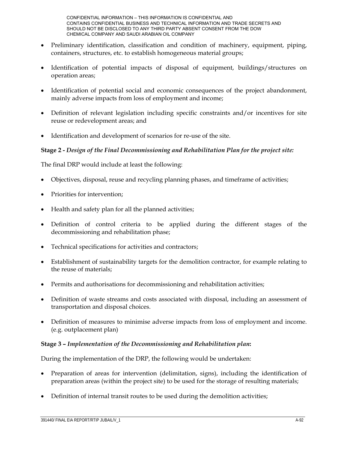- Preliminary identification, classification and condition of machinery, equipment, piping, containers, structures, etc. to establish homogeneous material groups;
- Identification of potential impacts of disposal of equipment, buildings/structures on operation areas;
- Identification of potential social and economic consequences of the project abandonment, mainly adverse impacts from loss of employment and income;
- Definition of relevant legislation including specific constraints and/or incentives for site reuse or redevelopment areas; and
- Identification and development of scenarios for re-use of the site.

#### **Stage 2 -** *Design of the Final Decommissioning and Rehabilitation Plan for the project site:*

The final DRP would include at least the following:

- Objectives, disposal, reuse and recycling planning phases, and timeframe of activities;
- Priorities for intervention;
- Health and safety plan for all the planned activities;
- Definition of control criteria to be applied during the different stages of the decommissioning and rehabilitation phase;
- Technical specifications for activities and contractors;
- Establishment of sustainability targets for the demolition contractor, for example relating to the reuse of materials;
- Permits and authorisations for decommissioning and rehabilitation activities;
- Definition of waste streams and costs associated with disposal, including an assessment of transportation and disposal choices.
- Definition of measures to minimise adverse impacts from loss of employment and income. (e.g. outplacement plan)

#### **Stage 3 –** *Implementation of the Decommissioning and Rehabilitation plan***:**

During the implementation of the DRP, the following would be undertaken:

- Preparation of areas for intervention (delimitation, signs), including the identification of preparation areas (within the project site) to be used for the storage of resulting materials;
- Definition of internal transit routes to be used during the demolition activities;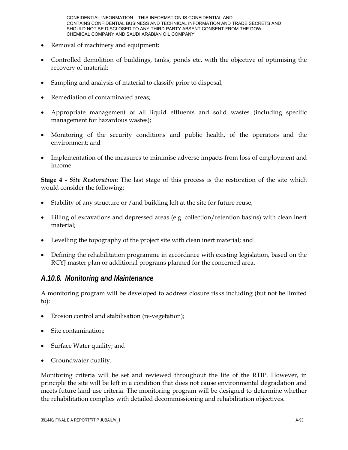- Removal of machinery and equipment;
- Controlled demolition of buildings, tanks, ponds etc. with the objective of optimising the recovery of material;
- Sampling and analysis of material to classify prior to disposal;
- Remediation of contaminated areas;
- Appropriate management of all liquid effluents and solid wastes (including specific management for hazardous wastes);
- Monitoring of the security conditions and public health, of the operators and the environment; and
- Implementation of the measures to minimise adverse impacts from loss of employment and income.

**Stage 4 -** *Site Restoration***:** The last stage of this process is the restoration of the site which would consider the following:

- Stability of any structure or /and building left at the site for future reuse;
- Filling of excavations and depressed areas (e.g. collection/retention basins) with clean inert material;
- Levelling the topography of the project site with clean inert material; and
- Defining the rehabilitation programme in accordance with existing legislation, based on the RCYJ master plan or additional programs planned for the concerned area.

## *A.10.6. Monitoring and Maintenance*

A monitoring program will be developed to address closure risks including (but not be limited to):

- Erosion control and stabilisation (re-vegetation);
- Site contamination;
- Surface Water quality; and
- Groundwater quality.

Monitoring criteria will be set and reviewed throughout the life of the RTIP. However, in principle the site will be left in a condition that does not cause environmental degradation and meets future land use criteria. The monitoring program will be designed to determine whether the rehabilitation complies with detailed decommissioning and rehabilitation objectives.